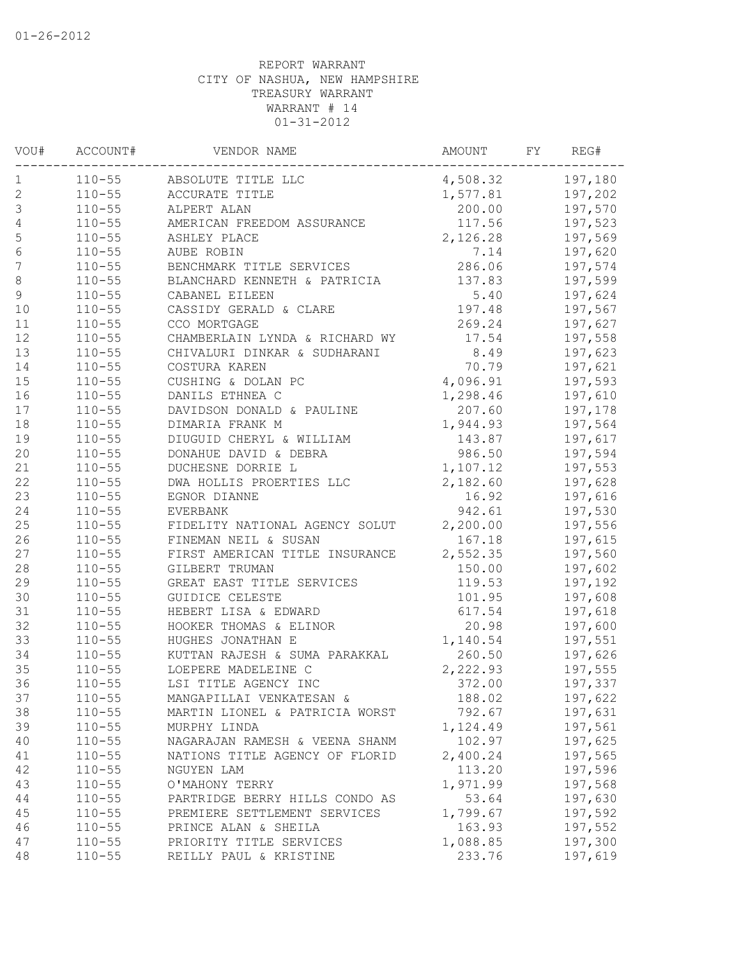| VOU#        | ACCOUNT#   | VENDOR NAME                                                    | <b>AMOUNT</b> | FY | REG#               |
|-------------|------------|----------------------------------------------------------------|---------------|----|--------------------|
| 1           | $110 - 55$ | ABSOLUTE TITLE LLC                                             | 4,508.32      |    | 197,180            |
| $\sqrt{2}$  | $110 - 55$ | ACCURATE TITLE                                                 | 1,577.81      |    | 197,202            |
| $\mathsf 3$ | $110 - 55$ | ALPERT ALAN                                                    | 200.00        |    | 197,570            |
| 4           | $110 - 55$ | AMERICAN FREEDOM ASSURANCE                                     | 117.56        |    | 197,523            |
| 5           | $110 - 55$ | ASHLEY PLACE                                                   | 2,126.28      |    | 197,569            |
| $\sqrt{6}$  | $110 - 55$ | AUBE ROBIN                                                     | 7.14          |    | 197,620            |
| 7           | $110 - 55$ | BENCHMARK TITLE SERVICES                                       | 286.06        |    | 197,574            |
| $\,8\,$     | $110 - 55$ | BLANCHARD KENNETH & PATRICIA                                   | 137.83        |    | 197,599            |
| $\mathsf 9$ | $110 - 55$ | CABANEL EILEEN                                                 | 5.40          |    | 197,624            |
| 10          | $110 - 55$ | CASSIDY GERALD & CLARE                                         | 197.48        |    | 197,567            |
| 11          | $110 - 55$ | CCO MORTGAGE                                                   | 269.24        |    | 197,627            |
| 12          | $110 - 55$ | CHAMBERLAIN LYNDA & RICHARD WY                                 | 17.54         |    | 197,558            |
| 13          | $110 - 55$ | CHIVALURI DINKAR & SUDHARANI                                   | 8.49          |    | 197,623            |
| 14          | $110 - 55$ | COSTURA KAREN                                                  | 70.79         |    | 197,621            |
| 15          | $110 - 55$ | CUSHING & DOLAN PC                                             | 4,096.91      |    | 197,593            |
| 16          | $110 - 55$ | DANILS ETHNEA C                                                | 1,298.46      |    | 197,610            |
| 17          | $110 - 55$ | DAVIDSON DONALD & PAULINE                                      | 207.60        |    | 197,178            |
| 18          | $110 - 55$ | DIMARIA FRANK M                                                | 1,944.93      |    | 197,564            |
| 19          | $110 - 55$ | DIUGUID CHERYL & WILLIAM                                       | 143.87        |    | 197,617            |
| 20          | $110 - 55$ | DONAHUE DAVID & DEBRA                                          | 986.50        |    | 197,594            |
| 21          | $110 - 55$ | DUCHESNE DORRIE L                                              | 1,107.12      |    | 197,553            |
| 22          | $110 - 55$ | DWA HOLLIS PROERTIES LLC                                       | 2,182.60      |    | 197,628            |
| 23          | $110 - 55$ | EGNOR DIANNE                                                   | 16.92         |    | 197,616            |
| 24          | $110 - 55$ | EVERBANK                                                       | 942.61        |    | 197,530            |
| 25          | $110 - 55$ | FIDELITY NATIONAL AGENCY SOLUT                                 | 2,200.00      |    | 197,556            |
| 26          | $110 - 55$ | FINEMAN NEIL & SUSAN                                           | 167.18        |    | 197,615            |
| 27          | $110 - 55$ | FIRST AMERICAN TITLE INSURANCE                                 | 2,552.35      |    | 197,560            |
| 28          | $110 - 55$ | GILBERT TRUMAN                                                 | 150.00        |    | 197,602            |
| 29          | $110 - 55$ | GREAT EAST TITLE SERVICES                                      | 119.53        |    | 197,192            |
| 30          | $110 - 55$ | GUIDICE CELESTE                                                | 101.95        |    | 197,608            |
| 31          | $110 - 55$ | HEBERT LISA & EDWARD                                           | 617.54        |    | 197,618            |
| 32          | $110 - 55$ | HOOKER THOMAS & ELINOR                                         | 20.98         |    | 197,600            |
| 33          | $110 - 55$ | HUGHES JONATHAN E                                              | 1,140.54      |    | 197,551            |
| 34          | $110 - 55$ | KUTTAN RAJESH & SUMA PARAKKAL                                  | 260.50        |    | 197,626            |
| 35          | $110 - 55$ | LOEPERE MADELEINE C                                            | 2,222.93      |    | 197,555            |
| 36          | $110 - 55$ | LSI TITLE AGENCY INC                                           | 372.00        |    | 197,337            |
| 37          | $110 - 55$ | MANGAPILLAI VENKATESAN &                                       | 188.02        |    | 197,622            |
| 38          | $110 - 55$ | MARTIN LIONEL & PATRICIA WORST                                 | 792.67        |    | 197,631            |
| 39          | $110 - 55$ | MURPHY LINDA                                                   | 1,124.49      |    | 197,561            |
| 40          | $110 - 55$ | NAGARAJAN RAMESH & VEENA SHANM                                 | 102.97        |    | 197,625            |
| 41          | $110 - 55$ | NATIONS TITLE AGENCY OF FLORID                                 | 2,400.24      |    | 197,565            |
| 42          | $110 - 55$ | NGUYEN LAM                                                     | 113.20        |    | 197,596            |
| 43          | $110 - 55$ | O'MAHONY TERRY                                                 | 1,971.99      |    | 197,568            |
| 44          | $110 - 55$ |                                                                | 53.64         |    |                    |
| 45          | $110 - 55$ | PARTRIDGE BERRY HILLS CONDO AS<br>PREMIERE SETTLEMENT SERVICES | 1,799.67      |    | 197,630<br>197,592 |
| 46          | $110 - 55$ |                                                                | 163.93        |    | 197,552            |
| 47          | $110 - 55$ | PRINCE ALAN & SHEILA<br>PRIORITY TITLE SERVICES                | 1,088.85      |    | 197,300            |
| 48          | $110 - 55$ | REILLY PAUL & KRISTINE                                         | 233.76        |    | 197,619            |
|             |            |                                                                |               |    |                    |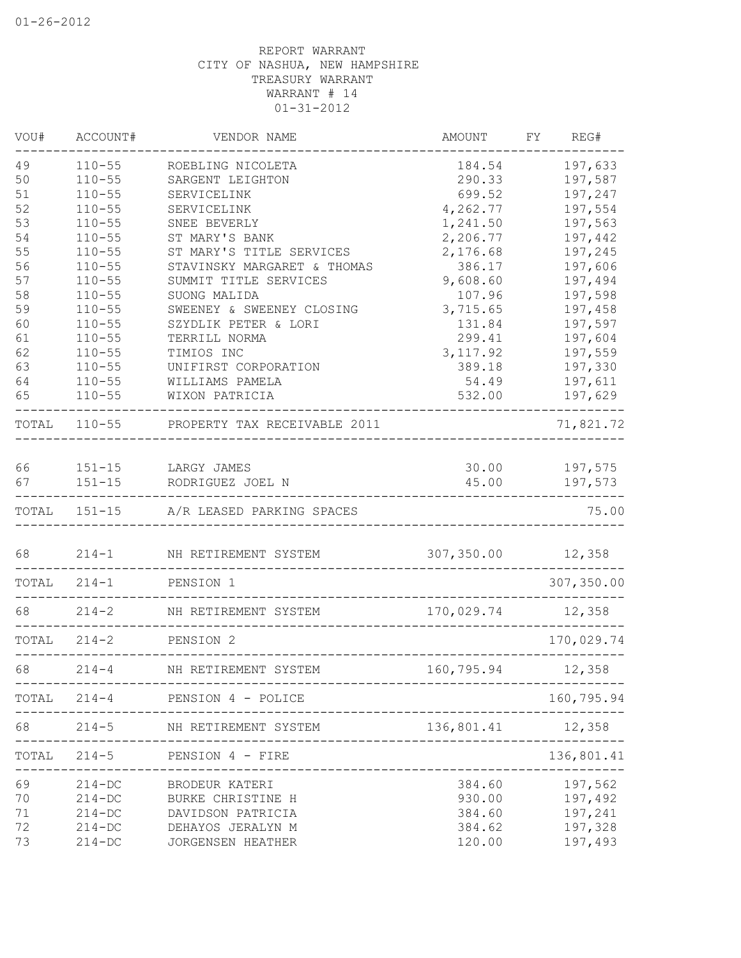| VOU#     | ACCOUNT#                 | VENDOR NAME                                               | <b>AMOUNT</b>        | FY REG#                      |
|----------|--------------------------|-----------------------------------------------------------|----------------------|------------------------------|
| 49       | $110 - 55$               | ROEBLING NICOLETA                                         | 184.54               | 197,633                      |
| 50       | $110 - 55$               | SARGENT LEIGHTON                                          | 290.33               | 197,587                      |
| 51       | $110 - 55$               | SERVICELINK                                               | 699.52               | 197,247                      |
| 52       | $110 - 55$               | SERVICELINK                                               | 4,262.77             | 197,554                      |
| 53<br>54 | $110 - 55$<br>$110 - 55$ | SNEE BEVERLY<br>ST MARY'S BANK                            | 1,241.50<br>2,206.77 | 197,563<br>197,442           |
| 55       | $110 - 55$               | ST MARY'S TITLE SERVICES                                  | 2,176.68             | 197,245                      |
| 56       | $110 - 55$               | STAVINSKY MARGARET & THOMAS                               | 386.17               | 197,606                      |
| 57       | $110 - 55$               | SUMMIT TITLE SERVICES                                     | 9,608.60             | 197,494                      |
| 58       | $110 - 55$               | SUONG MALIDA                                              | 107.96               | 197,598                      |
| 59       | $110 - 55$               | SWEENEY & SWEENEY CLOSING                                 | 3,715.65             | 197,458                      |
| 60       | $110 - 55$               | SZYDLIK PETER & LORI                                      | 131.84               | 197,597                      |
| 61       | $110 - 55$               | TERRILL NORMA                                             | 299.41               | 197,604                      |
| 62       | $110 - 55$               | TIMIOS INC                                                | 3, 117.92            | 197,559                      |
| 63       | $110 - 55$               | UNIFIRST CORPORATION                                      | 389.18               | 197,330                      |
| 64       | $110 - 55$               | WILLIAMS PAMELA                                           | 54.49                | 197,611                      |
| 65       | $110 - 55$               | WIXON PATRICIA                                            | 532.00               | 197,629                      |
|          |                          | TOTAL 110-55 PROPERTY TAX RECEIVABLE 2011                 |                      | 71,821.72                    |
| 66       |                          | 151-15 LARGY JAMES                                        |                      | 30.00 197,575                |
| 67       |                          | 151-15 RODRIGUEZ JOEL N                                   | 45.00                | 197,573                      |
|          |                          | TOTAL 151-15 A/R LEASED PARKING SPACES                    |                      | 75.00                        |
| 68       |                          | 214-1 NH RETIREMENT SYSTEM                                | 307,350.00           | 12,358                       |
| TOTAL    | $214 - 1$                | PENSION 1                                                 |                      | 307,350.00                   |
| 68       | $214 - 2$                | NH RETIREMENT SYSTEM                                      | 170,029.74 12,358    |                              |
| TOTAL    | $214 - 2$                | PENSION 2                                                 |                      | 170,029.74                   |
| 68       | $214 - 4$                | NH RETIREMENT SYSTEM<br>_________________________________ | 160,795.94           | 12,358                       |
| TOTAL    |                          | 214-4 PENSION 4 - POLICE                                  |                      | 160,795.94                   |
| 68       |                          | 214-5 NH RETIREMENT SYSTEM 136,801.41 12,358              |                      |                              |
| TOTAL    | $214 - 5$                | PENSION 4 - FIRE                                          |                      | 136,801.41<br>-------------- |
| 69       | $214 - DC$               | BRODEUR KATERI                                            | 384.60               | 197,562                      |
| 70       | $214 - DC$               | BURKE CHRISTINE H                                         | 930.00               | 197,492                      |
| 71       | $214 - DC$               | DAVIDSON PATRICIA                                         | 384.60               | 197,241                      |
| 72       | $214 - DC$               | DEHAYOS JERALYN M                                         | 384.62               | 197,328                      |
| 73       | $214 - DC$               | JORGENSEN HEATHER                                         | 120.00               | 197,493                      |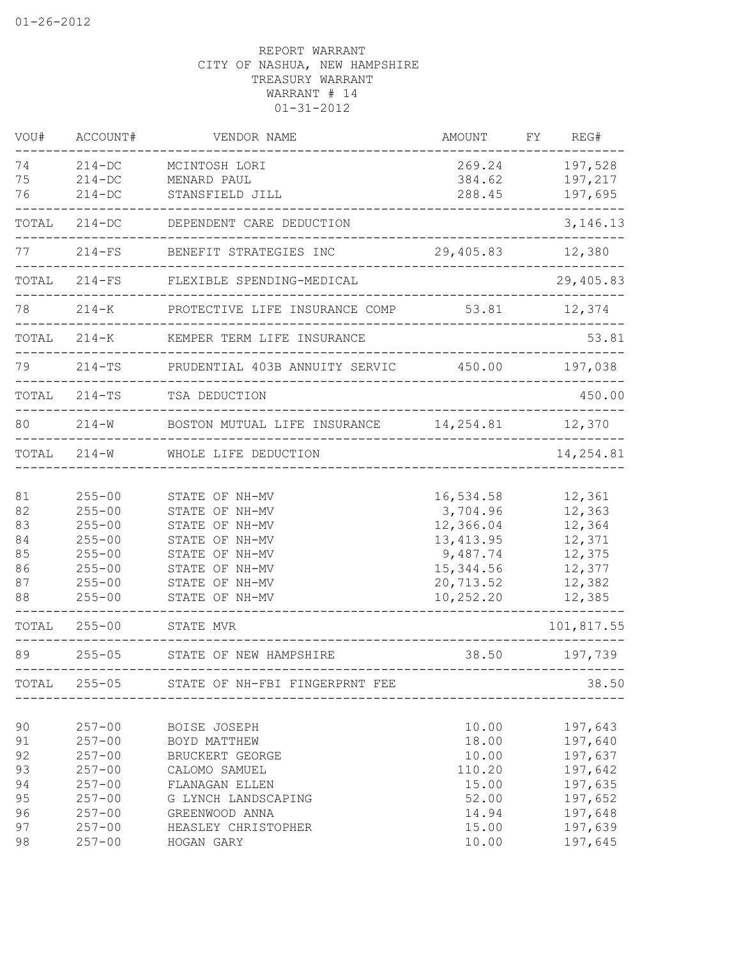| VOU#  | ACCOUNT#   | VENDOR NAME                                     | AMOUNT            | FY | REG#       |
|-------|------------|-------------------------------------------------|-------------------|----|------------|
| 74    | $214 - DC$ | MCINTOSH LORI                                   | 269.24            |    | 197,528    |
| 75    | $214 - DC$ | MENARD PAUL                                     | 384.62            |    | 197,217    |
| 76    | $214 - DC$ | STANSFIELD JILL                                 | 288.45            |    | 197,695    |
| TOTAL | $214 - DC$ | DEPENDENT CARE DEDUCTION                        |                   |    | 3, 146. 13 |
| 77    | $214-FS$   | BENEFIT STRATEGIES INC                          | 29,405.83         |    | 12,380     |
| TOTAL | $214-FS$   | FLEXIBLE SPENDING-MEDICAL                       |                   |    | 29,405.83  |
| 78    | $214 - K$  | PROTECTIVE LIFE INSURANCE COMP 53.81            |                   |    | 12,374     |
| TOTAL | $214 - K$  | KEMPER TERM LIFE INSURANCE                      |                   |    | 53.81      |
| 79    | $214 - TS$ | PRUDENTIAL 403B ANNUITY SERVIC 450.00 197,038   |                   |    |            |
| TOTAL |            | 214-TS TSA DEDUCTION                            | $- - - - - - - -$ |    | 450.00     |
| 80    | $214 - W$  | BOSTON MUTUAL LIFE INSURANCE 14, 254.81 12, 370 |                   |    |            |
| TOTAL | $214 - W$  | WHOLE LIFE DEDUCTION                            |                   |    | 14,254.81  |
| 81    | $255 - 00$ | STATE OF NH-MV                                  | 16,534.58         |    | 12,361     |
| 82    | $255 - 00$ | STATE OF NH-MV                                  | 3,704.96          |    | 12,363     |
| 83    | $255 - 00$ | STATE OF NH-MV                                  | 12,366.04         |    | 12,364     |
| 84    | $255 - 00$ | STATE OF NH-MV                                  | 13, 413.95        |    | 12,371     |
| 85    | $255 - 00$ | STATE OF NH-MV                                  | 9,487.74          |    | 12,375     |
| 86    | $255 - 00$ | STATE OF NH-MV                                  | 15,344.56         |    | 12,377     |
| 87    | $255 - 00$ | STATE OF NH-MV                                  | 20,713.52         |    | 12,382     |
| 88    | $255 - 00$ | STATE OF NH-MV                                  | 10,252.20         |    | 12,385     |
| TOTAL | $255 - 00$ | STATE MVR                                       |                   |    | 101,817.55 |
| 89    | $255 - 05$ | STATE OF NEW HAMPSHIRE                          | 38.50             |    | 197,739    |
| TOTAL | $255 - 05$ | STATE OF NH-FBI FINGERPRNT FEE                  |                   |    | 38.50      |
| 90    | $257 - 00$ | BOISE JOSEPH                                    | 10.00             |    | 197,643    |
| 91    | $257 - 00$ | BOYD MATTHEW                                    | 18.00             |    | 197,640    |
| 92    | $257 - 00$ | BRUCKERT GEORGE                                 | 10.00             |    | 197,637    |
| 93    | $257 - 00$ | CALOMO SAMUEL                                   | 110.20            |    | 197,642    |
| 94    | $257 - 00$ | FLANAGAN ELLEN                                  | 15.00             |    | 197,635    |
| 95    | $257 - 00$ | G LYNCH LANDSCAPING                             | 52.00             |    | 197,652    |
| 96    | $257 - 00$ | GREENWOOD ANNA                                  | 14.94             |    | 197,648    |
| 97    | $257 - 00$ | HEASLEY CHRISTOPHER                             | 15.00             |    | 197,639    |
| 98    | $257 - 00$ | HOGAN GARY                                      | 10.00             |    | 197,645    |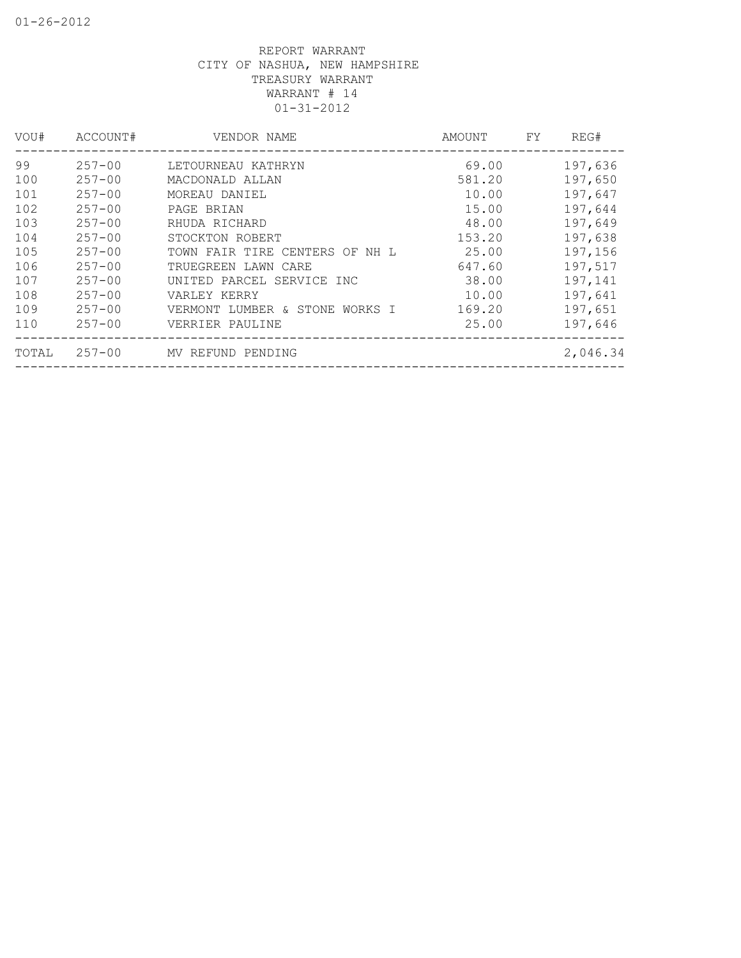| VOU#  | ACCOUNT#   | VENDOR NAME                    | AMOUNT | FY. | REG#     |
|-------|------------|--------------------------------|--------|-----|----------|
| 99    | $257 - 00$ | LETOURNEAU KATHRYN             | 69.00  |     | 197,636  |
| 100   | $257 - 00$ | MACDONALD ALLAN                | 581.20 |     | 197,650  |
| 101   | $257 - 00$ | MOREAU DANIEL                  | 10.00  |     | 197,647  |
| 102   | $257 - 00$ | PAGE BRIAN                     | 15.00  |     | 197,644  |
| 103   | $257 - 00$ | RHUDA RICHARD                  | 48.00  |     | 197,649  |
| 104   | $257 - 00$ | STOCKTON ROBERT                | 153.20 |     | 197,638  |
| 105   | $257 - 00$ | TOWN FAIR TIRE CENTERS OF NH L | 25.00  |     | 197,156  |
| 106   | $257 - 00$ | TRUEGREEN LAWN CARE            | 647.60 |     | 197,517  |
| 107   | $257 - 00$ | UNITED PARCEL SERVICE INC      | 38.00  |     | 197,141  |
| 108   | $257 - 00$ | VARLEY KERRY                   | 10.00  |     | 197,641  |
| 109   | $257 - 00$ | VERMONT LUMBER & STONE WORKS I | 169.20 |     | 197,651  |
| 110   | $257 - 00$ | VERRIER PAULINE                | 25.00  |     | 197,646  |
| TOTAL | $257 - 00$ | MV REFUND PENDING              |        |     | 2,046.34 |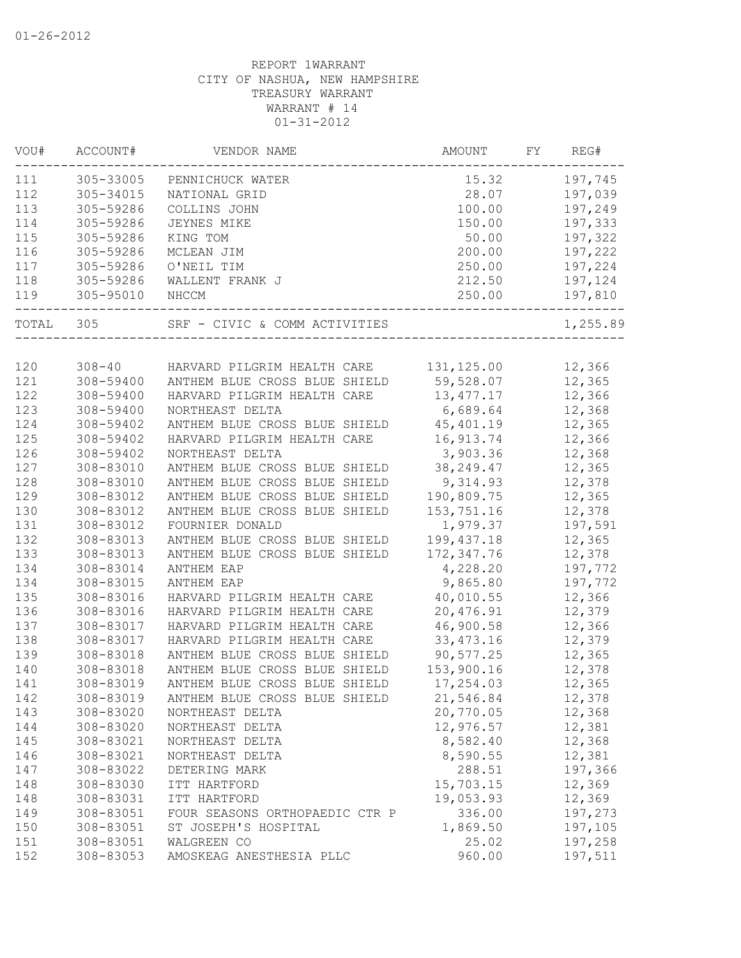| VOU#  | ACCOUNT#               | VENDOR NAME                    | AMOUNT      | FY | REG#     |
|-------|------------------------|--------------------------------|-------------|----|----------|
| 111   | 305-33005              | PENNICHUCK WATER               | 15.32       |    | 197,745  |
| 112   | 305-34015              | NATIONAL GRID                  | 28.07       |    | 197,039  |
| 113   | 305-59286              | COLLINS JOHN                   | 100.00      |    | 197,249  |
| 114   | 305-59286              | JEYNES MIKE                    | 150.00      |    | 197,333  |
| 115   | 305-59286              | KING TOM                       | 50.00       |    | 197,322  |
| 116   | 305-59286              | MCLEAN JIM                     | 200.00      |    | 197,222  |
| 117   | 305-59286              | O'NEIL TIM                     | 250.00      |    | 197,224  |
| 118   | 305-59286              | WALLENT FRANK J                | 212.50      |    | 197,124  |
| 119   | 305-95010              | NHCCM                          | 250.00      |    | 197,810  |
| TOTAL | 305                    | SRF - CIVIC & COMM ACTIVITIES  |             |    | 1,255.89 |
| 120   |                        |                                |             |    |          |
| 121   | $308 - 40$             | HARVARD PILGRIM HEALTH CARE    | 131, 125.00 |    | 12,366   |
|       | 308-59400<br>308-59400 | ANTHEM BLUE CROSS BLUE SHIELD  | 59,528.07   |    | 12,365   |
| 122   | 308-59400              | HARVARD PILGRIM HEALTH CARE    | 13, 477.17  |    | 12,366   |
| 123   |                        | NORTHEAST DELTA                | 6,689.64    |    | 12,368   |
| 124   | 308-59402              | ANTHEM BLUE CROSS BLUE SHIELD  | 45, 401.19  |    | 12,365   |
| 125   | 308-59402              | HARVARD PILGRIM HEALTH CARE    | 16,913.74   |    | 12,366   |
| 126   | 308-59402              | NORTHEAST DELTA                | 3,903.36    |    | 12,368   |
| 127   | 308-83010              | ANTHEM BLUE CROSS BLUE SHIELD  | 38, 249.47  |    | 12,365   |
| 128   | 308-83010              | ANTHEM BLUE CROSS BLUE SHIELD  | 9,314.93    |    | 12,378   |
| 129   | 308-83012              | ANTHEM BLUE CROSS BLUE SHIELD  | 190,809.75  |    | 12,365   |
| 130   | 308-83012              | ANTHEM BLUE CROSS BLUE SHIELD  | 153,751.16  |    | 12,378   |
| 131   | 308-83012              | FOURNIER DONALD                | 1,979.37    |    | 197,591  |
| 132   | 308-83013              | ANTHEM BLUE CROSS BLUE SHIELD  | 199, 437.18 |    | 12,365   |
| 133   | 308-83013              | ANTHEM BLUE CROSS BLUE SHIELD  | 172, 347.76 |    | 12,378   |
| 134   | 308-83014              | <b>ANTHEM EAP</b>              | 4,228.20    |    | 197,772  |
| 134   | 308-83015              | <b>ANTHEM EAP</b>              | 9,865.80    |    | 197,772  |
| 135   | 308-83016              | HARVARD PILGRIM HEALTH CARE    | 40,010.55   |    | 12,366   |
| 136   | 308-83016              | HARVARD PILGRIM HEALTH CARE    | 20,476.91   |    | 12,379   |
| 137   | 308-83017              | HARVARD PILGRIM HEALTH CARE    | 46,900.58   |    | 12,366   |
| 138   | 308-83017              | HARVARD PILGRIM HEALTH CARE    | 33, 473.16  |    | 12,379   |
| 139   | 308-83018              | ANTHEM BLUE CROSS BLUE SHIELD  | 90,577.25   |    | 12,365   |
| 140   | 308-83018              | ANTHEM BLUE CROSS BLUE SHIELD  | 153,900.16  |    | 12,378   |
| 141   | 308-83019              | ANTHEM BLUE CROSS BLUE SHIELD  | 17,254.03   |    | 12,365   |
| 142   | 308-83019              | ANTHEM BLUE CROSS BLUE SHIELD  | 21,546.84   |    | 12,378   |
| 143   | 308-83020              | NORTHEAST DELTA                | 20,770.05   |    | 12,368   |
| 144   | 308-83020              | NORTHEAST DELTA                | 12,976.57   |    | 12,381   |
| 145   | 308-83021              | NORTHEAST DELTA                | 8,582.40    |    | 12,368   |
| 146   | 308-83021              | NORTHEAST DELTA                | 8,590.55    |    | 12,381   |
| 147   | 308-83022              | DETERING MARK                  | 288.51      |    | 197,366  |
| 148   | 308-83030              | ITT HARTFORD                   | 15,703.15   |    | 12,369   |
| 148   | 308-83031              | ITT HARTFORD                   | 19,053.93   |    | 12,369   |
| 149   | 308-83051              | FOUR SEASONS ORTHOPAEDIC CTR P | 336.00      |    | 197,273  |
| 150   | 308-83051              | ST JOSEPH'S HOSPITAL           | 1,869.50    |    | 197,105  |
| 151   | 308-83051              | WALGREEN CO                    | 25.02       |    | 197,258  |
| 152   | 308-83053              | AMOSKEAG ANESTHESIA PLLC       | 960.00      |    | 197,511  |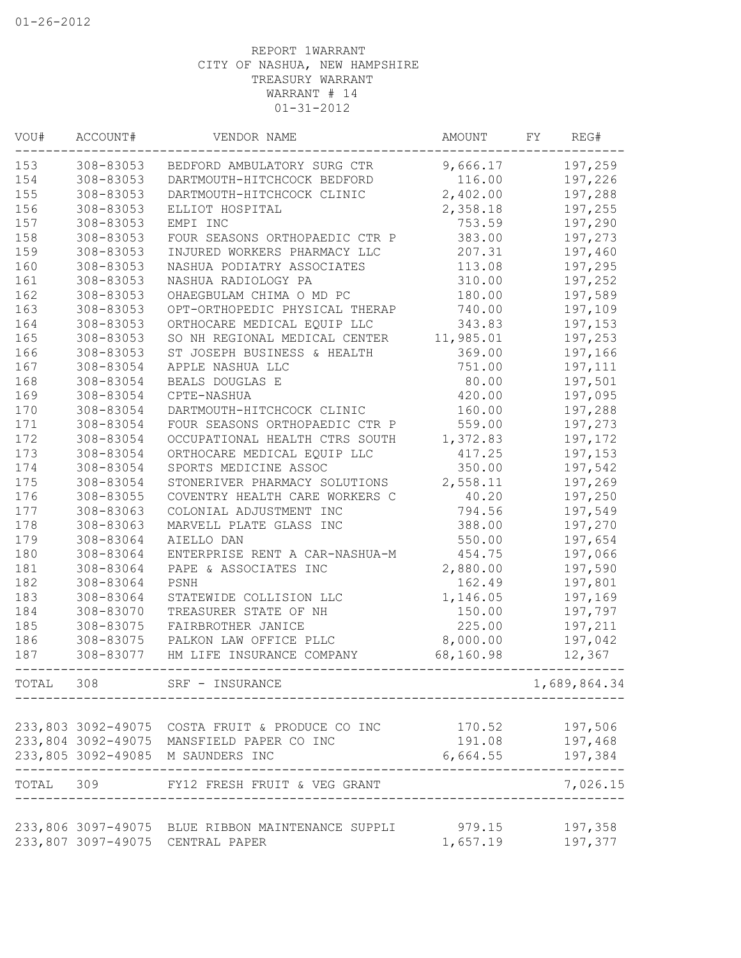| VOU#  | ACCOUNT#  | VENDOR NAME                                       | AMOUNT    | FY. | REG#         |
|-------|-----------|---------------------------------------------------|-----------|-----|--------------|
| 153   | 308-83053 | BEDFORD AMBULATORY SURG CTR                       | 9,666.17  |     | 197,259      |
| 154   | 308-83053 | DARTMOUTH-HITCHCOCK BEDFORD                       | 116.00    |     | 197,226      |
| 155   | 308-83053 | DARTMOUTH-HITCHCOCK CLINIC                        | 2,402.00  |     | 197,288      |
| 156   | 308-83053 | ELLIOT HOSPITAL                                   | 2,358.18  |     | 197,255      |
| 157   | 308-83053 | EMPI INC                                          | 753.59    |     | 197,290      |
| 158   | 308-83053 | FOUR SEASONS ORTHOPAEDIC CTR P                    | 383.00    |     | 197,273      |
| 159   | 308-83053 | INJURED WORKERS PHARMACY LLC                      | 207.31    |     | 197,460      |
| 160   | 308-83053 | NASHUA PODIATRY ASSOCIATES                        | 113.08    |     | 197,295      |
| 161   | 308-83053 | NASHUA RADIOLOGY PA                               | 310.00    |     | 197,252      |
| 162   | 308-83053 | OHAEGBULAM CHIMA O MD PC                          | 180.00    |     | 197,589      |
| 163   | 308-83053 | OPT-ORTHOPEDIC PHYSICAL THERAP                    | 740.00    |     | 197,109      |
| 164   | 308-83053 | ORTHOCARE MEDICAL EQUIP LLC                       | 343.83    |     | 197,153      |
| 165   | 308-83053 | SO NH REGIONAL MEDICAL CENTER                     | 11,985.01 |     | 197,253      |
| 166   | 308-83053 | ST JOSEPH BUSINESS & HEALTH                       | 369.00    |     | 197,166      |
| 167   | 308-83054 | APPLE NASHUA LLC                                  | 751.00    |     | 197,111      |
| 168   | 308-83054 | BEALS DOUGLAS E                                   | 80.00     |     | 197,501      |
| 169   | 308-83054 | CPTE-NASHUA                                       | 420.00    |     | 197,095      |
| 170   | 308-83054 | DARTMOUTH-HITCHCOCK CLINIC                        | 160.00    |     | 197,288      |
| 171   | 308-83054 | FOUR SEASONS ORTHOPAEDIC CTR P                    | 559.00    |     | 197,273      |
| 172   | 308-83054 | OCCUPATIONAL HEALTH CTRS SOUTH                    | 1,372.83  |     | 197,172      |
| 173   | 308-83054 | ORTHOCARE MEDICAL EQUIP LLC                       | 417.25    |     | 197,153      |
| 174   | 308-83054 | SPORTS MEDICINE ASSOC                             | 350.00    |     | 197,542      |
| 175   | 308-83054 | STONERIVER PHARMACY SOLUTIONS                     | 2,558.11  |     | 197,269      |
| 176   | 308-83055 | COVENTRY HEALTH CARE WORKERS C                    | 40.20     |     | 197,250      |
| 177   | 308-83063 | COLONIAL ADJUSTMENT INC                           | 794.56    |     | 197,549      |
| 178   | 308-83063 | MARVELL PLATE GLASS INC                           | 388.00    |     | 197,270      |
| 179   | 308-83064 | AIELLO DAN                                        | 550.00    |     | 197,654      |
| 180   | 308-83064 | ENTERPRISE RENT A CAR-NASHUA-M                    | 454.75    |     | 197,066      |
| 181   | 308-83064 | PAPE & ASSOCIATES INC                             | 2,880.00  |     | 197,590      |
| 182   | 308-83064 | PSNH                                              | 162.49    |     | 197,801      |
| 183   | 308-83064 | STATEWIDE COLLISION LLC                           | 1,146.05  |     | 197,169      |
| 184   | 308-83070 | TREASURER STATE OF NH                             | 150.00    |     | 197,797      |
| 185   | 308-83075 | FAIRBROTHER JANICE                                | 225.00    |     | 197,211      |
| 186   | 308-83075 | PALKON LAW OFFICE PLLC                            | 8,000.00  |     | 197,042      |
| 187   | 308-83077 | HM LIFE INSURANCE COMPANY                         | 68,160.98 |     | 12,367       |
| TOTAL | 308       | SRF - INSURANCE                                   |           |     | 1,689,864.34 |
|       |           |                                                   |           |     |              |
|       |           | 233,803 3092-49075 COSTA FRUIT & PRODUCE CO INC   | 170.52    |     | 197,506      |
|       |           | 233,804 3092-49075 MANSFIELD PAPER CO INC         | 191.08    |     | 197,468      |
|       |           | 233,805 3092-49085 M SAUNDERS INC                 | 6,664.55  |     | 197,384      |
| TOTAL | 309       | FY12 FRESH FRUIT & VEG GRANT                      |           |     | 7,026.15     |
|       |           | 233,806 3097-49075 BLUE RIBBON MAINTENANCE SUPPLI | 979.15    |     | 197,358      |
|       |           | 233,807 3097-49075 CENTRAL PAPER                  | 1,657.19  |     | 197,377      |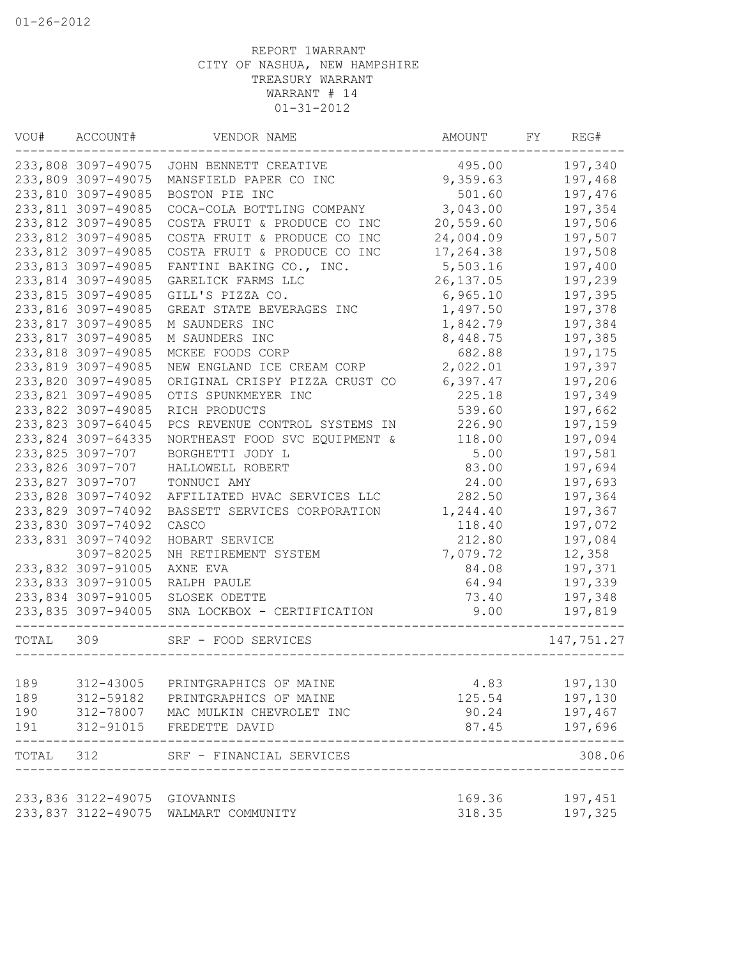| VOU#      | ACCOUNT#           | VENDOR NAME                    | AMOUNT           | FΥ<br>REG#         |
|-----------|--------------------|--------------------------------|------------------|--------------------|
|           | 233,808 3097-49075 | JOHN BENNETT CREATIVE          | 495.00           | 197,340            |
|           | 233,809 3097-49075 | MANSFIELD PAPER CO INC         | 9,359.63         | 197,468            |
|           | 233,810 3097-49085 | BOSTON PIE INC                 | 501.60           | 197,476            |
|           | 233,811 3097-49085 | COCA-COLA BOTTLING COMPANY     | 3,043.00         | 197,354            |
|           | 233,812 3097-49085 | COSTA FRUIT & PRODUCE CO INC   | 20,559.60        | 197,506            |
|           | 233,812 3097-49085 | COSTA FRUIT & PRODUCE CO INC   | 24,004.09        | 197,507            |
|           | 233,812 3097-49085 | COSTA FRUIT & PRODUCE CO INC   | 17,264.38        | 197,508            |
|           | 233,813 3097-49085 | FANTINI BAKING CO., INC.       | 5,503.16         | 197,400            |
|           | 233,814 3097-49085 | GARELICK FARMS LLC             | 26, 137.05       | 197,239            |
|           | 233,815 3097-49085 | GILL'S PIZZA CO.               | 6,965.10         | 197,395            |
|           | 233,816 3097-49085 | GREAT STATE BEVERAGES INC      | 1,497.50         | 197,378            |
|           | 233,817 3097-49085 | M SAUNDERS INC                 | 1,842.79         | 197,384            |
|           | 233,817 3097-49085 | M SAUNDERS INC                 | 8,448.75         | 197,385            |
|           | 233,818 3097-49085 | MCKEE FOODS CORP               | 682.88           | 197,175            |
|           | 233,819 3097-49085 | NEW ENGLAND ICE CREAM CORP     | 2,022.01         | 197,397            |
|           | 233,820 3097-49085 | ORIGINAL CRISPY PIZZA CRUST CO | 6,397.47         | 197,206            |
|           | 233,821 3097-49085 | OTIS SPUNKMEYER INC            | 225.18           | 197,349            |
|           | 233,822 3097-49085 | RICH PRODUCTS                  | 539.60           | 197,662            |
|           | 233,823 3097-64045 | PCS REVENUE CONTROL SYSTEMS IN | 226.90           | 197,159            |
|           | 233,824 3097-64335 | NORTHEAST FOOD SVC EQUIPMENT & | 118.00           | 197,094            |
|           | 233,825 3097-707   | BORGHETTI JODY L               | 5.00             | 197,581            |
|           | 233,826 3097-707   | HALLOWELL ROBERT               | 83.00            | 197,694            |
|           |                    | TONNUCI AMY                    |                  |                    |
|           | 233,827 3097-707   |                                | 24.00            | 197,693            |
|           | 233,828 3097-74092 | AFFILIATED HVAC SERVICES LLC   | 282.50           | 197,364            |
|           | 233,829 3097-74092 | BASSETT SERVICES CORPORATION   | 1,244.40         | 197,367            |
|           | 233,830 3097-74092 | CASCO                          | 118.40           | 197,072            |
|           | 233,831 3097-74092 | HOBART SERVICE                 | 212.80           | 197,084            |
|           | 3097-82025         | NH RETIREMENT SYSTEM           | 7,079.72         | 12,358             |
|           | 233,832 3097-91005 | AXNE EVA                       | 84.08            | 197,371            |
|           | 233,833 3097-91005 | RALPH PAULE                    | 64.94            | 197,339            |
|           | 233,834 3097-91005 | SLOSEK ODETTE                  | 73.40            | 197,348            |
|           | 233,835 3097-94005 | SNA LOCKBOX - CERTIFICATION    | 9.00             | 197,819            |
| TOTAL     | 309                | SRF - FOOD SERVICES            |                  | 147,751.27         |
|           |                    |                                |                  |                    |
| 189       | 312-43005          | PRINTGRAPHICS OF MAINE         | 4.83             | 197,130            |
| 189       | 312-59182          | PRINTGRAPHICS OF MAINE         | 125.54           | 197,130            |
| 190       | 312-78007          | MAC MULKIN CHEVROLET INC       | 90.24            | 197,467            |
| 191       | 312-91015          | FREDETTE DAVID                 | 87.45            | 197,696            |
| TOTAL 312 |                    | SRF - FINANCIAL SERVICES       |                  | 308.06             |
|           | 233,836 3122-49075 |                                |                  |                    |
|           | 233,837 3122-49075 | GIOVANNIS<br>WALMART COMMUNITY | 169.36<br>318.35 | 197,451<br>197,325 |
|           |                    |                                |                  |                    |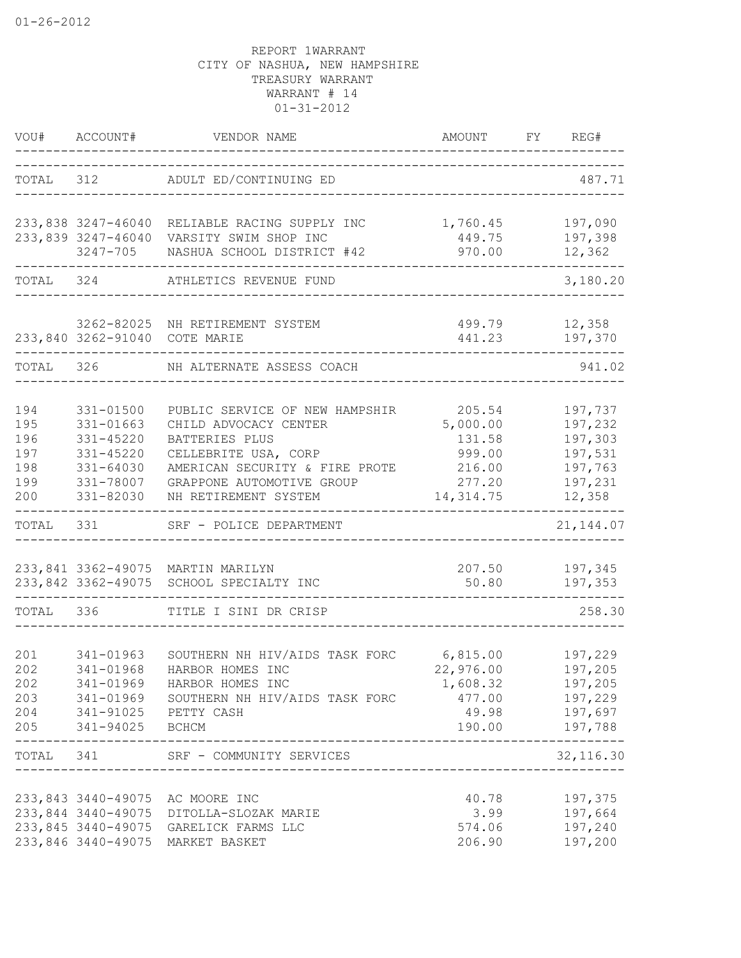|                                               | VOU# ACCOUNT#<br>-----------                                                            | VENDOR NAME                                                                                                                                                                              | AMOUNT FY REG#                                                           |                                                                          |
|-----------------------------------------------|-----------------------------------------------------------------------------------------|------------------------------------------------------------------------------------------------------------------------------------------------------------------------------------------|--------------------------------------------------------------------------|--------------------------------------------------------------------------|
|                                               |                                                                                         | TOTAL 312 ADULT ED/CONTINUING ED                                                                                                                                                         |                                                                          | 487.71                                                                   |
|                                               |                                                                                         | 233,838 3247-46040 RELIABLE RACING SUPPLY INC<br>233,839 3247-46040 VARSITY SWIM SHOP INC<br>3247-705 NASHUA SCHOOL DISTRICT #42                                                         | 1,760.45<br>449.75<br>970.00                                             | 197,090<br>197,398<br>12,362                                             |
|                                               |                                                                                         | TOTAL 324 ATHLETICS REVENUE FUND                                                                                                                                                         |                                                                          | 3,180.20                                                                 |
|                                               | 233,840 3262-91040 COTE MARIE                                                           | 3262-82025 NH RETIREMENT SYSTEM                                                                                                                                                          | 499.79<br>441.23                                                         | 12,358<br>197,370                                                        |
|                                               |                                                                                         | TOTAL 326 NH ALTERNATE ASSESS COACH                                                                                                                                                      |                                                                          | 941.02                                                                   |
| 194<br>195<br>196<br>197<br>198<br>199<br>200 | 331-01500<br>331-01663<br>331-45220<br>331-45220<br>331-64030<br>331-78007<br>331-82030 | PUBLIC SERVICE OF NEW HAMPSHIR<br>CHILD ADVOCACY CENTER<br>BATTERIES PLUS<br>CELLEBRITE USA, CORP<br>AMERICAN SECURITY & FIRE PROTE<br>GRAPPONE AUTOMOTIVE GROUP<br>NH RETIREMENT SYSTEM | 205.54<br>5,000.00<br>131.58<br>999.00<br>216.00<br>277.20<br>14, 314.75 | 197,737<br>197,232<br>197,303<br>197,531<br>197,763<br>197,231<br>12,358 |
| TOTAL                                         | 331                                                                                     | SRF - POLICE DEPARTMENT                                                                                                                                                                  |                                                                          | 21, 144.07                                                               |
|                                               |                                                                                         | 233,841 3362-49075 MARTIN MARILYN<br>233,842 3362-49075 SCHOOL SPECIALTY INC                                                                                                             | 50.80                                                                    | 207.50 197,345<br>197,353                                                |
| TOTAL 336                                     |                                                                                         | TITLE I SINI DR CRISP                                                                                                                                                                    |                                                                          | 258.30                                                                   |
| 201<br>202                                    | 341-01963<br>341-01968<br>205 341-94025 BCHCM                                           | SOUTHERN NH HIV/AIDS TASK FORC 6,815.00 197,229<br>HARBOR HOMES INC<br>202 341-01969 HARBOR HOMES INC<br>203 341-01969 SOUTHERN NH HIV/AIDS TASK FORC<br>204 341-91025 PETTY CASH        | 22,976.00 197,205<br>1,608.32<br>477.00 197,229                          | 197,205<br>49.98 197,697<br>190.00 197,788                               |
|                                               | -----------------------                                                                 | TOTAL 341 SRF - COMMUNITY SERVICES<br>___________________________________                                                                                                                |                                                                          | 32, 116.30                                                               |
|                                               |                                                                                         | 233,843 3440-49075 AC MOORE INC<br>233,844 3440-49075 DITOLLA-SLOZAK MARIE<br>233,845 3440-49075 GARELICK FARMS LLC<br>233,846 3440-49075 MARKET BASKET                                  | 40.78<br>3.99<br>574.06<br>206.90                                        | 197,375<br>197,664<br>197,240<br>197,200                                 |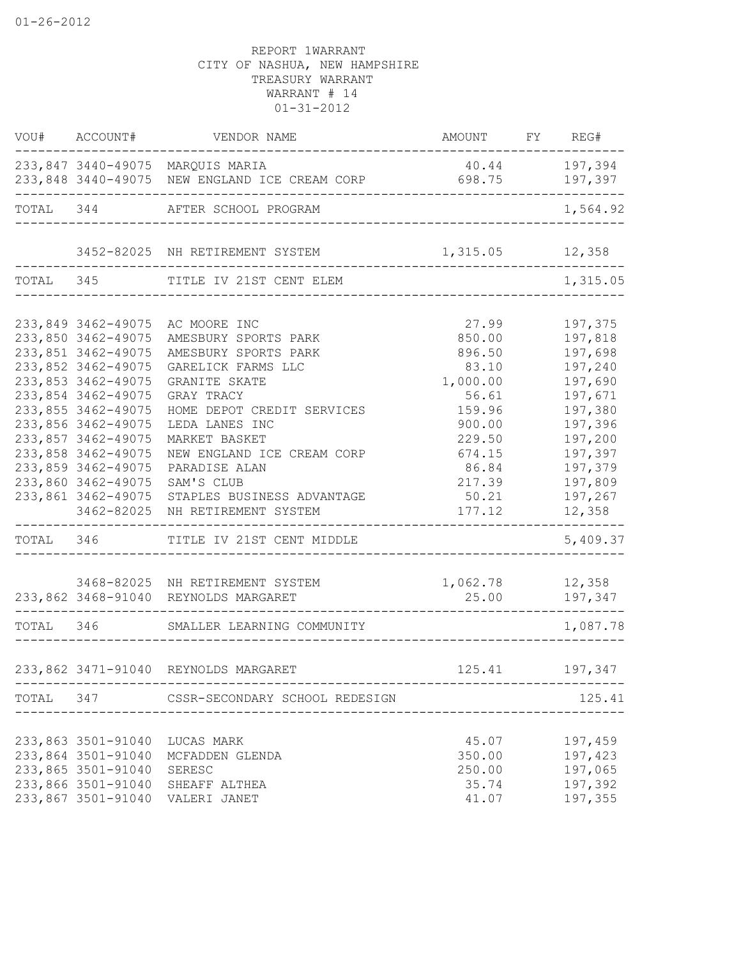| VOU# ACCOUNT#      | VENDOR NAME                                                                              | AMOUNT FY REG#    |                                           |
|--------------------|------------------------------------------------------------------------------------------|-------------------|-------------------------------------------|
|                    | 233,847 3440-49075 MARQUIS MARIA<br>233,848 3440-49075 NEW ENGLAND ICE CREAM CORP 698.75 | 40.44 197,394     | 197,397                                   |
|                    | ______________<br>TOTAL 344 AFTER SCHOOL PROGRAM                                         |                   | 1,564.92                                  |
|                    |                                                                                          |                   |                                           |
|                    | 3452-82025 NH RETIREMENT SYSTEM                                                          | 1, 315.05 12, 358 |                                           |
|                    | TOTAL 345 TITLE IV 21ST CENT ELEM                                                        |                   | 1,315.05                                  |
| 233,849 3462-49075 | AC MOORE INC                                                                             | 27.99             | 197,375                                   |
| 233,850 3462-49075 | AMESBURY SPORTS PARK                                                                     | 850.00            | 197,818                                   |
| 233,851 3462-49075 | AMESBURY SPORTS PARK                                                                     | 896.50            | 197,698                                   |
| 233,852 3462-49075 | GARELICK FARMS LLC                                                                       | 83.10             | 197,240                                   |
| 233,853 3462-49075 | <b>GRANITE SKATE</b>                                                                     | 1,000.00          | 197,690                                   |
| 233,854 3462-49075 | GRAY TRACY                                                                               | 56.61             | 197,671                                   |
| 233,855 3462-49075 | HOME DEPOT CREDIT SERVICES                                                               | 159.96            | 197,380                                   |
| 233,856 3462-49075 | LEDA LANES INC                                                                           | 900.00            | 197,396                                   |
| 233,857 3462-49075 | MARKET BASKET                                                                            | 229.50            | 197,200                                   |
| 233,858 3462-49075 | NEW ENGLAND ICE CREAM CORP                                                               | 674.15            | 197,397                                   |
| 233,859 3462-49075 | PARADISE ALAN                                                                            | 86.84             | 197,379                                   |
| 233,860 3462-49075 | SAM'S CLUB                                                                               | 217.39            | 197,809                                   |
| 233,861 3462-49075 | STAPLES BUSINESS ADVANTAGE                                                               | 50.21             | 197,267                                   |
| 3462-82025         | NH RETIREMENT SYSTEM                                                                     | 177.12            | 12,358                                    |
|                    | TOTAL 346 TITLE IV 21ST CENT MIDDLE                                                      |                   | -------<br>5,409.37                       |
|                    | 3468-82025 NH RETIREMENT SYSTEM                                                          | 1,062.78 12,358   |                                           |
|                    | 233,862 3468-91040 REYNOLDS MARGARET                                                     | 25.00             | 197,347                                   |
|                    | --------------<br>TOTAL 346 SMALLER LEARNING COMMUNITY                                   |                   | . _ _ _ _ _ _ _ _ _ _ _ _ _ .<br>1,087.78 |
|                    |                                                                                          |                   |                                           |
|                    | 233,862 3471-91040 REYNOLDS MARGARET<br>-------------------------------                  | 125.41            | 197,347                                   |
|                    | TOTAL 347 CSSR-SECONDARY SCHOOL REDESIGN                                                 |                   | 125.41                                    |
|                    |                                                                                          |                   |                                           |
| 233,863 3501-91040 | LUCAS MARK                                                                               | 45.07             | 197,459                                   |
| 233,864 3501-91040 | MCFADDEN GLENDA                                                                          | 350.00            | 197,423                                   |
| 233,865 3501-91040 | SERESC                                                                                   | 250.00            | 197,065                                   |
| 233,866 3501-91040 | SHEAFF ALTHEA                                                                            | 35.74             | 197,392                                   |
| 233,867 3501-91040 | VALERI JANET                                                                             | 41.07             | 197,355                                   |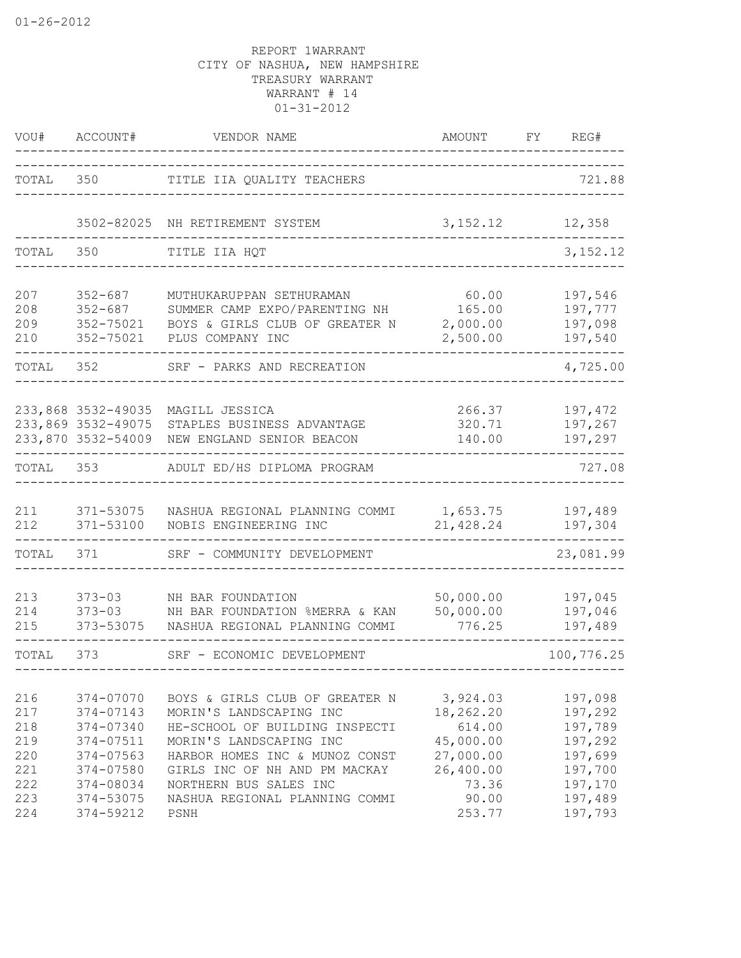| VOU#                                          | ACCOUNT#                                                                                | VENDOR NAME                                                                                                                                                                                                         | AMOUNT                                                                          | FY<br>REG#                                                                |
|-----------------------------------------------|-----------------------------------------------------------------------------------------|---------------------------------------------------------------------------------------------------------------------------------------------------------------------------------------------------------------------|---------------------------------------------------------------------------------|---------------------------------------------------------------------------|
| TOTAL                                         | 350                                                                                     | TITLE IIA QUALITY TEACHERS                                                                                                                                                                                          |                                                                                 | 721.88                                                                    |
|                                               | 3502-82025                                                                              | NH RETIREMENT SYSTEM                                                                                                                                                                                                | 3,152.12                                                                        | 12,358                                                                    |
| TOTAL                                         | 350                                                                                     | TITLE IIA HQT                                                                                                                                                                                                       |                                                                                 | 3, 152.12                                                                 |
| 207<br>208<br>209<br>210                      | $352 - 687$<br>$352 - 687$<br>352-75021<br>352-75021                                    | MUTHUKARUPPAN SETHURAMAN<br>SUMMER CAMP EXPO/PARENTING NH<br>BOYS & GIRLS CLUB OF GREATER N<br>PLUS COMPANY INC                                                                                                     | 60.00<br>165.00<br>2,000.00<br>2,500.00                                         | 197,546<br>197,777<br>197,098<br>197,540                                  |
| TOTAL                                         | 352                                                                                     | SRF - PARKS AND RECREATION                                                                                                                                                                                          |                                                                                 | 4,725.00                                                                  |
|                                               | 233,868 3532-49035<br>233,869 3532-49075<br>233,870 3532-54009                          | MAGILL JESSICA<br>STAPLES BUSINESS ADVANTAGE<br>NEW ENGLAND SENIOR BEACON                                                                                                                                           | 266.37<br>320.71<br>140.00                                                      | 197,472<br>197,267<br>197,297                                             |
| TOTAL                                         | 353                                                                                     | ADULT ED/HS DIPLOMA PROGRAM                                                                                                                                                                                         |                                                                                 | 727.08                                                                    |
| 211<br>212                                    | 371-53075<br>371-53100                                                                  | NASHUA REGIONAL PLANNING COMMI<br>NOBIS ENGINEERING INC                                                                                                                                                             | 1,653.75<br>21,428.24                                                           | 197,489<br>197,304                                                        |
| TOTAL                                         | 371                                                                                     | SRF - COMMUNITY DEVELOPMENT                                                                                                                                                                                         |                                                                                 | 23,081.99                                                                 |
| 213<br>214<br>215                             | $373 - 03$<br>$373 - 03$<br>373-53075                                                   | NH BAR FOUNDATION<br>NH BAR FOUNDATION %MERRA & KAN<br>NASHUA REGIONAL PLANNING COMMI                                                                                                                               | 50,000.00<br>50,000.00<br>776.25                                                | 197,045<br>197,046<br>197,489                                             |
| TOTAL                                         | 373                                                                                     | SRF - ECONOMIC DEVELOPMENT                                                                                                                                                                                          |                                                                                 | 100,776.25                                                                |
| 216<br>217<br>218<br>219<br>220<br>221<br>222 | 374-07070<br>374-07143<br>374-07340<br>374-07511<br>374-07563<br>374-07580<br>374-08034 | BOYS & GIRLS CLUB OF GREATER N<br>MORIN'S LANDSCAPING INC<br>HE-SCHOOL OF BUILDING INSPECTI<br>MORIN'S LANDSCAPING INC<br>HARBOR HOMES INC & MUNOZ CONST<br>GIRLS INC OF NH AND PM MACKAY<br>NORTHERN BUS SALES INC | 3,924.03<br>18,262.20<br>614.00<br>45,000.00<br>27,000.00<br>26,400.00<br>73.36 | 197,098<br>197,292<br>197,789<br>197,292<br>197,699<br>197,700<br>197,170 |
| 223<br>224                                    | 374-53075<br>374-59212                                                                  | NASHUA REGIONAL PLANNING COMMI<br>PSNH                                                                                                                                                                              | 90.00<br>253.77                                                                 | 197,489<br>197,793                                                        |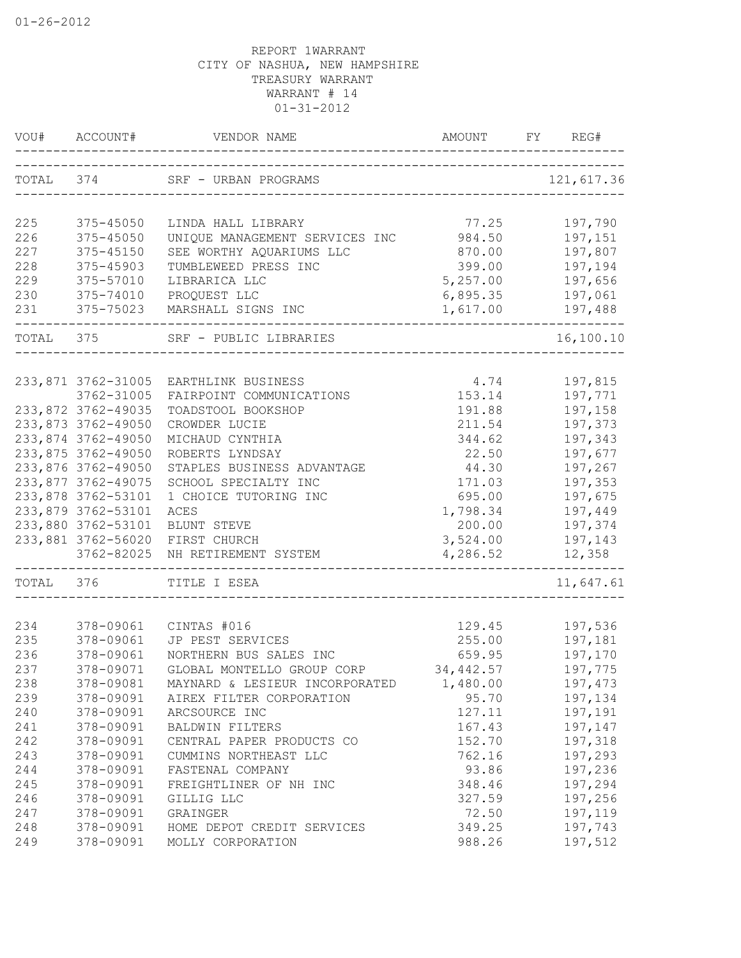|     | VOU# ACCOUNT#                            | VENDOR NAME                      | AMOUNT                                | REG#                        |
|-----|------------------------------------------|----------------------------------|---------------------------------------|-----------------------------|
|     |                                          | TOTAL 374 SRF - URBAN PROGRAMS   | _____________________________         | 121,617.36                  |
| 225 | 375-45050                                | LINDA HALL LIBRARY               | 77.25                                 | 197,790                     |
| 226 | 375-45050                                | UNIQUE MANAGEMENT SERVICES INC   | 984.50                                | 197,151                     |
| 227 | 375-45150                                | SEE WORTHY AQUARIUMS LLC         | 870.00                                | 197,807                     |
| 228 | 375-45903                                | TUMBLEWEED PRESS INC             | 399.00                                | 197,194                     |
| 229 | 375-57010                                | LIBRARICA LLC                    | 5,257.00                              | 197,656                     |
| 230 | 375-74010                                | PROQUEST LLC                     | 6,895.35                              | 197,061                     |
| 231 | 375-75023                                | MARSHALL SIGNS INC               | 1,617.00                              | 197,488<br>------           |
|     |                                          | TOTAL 375 SRF - PUBLIC LIBRARIES | ------------------------------------- | 16,100.10                   |
|     |                                          |                                  |                                       |                             |
|     | 233,871 3762-31005                       | EARTHLINK BUSINESS               | 4.74                                  | 197,815                     |
|     | 3762-31005                               | FAIRPOINT COMMUNICATIONS         | 153.14                                | 197,771                     |
|     | 233,872 3762-49035<br>233,873 3762-49050 | TOADSTOOL BOOKSHOP               | 191.88                                | 197,158                     |
|     | 233,874 3762-49050                       | CROWDER LUCIE<br>MICHAUD CYNTHIA | 211.54<br>344.62                      | 197,373<br>197,343          |
|     | 233,875 3762-49050                       | ROBERTS LYNDSAY                  | 22.50                                 |                             |
|     | 233,876 3762-49050                       | STAPLES BUSINESS ADVANTAGE       | 44.30                                 | 197,677<br>197,267          |
|     | 233,877 3762-49075                       | SCHOOL SPECIALTY INC             | 171.03                                | 197,353                     |
|     | 233,878 3762-53101                       | 1 CHOICE TUTORING INC            | 695.00                                | 197,675                     |
|     | 233,879 3762-53101                       | ACES                             | 1,798.34                              | 197,449                     |
|     | 233,880 3762-53101                       | BLUNT STEVE                      | 200.00                                | 197,374                     |
|     | 233,881 3762-56020                       | FIRST CHURCH                     | 3,524.00                              | 197,143                     |
|     | 3762-82025                               | NH RETIREMENT SYSTEM             | 4,286.52                              | 12,358                      |
|     | TOTAL 376                                | TITLE I ESEA                     |                                       | --------------<br>11,647.61 |
|     |                                          |                                  |                                       |                             |
| 234 | 378-09061                                | CINTAS #016                      | 129.45                                | 197,536                     |
| 235 | 378-09061                                | JP PEST SERVICES                 | 255.00                                | 197,181                     |
| 236 | 378-09061                                | NORTHERN BUS SALES INC           | 659.95                                | 197,170                     |
| 237 | 378-09071                                | GLOBAL MONTELLO GROUP CORP       | 34,442.57                             | 197,775                     |
| 238 | 378-09081                                | MAYNARD & LESIEUR INCORPORATED   | 1,480.00                              | 197,473                     |
| 239 | 378-09091                                | AIREX FILTER CORPORATION         | 95.70                                 | 197,134                     |
| 240 | 378-09091                                | ARCSOURCE INC                    | 127.11                                | 197,191                     |
| 241 | 378-09091                                | <b>BALDWIN FILTERS</b>           | 167.43                                | 197,147                     |
| 242 | 378-09091                                | CENTRAL PAPER PRODUCTS CO        | 152.70                                | 197,318                     |
| 243 | 378-09091                                | CUMMINS NORTHEAST LLC            | 762.16                                | 197,293                     |
| 244 | 378-09091                                | FASTENAL COMPANY                 | 93.86                                 | 197,236                     |
| 245 | 378-09091                                | FREIGHTLINER OF NH INC           | 348.46                                | 197,294                     |
| 246 | 378-09091                                | GILLIG LLC                       | 327.59                                | 197,256                     |
| 247 | 378-09091                                | GRAINGER                         | 72.50                                 | 197,119                     |
| 248 | 378-09091                                | HOME DEPOT CREDIT SERVICES       | 349.25                                | 197,743                     |
| 249 | 378-09091                                | MOLLY CORPORATION                | 988.26                                | 197,512                     |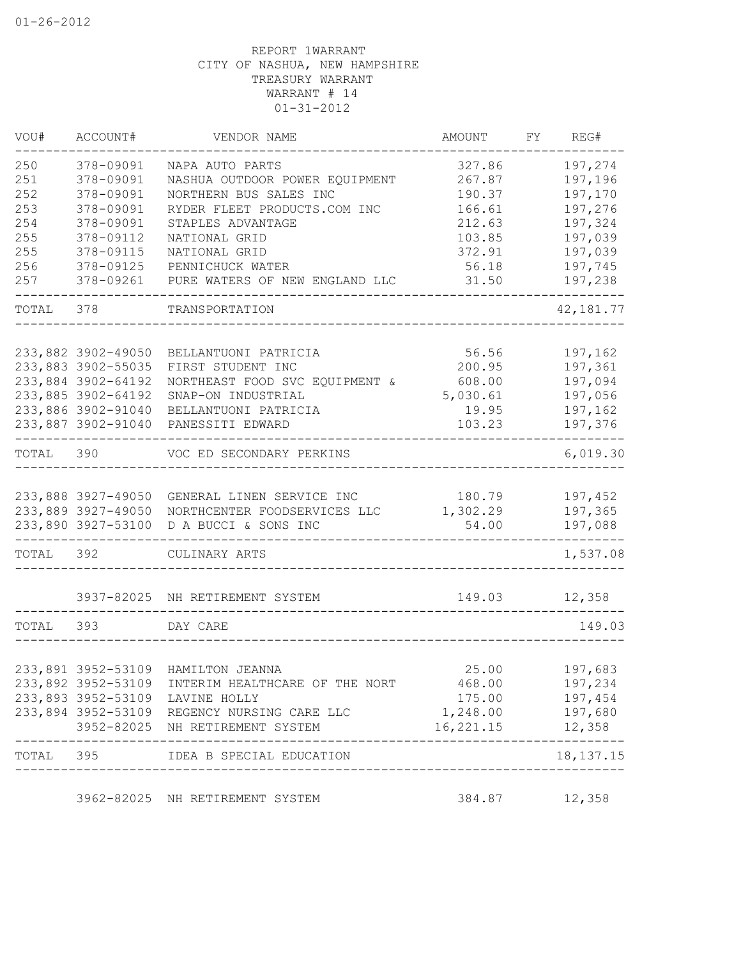| VOU#      | ACCOUNT#           | VENDOR NAME                                              | AMOUNT              | FY REG#                |
|-----------|--------------------|----------------------------------------------------------|---------------------|------------------------|
| 250       | 378-09091          | NAPA AUTO PARTS                                          | 327.86              | 197,274                |
| 251       | 378-09091          | NASHUA OUTDOOR POWER EQUIPMENT                           | 267.87              | 197,196                |
| 252       | 378-09091          | NORTHERN BUS SALES INC                                   | 190.37              | 197,170                |
| 253       | 378-09091          | RYDER FLEET PRODUCTS.COM INC                             | 166.61              | 197,276                |
| 254       | 378-09091          | STAPLES ADVANTAGE                                        | 212.63              | 197,324                |
| 255       | 378-09112          | NATIONAL GRID                                            | 103.85              | 197,039                |
| 255       | 378-09115          | NATIONAL GRID                                            | 372.91              | 197,039                |
| 256       | 378-09125          | PENNICHUCK WATER                                         | 56.18               | 197,745                |
| 257       | 378-09261          | PURE WATERS OF NEW ENGLAND LLC                           | 31.50               | 197,238                |
| TOTAL 378 |                    | TRANSPORTATION                                           |                     | 42, 181.77             |
|           | 233,882 3902-49050 |                                                          | 56.56               | 197,162                |
|           |                    | BELLANTUONI PATRICIA                                     | 200.95              | 197,361                |
|           | 233,883 3902-55035 | FIRST STUDENT INC                                        |                     |                        |
|           | 233,884 3902-64192 | NORTHEAST FOOD SVC EQUIPMENT &                           | 608.00              | 197,094                |
|           | 233,885 3902-64192 | SNAP-ON INDUSTRIAL                                       | 5,030.61            | 197,056                |
|           | 233,886 3902-91040 | BELLANTUONI PATRICIA                                     | 19.95               | 197,162                |
|           | 233,887 3902-91040 | PANESSITI EDWARD                                         | 103.23              | 197,376                |
| TOTAL 390 |                    | VOC ED SECONDARY PERKINS                                 |                     | 6,019.30               |
|           | 233,888 3927-49050 | GENERAL LINEN SERVICE INC                                | 180.79              | 197,452                |
|           | 233,889 3927-49050 | NORTHCENTER FOODSERVICES LLC                             | 1,302.29            | 197,365                |
|           | 233,890 3927-53100 | D A BUCCI & SONS INC                                     | 54.00               | 197,088                |
|           |                    |                                                          |                     |                        |
| TOTAL 392 |                    | CULINARY ARTS                                            |                     | 1,537.08               |
|           |                    | 3937-82025 NH RETIREMENT SYSTEM                          | 149.03              | 12,358                 |
| TOTAL 393 |                    | DAY CARE                                                 |                     | 149.03                 |
|           |                    |                                                          |                     |                        |
|           |                    | 233,891 3952-53109 HAMILTON JEANNA                       | 25.00               | 197,683                |
|           |                    | 233,892 3952-53109 INTERIM HEALTHCARE OF THE NORT 468.00 |                     | 197,234                |
|           |                    | 233,893 3952-53109 LAVINE HOLLY                          | 175.00              | 197,454                |
|           |                    | 233,894 3952-53109 REGENCY NURSING CARE LLC              | 1,248.00 197,680    |                        |
|           |                    | 3952-82025 NH RETIREMENT SYSTEM                          | 16, 221. 15 12, 358 |                        |
|           | ----------         | TOTAL 395 IDEA B SPECIAL EDUCATION                       |                     | $- - -$<br>18, 137. 15 |
|           |                    | 3962-82025 NH RETIREMENT SYSTEM                          | 384.87              | 12,358                 |
|           |                    |                                                          |                     |                        |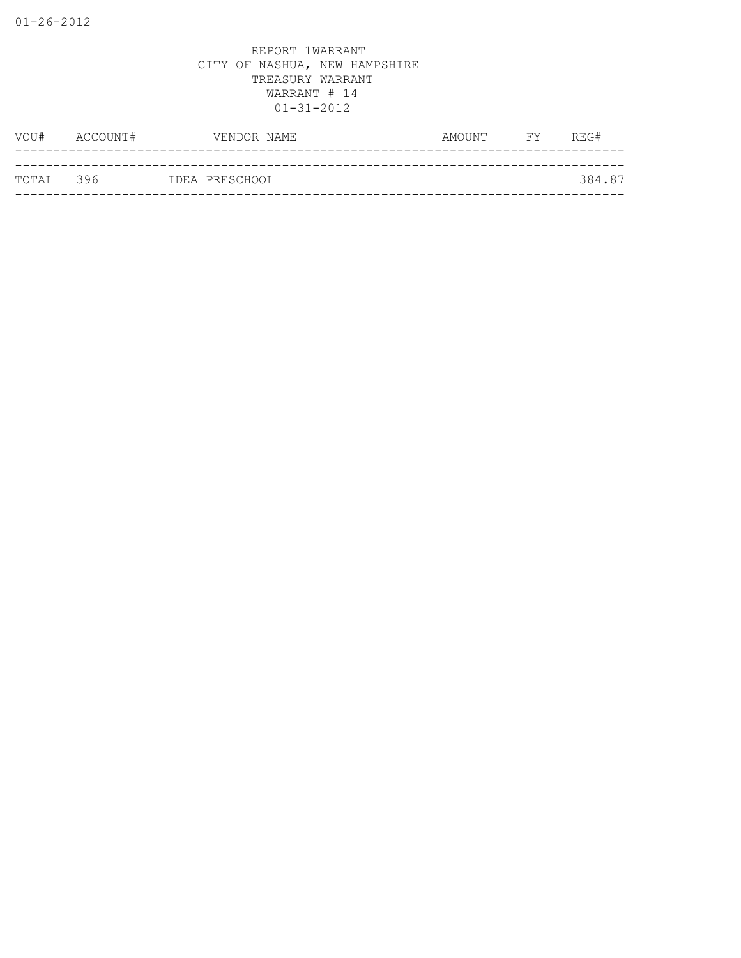| TOTAL 396 |          | IDEA PRESCHOOL |        |           | 384.87 |
|-----------|----------|----------------|--------|-----------|--------|
|           |          |                |        |           |        |
| VOU#      | ACCOUNT# | VENDOR NAME    | AMOUNT | <b>FY</b> | REG#   |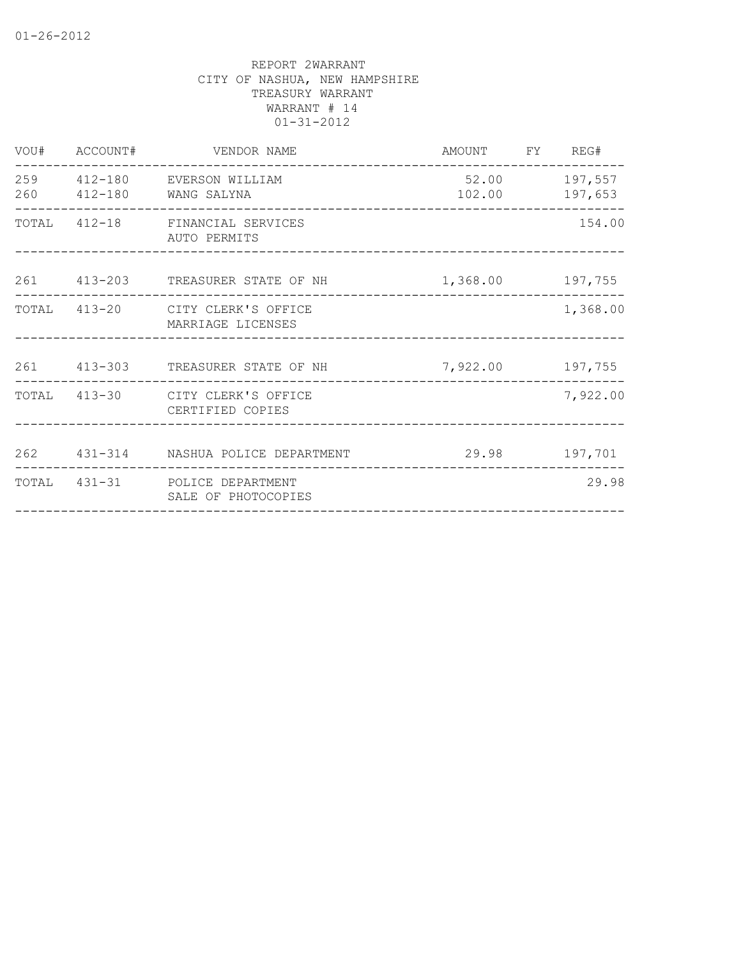|     | VOU# ACCOUNT# | VENDOR NAME                                           | AMOUNT FY REG#          |          |
|-----|---------------|-------------------------------------------------------|-------------------------|----------|
| 260 |               | 259 412-180 EVERSON WILLIAM<br>412-180 WANG SALYNA    | 52.00 197,557<br>102.00 | 197,653  |
|     |               | TOTAL 412-18 FINANCIAL SERVICES<br>AUTO PERMITS       |                         | 154.00   |
|     |               | 261 413-203 TREASURER STATE OF NH                     | 1,368.00 197,755        |          |
|     |               | TOTAL 413-20 CITY CLERK'S OFFICE<br>MARRIAGE LICENSES |                         | 1,368.00 |
|     |               | 261 413-303 TREASURER STATE OF NH                     | 7,922.00 197,755        |          |
|     |               | TOTAL 413-30 CITY CLERK'S OFFICE<br>CERTIFIED COPIES  |                         | 7,922.00 |
|     |               | 262 431-314 NASHUA POLICE DEPARTMENT                  | 29.98 197,701           |          |
|     |               | TOTAL 431-31 POLICE DEPARTMENT<br>SALE OF PHOTOCOPIES |                         | 29.98    |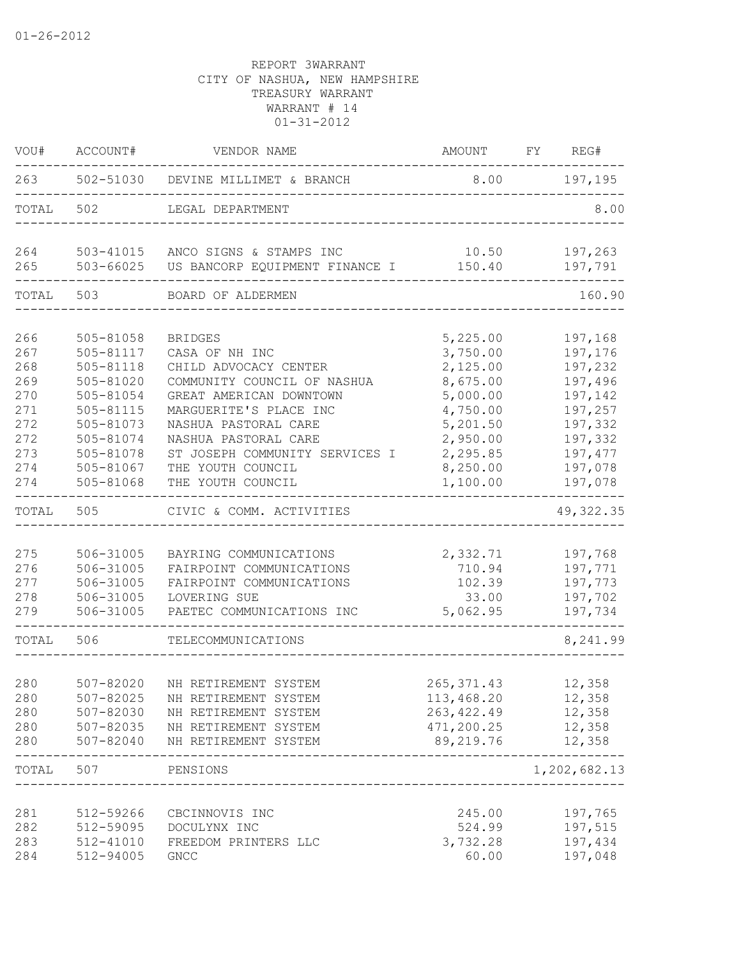| WOU#                                                                      | ACCOUNT#                                                                                                                                    | VENDOR NAME                                                                                                                                                                                                                                                               |                                                                                                                                  | AMOUNT FY REG#                                                                                                        |
|---------------------------------------------------------------------------|---------------------------------------------------------------------------------------------------------------------------------------------|---------------------------------------------------------------------------------------------------------------------------------------------------------------------------------------------------------------------------------------------------------------------------|----------------------------------------------------------------------------------------------------------------------------------|-----------------------------------------------------------------------------------------------------------------------|
| 263                                                                       |                                                                                                                                             | 502-51030 DEVINE MILLIMET & BRANCH                                                                                                                                                                                                                                        |                                                                                                                                  | 8.00 197,195                                                                                                          |
| TOTAL                                                                     | 502                                                                                                                                         | LEGAL DEPARTMENT                                                                                                                                                                                                                                                          |                                                                                                                                  | 8.00                                                                                                                  |
| 264<br>265                                                                | 503-41015<br>503-66025                                                                                                                      | ANCO SIGNS & STAMPS INC<br>US BANCORP EQUIPMENT FINANCE I                                                                                                                                                                                                                 | 10.50<br>150.40                                                                                                                  | 197,263<br>197,791                                                                                                    |
| TOTAL                                                                     | 503                                                                                                                                         | BOARD OF ALDERMEN                                                                                                                                                                                                                                                         |                                                                                                                                  | 160.90                                                                                                                |
| 266<br>267<br>268<br>269<br>270<br>271<br>272<br>272<br>273<br>274<br>274 | 505-81058<br>505-81117<br>505-81118<br>505-81020<br>505-81054<br>505-81115<br>505-81073<br>505-81074<br>505-81078<br>505-81067<br>505-81068 | <b>BRIDGES</b><br>CASA OF NH INC<br>CHILD ADVOCACY CENTER<br>COMMUNITY COUNCIL OF NASHUA<br>GREAT AMERICAN DOWNTOWN<br>MARGUERITE'S PLACE INC<br>NASHUA PASTORAL CARE<br>NASHUA PASTORAL CARE<br>ST JOSEPH COMMUNITY SERVICES I<br>THE YOUTH COUNCIL<br>THE YOUTH COUNCIL | 5,225.00<br>3,750.00<br>2,125.00<br>8,675.00<br>5,000.00<br>4,750.00<br>5,201.50<br>2,950.00<br>2,295.85<br>8,250.00<br>1,100.00 | 197,168<br>197,176<br>197,232<br>197,496<br>197,142<br>197,257<br>197,332<br>197,332<br>197,477<br>197,078<br>197,078 |
| TOTAL                                                                     | 505                                                                                                                                         | CIVIC & COMM. ACTIVITIES                                                                                                                                                                                                                                                  |                                                                                                                                  | 49, 322.35                                                                                                            |
| 275<br>276<br>277<br>278<br>279                                           | 506-31005<br>506-31005<br>506-31005<br>506-31005<br>506-31005                                                                               | BAYRING COMMUNICATIONS<br>FAIRPOINT COMMUNICATIONS<br>FAIRPOINT COMMUNICATIONS<br>LOVERING SUE<br>PAETEC COMMUNICATIONS INC                                                                                                                                               | 2,332.71<br>710.94<br>102.39<br>33.00<br>5,062.95                                                                                | 197,768<br>197,771<br>197,773<br>197,702<br>197,734                                                                   |
| TOTAL                                                                     | 506                                                                                                                                         | TELECOMMUNICATIONS                                                                                                                                                                                                                                                        |                                                                                                                                  | 8,241.99                                                                                                              |
| 280<br>280<br>280<br>280<br>280                                           | 507-82020<br>507-82025<br>507-82030<br>507-82035<br>507-82040                                                                               | NH RETIREMENT SYSTEM<br>NH RETIREMENT SYSTEM<br>NH RETIREMENT SYSTEM<br>NH RETIREMENT SYSTEM<br>NH RETIREMENT SYSTEM                                                                                                                                                      | 265, 371.43<br>113,468.20<br>263, 422.49<br>471,200.25<br>89,219.76                                                              | 12,358<br>12,358<br>12,358<br>12,358<br>12,358                                                                        |
| TOTAL                                                                     | 507                                                                                                                                         | PENSIONS                                                                                                                                                                                                                                                                  |                                                                                                                                  | 1,202,682.13                                                                                                          |
| 281<br>282<br>283<br>284                                                  | 512-59266<br>512-59095<br>512-41010<br>512-94005                                                                                            | CBCINNOVIS INC<br>DOCULYNX INC<br>FREEDOM PRINTERS LLC<br>GNCC                                                                                                                                                                                                            | 245.00<br>524.99<br>3,732.28<br>60.00                                                                                            | 197,765<br>197,515<br>197,434<br>197,048                                                                              |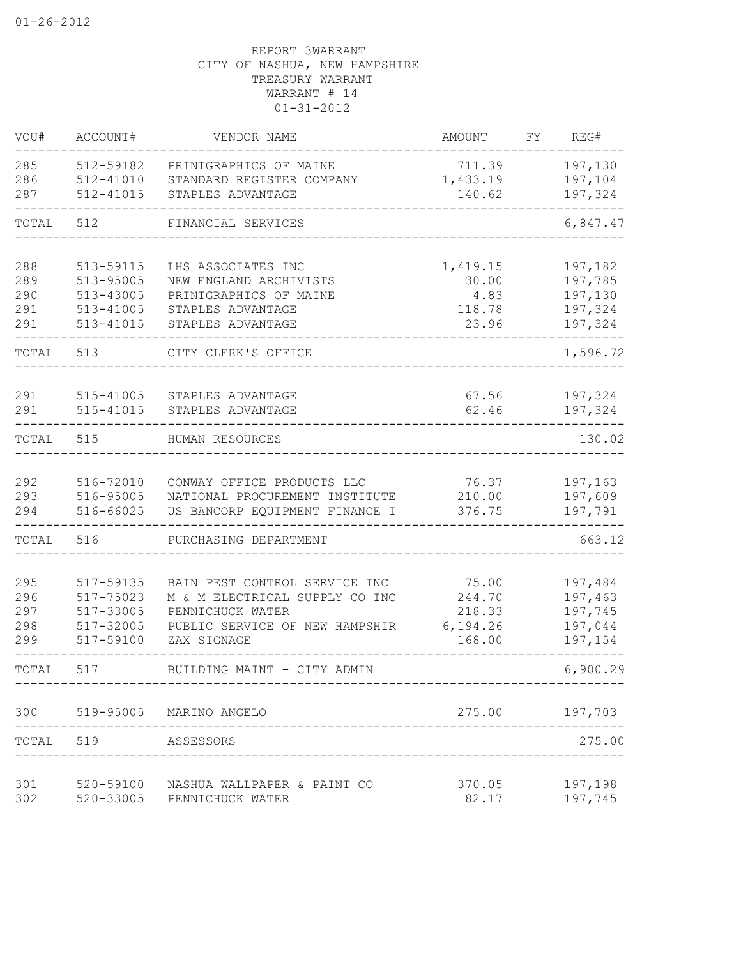| VOU#       | ACCOUNT#               | VENDOR NAME                    | AMOUNT    | FY. | REG#           |
|------------|------------------------|--------------------------------|-----------|-----|----------------|
| 285        | 512-59182              | PRINTGRAPHICS OF MAINE         | 711.39    |     | 197,130        |
| 286        | 512-41010              | STANDARD REGISTER COMPANY      | 1,433.19  |     | 197,104        |
| 287        | 512-41015              | STAPLES ADVANTAGE              | 140.62    |     | 197,324        |
| TOTAL      | 512                    | FINANCIAL SERVICES             |           |     | 6,847.47       |
| 288        | 513-59115              | LHS ASSOCIATES INC             | 1,419.15  |     | 197,182        |
| 289        | 513-95005              | NEW ENGLAND ARCHIVISTS         | 30.00     |     | 197,785        |
| 290        | 513-43005              | PRINTGRAPHICS OF MAINE         | 4.83      |     | 197,130        |
| 291        | 513-41005              | STAPLES ADVANTAGE              | 118.78    |     | 197,324        |
| 291        | 513-41015              | STAPLES ADVANTAGE              | 23.96     |     | 197,324        |
| TOTAL      | 513                    | CITY CLERK'S OFFICE            |           |     | 1,596.72       |
| 291        | 515-41005              | STAPLES ADVANTAGE              | 67.56     |     | 197,324        |
| 291        | 515-41015              | STAPLES ADVANTAGE              | 62.46     |     | 197,324        |
| TOTAL      | 515                    | HUMAN RESOURCES                |           |     | 130.02         |
|            |                        |                                |           |     |                |
| 292        | 516-72010              | CONWAY OFFICE PRODUCTS LLC     | 76.37     |     | 197,163        |
| 293        | 516-95005              | NATIONAL PROCUREMENT INSTITUTE | 210.00    |     | 197,609        |
| 294        | 516-66025              | US BANCORP EQUIPMENT FINANCE I | 376.75    |     | 197,791        |
| TOTAL      | 516                    | PURCHASING DEPARTMENT          |           |     | 663.12         |
|            |                        |                                |           |     |                |
| 295        | 517-59135              | BAIN PEST CONTROL SERVICE INC  | 75.00     |     | 197,484        |
| 296        | 517-75023              | M & M ELECTRICAL SUPPLY CO INC | 244.70    |     | 197,463        |
| 297        | 517-33005              | PENNICHUCK WATER               | 218.33    |     | 197,745        |
| 298<br>299 | 517-32005<br>517-59100 | PUBLIC SERVICE OF NEW HAMPSHIR | 6, 194.26 |     | 197,044        |
|            |                        | ZAX SIGNAGE                    | 168.00    |     | 197,154        |
| TOTAL      | 517                    | BUILDING MAINT - CITY ADMIN    |           |     | 6,900.29       |
|            |                        | 300 519-95005 MARINO ANGELO    |           |     | 275.00 197,703 |
|            | TOTAL 519 ASSESSORS    |                                |           |     | 275.00         |
|            |                        |                                |           |     |                |
| 301 000    | 520-59100              | NASHUA WALLPAPER & PAINT CO    | 370.05    |     | 197,198        |
| 302        |                        | 520-33005 PENNICHUCK WATER     | 82.17     |     | 197,745        |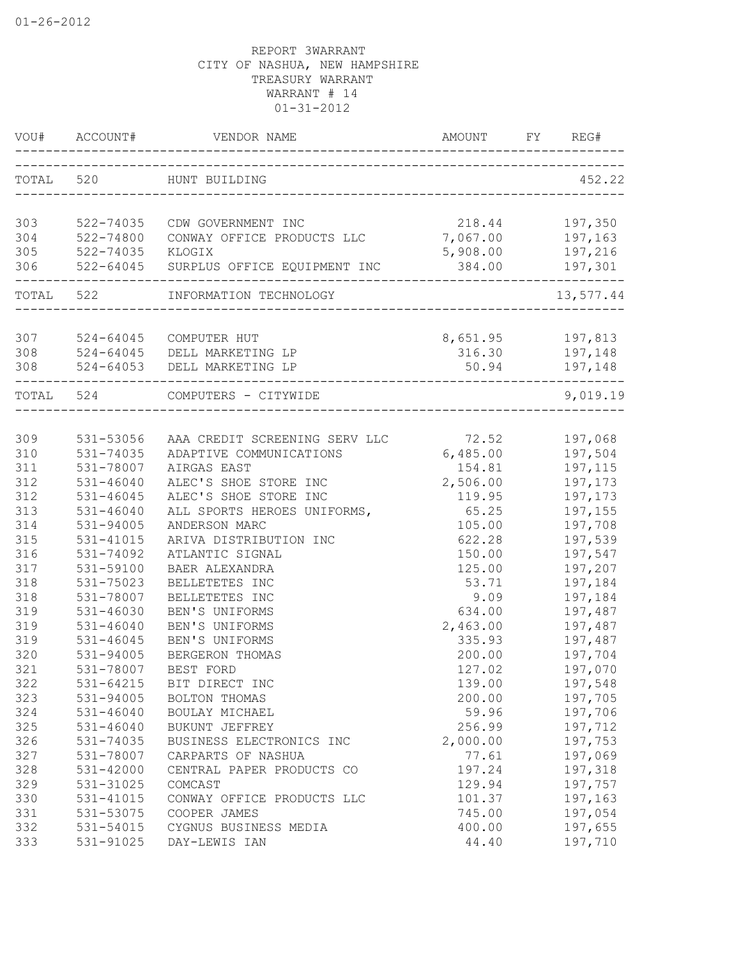| VOU#       | ACCOUNT#      | VENDOR NAME                                      | AMOUNT             | FY REG#              |
|------------|---------------|--------------------------------------------------|--------------------|----------------------|
|            |               | TOTAL 520 HUNT BUILDING                          |                    | 452.22               |
|            |               |                                                  |                    |                      |
| 303        | 522-74035     | CDW GOVERNMENT INC                               | 218.44             | 197,350              |
| 304        | 522-74800     | CONWAY OFFICE PRODUCTS LLC                       | 7,067.00           | 197,163              |
| 305<br>306 | 522-74035     | KLOGIX<br>522-64045 SURPLUS OFFICE EQUIPMENT INC | 5,908.00<br>384.00 | 197,216              |
|            |               |                                                  |                    | 197,301              |
| TOTAL 522  |               | INFORMATION TECHNOLOGY                           |                    | 13,577.44            |
| 307        | 524-64045     | COMPUTER HUT                                     | 8,651.95           | 197,813              |
| 308        | $524 - 64045$ | DELL MARKETING LP                                | 316.30             | 197,148              |
| 308        |               | 524-64053 DELL MARKETING LP                      | 50.94              | 197,148              |
|            | TOTAL 524     | COMPUTERS - CITYWIDE                             |                    | --------<br>9,019.19 |
|            |               |                                                  |                    |                      |
| 309        | 531-53056     | AAA CREDIT SCREENING SERV LLC                    | 72.52              | 197,068              |
| 310        | 531-74035     | ADAPTIVE COMMUNICATIONS                          | 6,485.00           | 197,504              |
| 311        | 531-78007     | AIRGAS EAST                                      | 154.81             | 197,115              |
| 312        | $531 - 46040$ | ALEC'S SHOE STORE INC                            | 2,506.00           | 197,173              |
| 312        | $531 - 46045$ | ALEC'S SHOE STORE INC                            | 119.95             | 197,173              |
| 313        | $531 - 46040$ | ALL SPORTS HEROES UNIFORMS,                      | 65.25              | 197,155              |
| 314        | 531-94005     | ANDERSON MARC                                    | 105.00             | 197,708              |
| 315        | 531-41015     | ARIVA DISTRIBUTION INC                           | 622.28             | 197,539              |
| 316        | 531-74092     | ATLANTIC SIGNAL                                  | 150.00             | 197,547              |
| 317        | 531-59100     | BAER ALEXANDRA                                   | 125.00             | 197,207              |
| 318        | 531-75023     | BELLETETES INC                                   | 53.71              | 197,184              |
| 318        | 531-78007     | BELLETETES INC                                   | 9.09               | 197,184              |
| 319        | 531-46030     | BEN'S UNIFORMS                                   | 634.00             | 197,487              |
| 319        | $531 - 46040$ | BEN'S UNIFORMS                                   | 2,463.00           | 197,487              |
| 319        | $531 - 46045$ | BEN'S UNIFORMS                                   | 335.93             | 197,487              |
| 320        | 531-94005     | BERGERON THOMAS                                  | 200.00             | 197,704              |
| 321        | 531-78007     | BEST FORD                                        | 127.02             | 197,070              |
| 322        | 531-64215     | BIT DIRECT INC                                   | 139.00             | 197,548              |
| 323        | 531-94005     | BOLTON THOMAS                                    | 200.00             | 197,705              |
| 324        | $531 - 46040$ | BOULAY MICHAEL                                   | 59.96              | 197,706              |
| 325        | $531 - 46040$ | BUKUNT JEFFREY                                   | 256.99             | 197,712              |
| 326        | 531-74035     | BUSINESS ELECTRONICS INC                         | 2,000.00           | 197,753              |
| 327        | 531-78007     | CARPARTS OF NASHUA                               | 77.61              | 197,069              |
| 328        | 531-42000     | CENTRAL PAPER PRODUCTS CO                        | 197.24             | 197,318              |
| 329        | 531-31025     | COMCAST                                          | 129.94             | 197,757              |
| 330        | 531-41015     | CONWAY OFFICE PRODUCTS LLC                       | 101.37             | 197,163              |
| 331        | 531-53075     | COOPER JAMES                                     | 745.00             | 197,054              |
| 332        | 531-54015     | CYGNUS BUSINESS MEDIA                            | 400.00             | 197,655              |
| 333        | 531-91025     | DAY-LEWIS IAN                                    | 44.40              | 197,710              |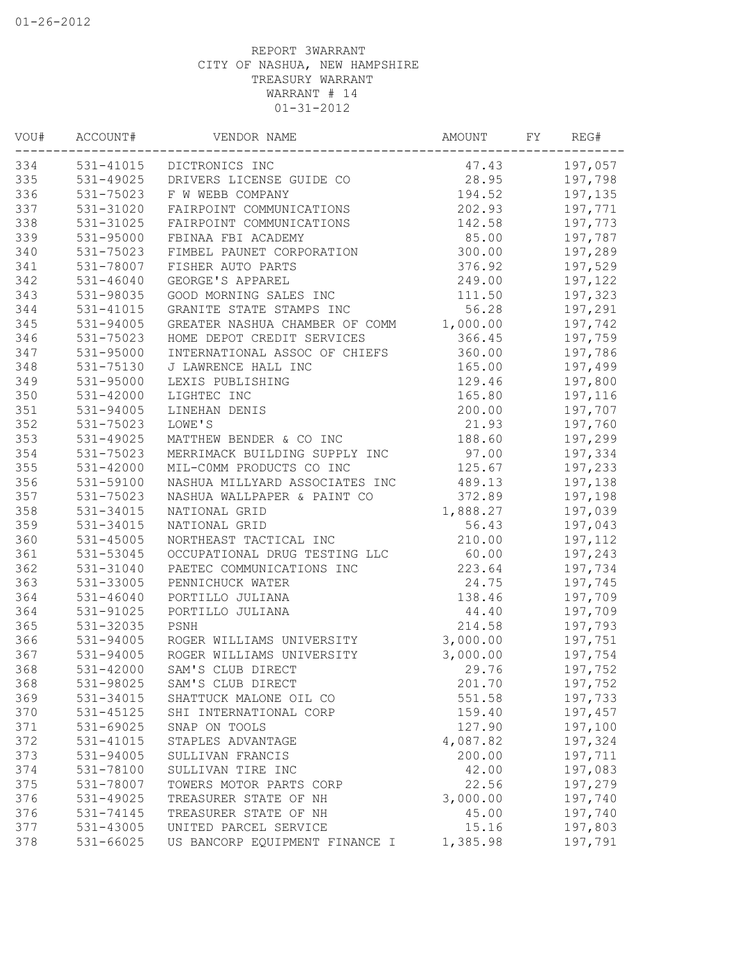| WOU# | ACCOUNT#      | VENDOR NAME                        | AMOUNT   | FΥ | REG#    |
|------|---------------|------------------------------------|----------|----|---------|
| 334  |               | 531-41015 DICTRONICS INC           | 47.43    |    | 197,057 |
| 335  |               | 531-49025 DRIVERS LICENSE GUIDE CO | 28.95    |    | 197,798 |
| 336  | 531-75023     | F W WEBB COMPANY                   | 194.52   |    | 197,135 |
| 337  | 531-31020     | FAIRPOINT COMMUNICATIONS           | 202.93   |    | 197,771 |
| 338  | 531-31025     | FAIRPOINT COMMUNICATIONS           | 142.58   |    | 197,773 |
| 339  | 531-95000     | FBINAA FBI ACADEMY                 | 85.00    |    | 197,787 |
| 340  | 531-75023     | FIMBEL PAUNET CORPORATION          | 300.00   |    | 197,289 |
| 341  | 531-78007     | FISHER AUTO PARTS                  | 376.92   |    | 197,529 |
| 342  | $531 - 46040$ | GEORGE'S APPAREL                   | 249.00   |    | 197,122 |
| 343  | 531-98035     | GOOD MORNING SALES INC             | 111.50   |    | 197,323 |
| 344  | 531-41015     | GRANITE STATE STAMPS INC           | 56.28    |    | 197,291 |
| 345  | 531-94005     | GREATER NASHUA CHAMBER OF COMM     | 1,000.00 |    | 197,742 |
| 346  | 531-75023     | HOME DEPOT CREDIT SERVICES         | 366.45   |    | 197,759 |
| 347  | 531-95000     | INTERNATIONAL ASSOC OF CHIEFS      | 360.00   |    | 197,786 |
| 348  | 531-75130     | J LAWRENCE HALL INC                | 165.00   |    | 197,499 |
| 349  | 531-95000     | LEXIS PUBLISHING                   | 129.46   |    | 197,800 |
| 350  | 531-42000     | LIGHTEC INC                        | 165.80   |    | 197,116 |
| 351  | 531-94005     | LINEHAN DENIS                      | 200.00   |    | 197,707 |
| 352  | 531-75023     | LOWE'S                             | 21.93    |    | 197,760 |
| 353  | 531-49025     | MATTHEW BENDER & CO INC            | 188.60   |    | 197,299 |
| 354  | 531-75023     | MERRIMACK BUILDING SUPPLY INC      | 97.00    |    | 197,334 |
| 355  | 531-42000     | MIL-COMM PRODUCTS CO INC           | 125.67   |    | 197,233 |
| 356  | 531-59100     | NASHUA MILLYARD ASSOCIATES INC     | 489.13   |    | 197,138 |
| 357  | 531-75023     | NASHUA WALLPAPER & PAINT CO        | 372.89   |    | 197,198 |
| 358  | 531-34015     | NATIONAL GRID                      | 1,888.27 |    | 197,039 |
| 359  | 531-34015     | NATIONAL GRID                      | 56.43    |    | 197,043 |
| 360  | $531 - 45005$ | NORTHEAST TACTICAL INC             | 210.00   |    | 197,112 |
| 361  | 531-53045     | OCCUPATIONAL DRUG TESTING LLC      | 60.00    |    | 197,243 |
| 362  | 531-31040     | PAETEC COMMUNICATIONS INC          | 223.64   |    | 197,734 |
| 363  | 531-33005     | PENNICHUCK WATER                   | 24.75    |    | 197,745 |
| 364  | $531 - 46040$ | PORTILLO JULIANA                   | 138.46   |    | 197,709 |
| 364  | 531-91025     | PORTILLO JULIANA                   | 44.40    |    | 197,709 |
| 365  | 531-32035     | PSNH                               | 214.58   |    | 197,793 |
| 366  | 531-94005     | ROGER WILLIAMS UNIVERSITY          | 3,000.00 |    | 197,751 |
| 367  | 531-94005     | ROGER WILLIAMS UNIVERSITY          | 3,000.00 |    | 197,754 |
| 368  | 531-42000     | SAM'S CLUB DIRECT                  | 29.76    |    | 197,752 |
| 368  | 531-98025     | SAM'S CLUB DIRECT                  | 201.70   |    | 197,752 |
| 369  | 531-34015     | SHATTUCK MALONE OIL CO             | 551.58   |    | 197,733 |
| 370  | 531-45125     | SHI INTERNATIONAL CORP             | 159.40   |    | 197,457 |
| 371  | 531-69025     | SNAP ON TOOLS                      | 127.90   |    | 197,100 |
| 372  | 531-41015     | STAPLES ADVANTAGE                  | 4,087.82 |    | 197,324 |
| 373  | 531-94005     | SULLIVAN FRANCIS                   | 200.00   |    | 197,711 |
| 374  | 531-78100     | SULLIVAN TIRE INC                  | 42.00    |    | 197,083 |
| 375  | 531-78007     | TOWERS MOTOR PARTS CORP            | 22.56    |    | 197,279 |
| 376  | 531-49025     | TREASURER STATE OF NH              | 3,000.00 |    | 197,740 |
| 376  | 531-74145     | TREASURER STATE OF NH              | 45.00    |    | 197,740 |
| 377  | 531-43005     | UNITED PARCEL SERVICE              | 15.16    |    | 197,803 |
| 378  | 531-66025     | US BANCORP EQUIPMENT FINANCE I     | 1,385.98 |    | 197,791 |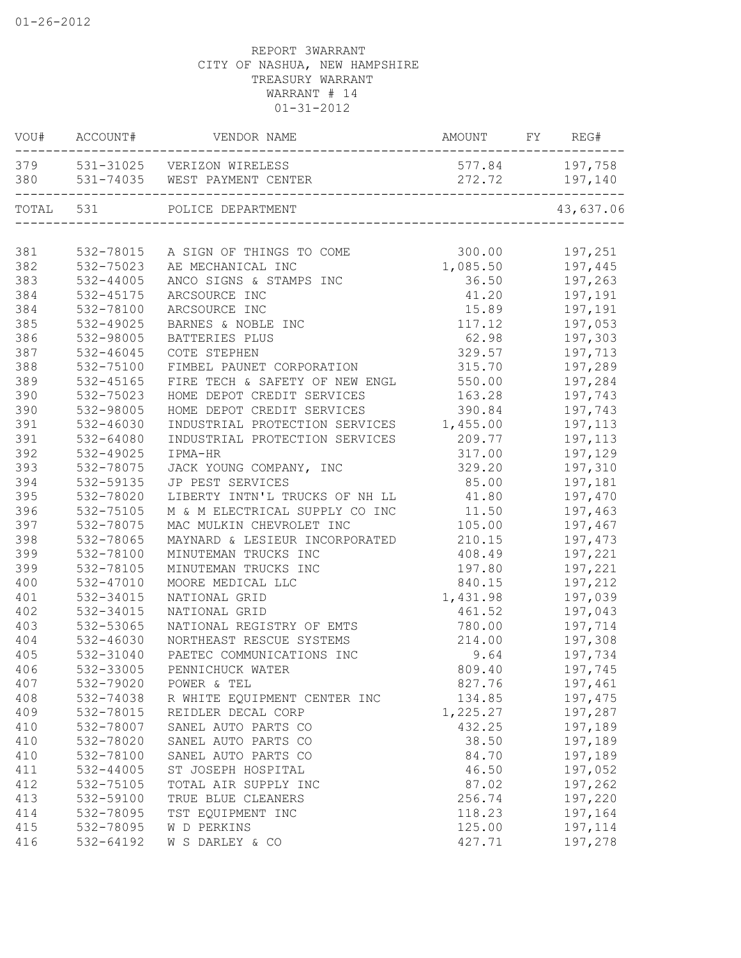| VOU#      | ACCOUNT#      | VENDOR NAME                                                     | AMOUNT           | FY | REG#               |
|-----------|---------------|-----------------------------------------------------------------|------------------|----|--------------------|
| 380       |               | 379 531-31025 VERIZON WIRELESS<br>531-74035 WEST PAYMENT CENTER | 577.84<br>272.72 |    | 197,758<br>197,140 |
| TOTAL 531 |               | POLICE DEPARTMENT                                               |                  |    | 43,637.06          |
| 381       | 532-78015     | A SIGN OF THINGS TO COME                                        | 300.00           |    | 197,251            |
| 382       | 532-75023     | AE MECHANICAL INC                                               | 1,085.50         |    | 197,445            |
| 383       | $532 - 44005$ | ANCO SIGNS & STAMPS INC                                         | 36.50            |    | 197,263            |
| 384       | 532-45175     | ARCSOURCE INC                                                   | 41.20            |    | 197,191            |
| 384       | 532-78100     | ARCSOURCE INC                                                   | 15.89            |    | 197,191            |
| 385       | 532-49025     | BARNES & NOBLE INC                                              | 117.12           |    | 197,053            |
| 386       | 532-98005     | BATTERIES PLUS                                                  | 62.98            |    | 197,303            |
| 387       | $532 - 46045$ | COTE STEPHEN                                                    | 329.57           |    | 197,713            |
| 388       | 532-75100     | FIMBEL PAUNET CORPORATION                                       | 315.70           |    | 197,289            |
| 389       | 532-45165     | FIRE TECH & SAFETY OF NEW ENGL                                  | 550.00           |    | 197,284            |
| 390       | 532-75023     | HOME DEPOT CREDIT SERVICES                                      | 163.28           |    | 197,743            |
| 390       | 532-98005     | HOME DEPOT CREDIT SERVICES                                      | 390.84           |    | 197,743            |
| 391       | 532-46030     | INDUSTRIAL PROTECTION SERVICES                                  | 1,455.00         |    | 197,113            |
| 391       | 532-64080     | INDUSTRIAL PROTECTION SERVICES                                  | 209.77           |    | 197,113            |
| 392       | 532-49025     | IPMA-HR                                                         | 317.00           |    | 197,129            |
| 393       | 532-78075     | JACK YOUNG COMPANY, INC                                         | 329.20           |    | 197,310            |
| 394       | 532-59135     | JP PEST SERVICES                                                | 85.00            |    | 197,181            |
| 395       | 532-78020     | LIBERTY INTN'L TRUCKS OF NH LL                                  | 41.80            |    | 197,470            |
| 396       | 532-75105     | M & M ELECTRICAL SUPPLY CO INC                                  | 11.50            |    | 197,463            |
| 397       | 532-78075     | MAC MULKIN CHEVROLET INC                                        | 105.00           |    | 197,467            |
| 398       | 532-78065     | MAYNARD & LESIEUR INCORPORATED                                  | 210.15           |    | 197,473            |
| 399       | 532-78100     | MINUTEMAN TRUCKS INC                                            | 408.49           |    | 197,221            |
| 399       | 532-78105     | MINUTEMAN TRUCKS INC                                            | 197.80           |    | 197,221            |
| 400       | 532-47010     | MOORE MEDICAL LLC                                               | 840.15           |    | 197,212            |
| 401       | 532-34015     | NATIONAL GRID                                                   | 1,431.98         |    | 197,039            |
| 402       | 532-34015     | NATIONAL GRID                                                   | 461.52           |    | 197,043            |
| 403       | 532-53065     | NATIONAL REGISTRY OF EMTS                                       | 780.00           |    | 197,714            |
| 404       | 532-46030     | NORTHEAST RESCUE SYSTEMS                                        | 214.00           |    | 197,308            |
| 405       | 532-31040     | PAETEC COMMUNICATIONS INC                                       | 9.64             |    | 197,734            |
| 406       | 532-33005     | PENNICHUCK WATER                                                | 809.40           |    | 197,745            |
| 407       | 532-79020     | POWER & TEL                                                     | 827.76           |    | 197,461            |
| 408       | 532-74038     | R WHITE EQUIPMENT CENTER INC                                    | 134.85           |    | 197,475            |
| 409       | 532-78015     | REIDLER DECAL CORP                                              | 1,225.27         |    | 197,287            |
| 410       | 532-78007     | SANEL AUTO PARTS CO                                             | 432.25           |    | 197,189            |
| 410       | 532-78020     | SANEL AUTO PARTS CO                                             | 38.50            |    | 197,189            |
| 410       | 532-78100     | SANEL AUTO PARTS CO                                             | 84.70            |    | 197,189            |
| 411       | $532 - 44005$ | ST JOSEPH HOSPITAL                                              | 46.50            |    | 197,052            |
| 412       | 532-75105     | TOTAL AIR SUPPLY INC                                            | 87.02            |    | 197,262            |
| 413       | 532-59100     | TRUE BLUE CLEANERS                                              | 256.74           |    | 197,220            |
| 414       | 532-78095     | TST EQUIPMENT INC                                               | 118.23           |    | 197,164            |
| 415       | 532-78095     | W D PERKINS                                                     | 125.00           |    | 197,114            |
| 416       | 532-64192     | W S DARLEY & CO                                                 | 427.71           |    | 197,278            |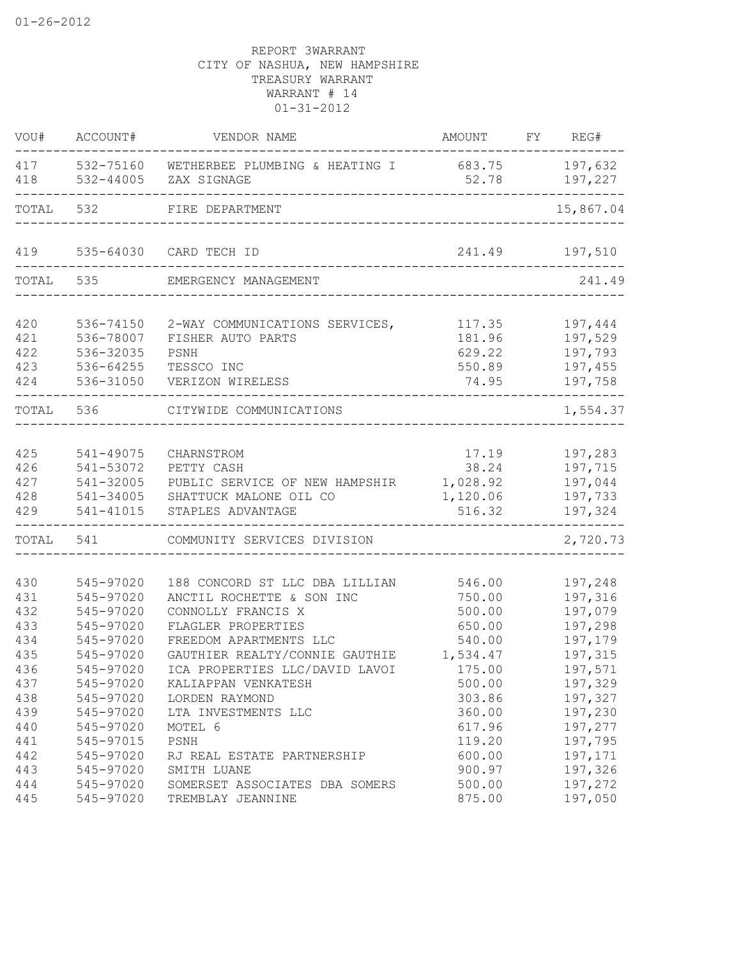| VOU#       | ACCOUNT#                   | VENDOR NAME                                   | AMOUNT          | FY | REG#               |
|------------|----------------------------|-----------------------------------------------|-----------------|----|--------------------|
| 417<br>418 | 532-75160<br>$532 - 44005$ | WETHERBEE PLUMBING & HEATING I<br>ZAX SIGNAGE | 683.75<br>52.78 |    | 197,632<br>197,227 |
| TOTAL      | 532                        | FIRE DEPARTMENT                               |                 |    | 15,867.04          |
| 419        | 535-64030                  | CARD TECH ID                                  | 241.49          |    | 197,510            |
| TOTAL      | 535                        | EMERGENCY MANAGEMENT                          |                 |    | 241.49             |
| 420        | 536-74150                  | 2-WAY COMMUNICATIONS SERVICES,                | 117.35          |    | 197,444            |
| 421        | 536-78007                  | FISHER AUTO PARTS                             | 181.96          |    | 197,529            |
| 422        | 536-32035                  | PSNH                                          | 629.22          |    | 197,793            |
| 423        | 536-64255                  | TESSCO INC                                    | 550.89          |    | 197,455            |
| 424        | 536-31050                  | VERIZON WIRELESS                              | 74.95           |    | 197,758            |
| TOTAL      | 536                        | CITYWIDE COMMUNICATIONS                       |                 |    | 1,554.37           |
|            |                            |                                               |                 |    |                    |
| 425        | 541-49075                  | CHARNSTROM                                    | 17.19           |    | 197,283            |
| 426        | 541-53072                  | PETTY CASH                                    | 38.24           |    | 197,715            |
| 427        | 541-32005                  | PUBLIC SERVICE OF NEW HAMPSHIR                | 1,028.92        |    | 197,044            |
| 428        | 541-34005                  | SHATTUCK MALONE OIL CO                        | 1,120.06        |    | 197,733            |
| 429        | 541-41015                  | STAPLES ADVANTAGE                             | 516.32          |    | 197,324            |
| TOTAL      | 541                        | COMMUNITY SERVICES DIVISION                   |                 |    | 2,720.73           |
| 430        | 545-97020                  | 188 CONCORD ST LLC DBA LILLIAN                | 546.00          |    | 197,248            |
| 431        | 545-97020                  | ANCTIL ROCHETTE & SON INC                     | 750.00          |    | 197,316            |
| 432        | 545-97020                  | CONNOLLY FRANCIS X                            | 500.00          |    | 197,079            |
| 433        | 545-97020                  | FLAGLER PROPERTIES                            | 650.00          |    | 197,298            |
| 434        | 545-97020                  | FREEDOM APARTMENTS LLC                        | 540.00          |    | 197,179            |
| 435        | 545-97020                  | GAUTHIER REALTY/CONNIE GAUTHIE                | 1,534.47        |    | 197,315            |
| 436        | 545-97020                  | ICA PROPERTIES LLC/DAVID LAVOI                | 175.00          |    | 197,571            |
| 437        | 545-97020                  | KALIAPPAN VENKATESH                           | 500.00          |    | 197,329            |
| 438        | 545-97020                  | LORDEN RAYMOND                                | 303.86          |    | 197,327            |
| 439        | 545-97020                  | LTA INVESTMENTS LLC                           | 360.00          |    | 197,230            |
| 440        | 545-97020                  | MOTEL 6                                       | 617.96          |    | 197,277            |
| 441        | 545-97015                  | PSNH                                          | 119.20          |    | 197,795            |
| 442        | 545-97020                  | RJ REAL ESTATE PARTNERSHIP                    | 600.00          |    | 197,171            |
| 443        | 545-97020                  | SMITH LUANE                                   | 900.97          |    | 197,326            |
| 444        | 545-97020                  | SOMERSET ASSOCIATES DBA SOMERS                | 500.00          |    | 197,272            |
| 445        |                            | 545-97020 TREMBLAY JEANNINE                   | 875.00          |    | 197,050            |
|            |                            |                                               |                 |    |                    |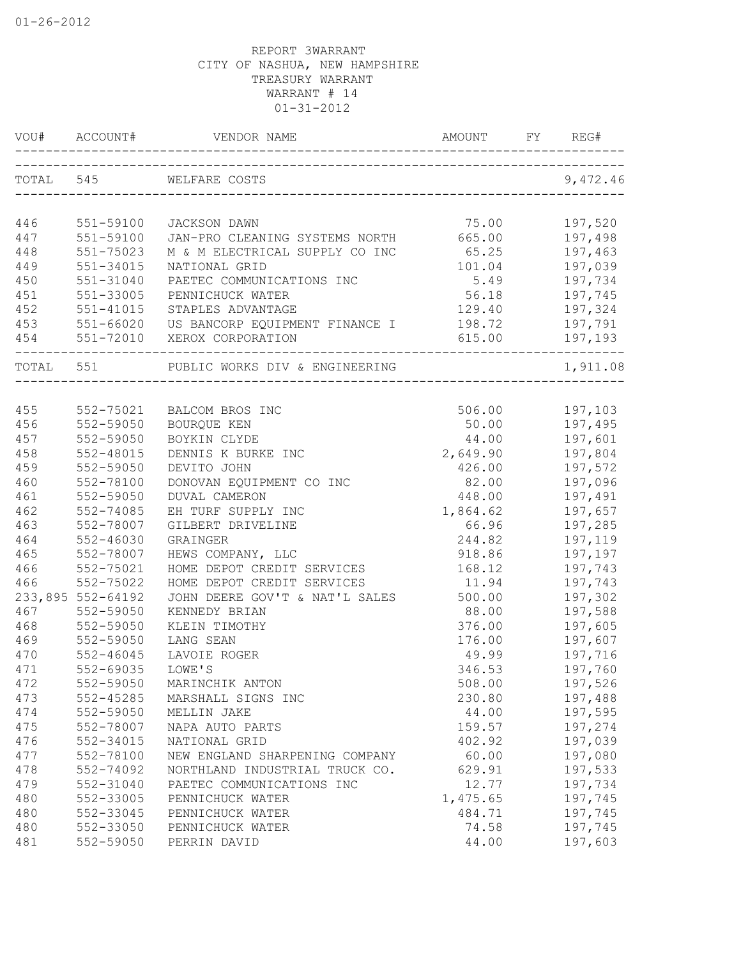| VOU#      |                   |                                                                      | AMOUNT   |                               |
|-----------|-------------------|----------------------------------------------------------------------|----------|-------------------------------|
|           |                   | TOTAL 545 WELFARE COSTS<br>___________________________               |          | 9,472.46                      |
|           |                   |                                                                      |          |                               |
| 446       | 551-59100         | JACKSON DAWN                                                         | 75.00    | 197,520                       |
| 447       | 551-59100         | JAN-PRO CLEANING SYSTEMS NORTH                                       | 665.00   | 197,498                       |
| 448       | 551-75023         | M & M ELECTRICAL SUPPLY CO INC                                       | 65.25    | 197,463                       |
| 449       | 551-34015         | NATIONAL GRID                                                        | 101.04   | 197,039                       |
| 450       | 551-31040         | PAETEC COMMUNICATIONS INC                                            | 5.49     | 197,734                       |
| 451       | 551-33005         | PENNICHUCK WATER                                                     | 56.18    | 197,745                       |
| 452       | 551-41015         | STAPLES ADVANTAGE                                                    | 129.40   | 197,324                       |
| 453       | 551-66020         | US BANCORP EQUIPMENT FINANCE I                                       | 198.72   | 197,791                       |
| 454       |                   | 551-72010 XEROX CORPORATION                                          | 615.00   | 197,193                       |
| TOTAL 551 |                   | ----------------------------------<br>PUBLIC WORKS DIV & ENGINEERING |          | -----------------<br>1,911.08 |
|           |                   |                                                                      |          |                               |
| 455       | 552-75021         | BALCOM BROS INC                                                      |          | 506.00 197,103                |
| 456       | 552-59050         | BOURQUE KEN                                                          | 50.00    | 197,495                       |
| 457       | 552-59050         | BOYKIN CLYDE                                                         | 44.00    | 197,601                       |
| 458       | 552-48015         | DENNIS K BURKE INC                                                   | 2,649.90 | 197,804                       |
| 459       | 552-59050         | DEVITO JOHN                                                          | 426.00   | 197,572                       |
| 460       | 552-78100         | DONOVAN EQUIPMENT CO INC                                             | 82.00    | 197,096                       |
| 461       | 552-59050         | <b>DUVAL CAMERON</b>                                                 | 448.00   | 197,491                       |
| 462       | 552-74085         | EH TURF SUPPLY INC                                                   | 1,864.62 | 197,657                       |
| 463       | 552-78007         | GILBERT DRIVELINE                                                    | 66.96    | 197,285                       |
| 464       | 552-46030         | GRAINGER                                                             | 244.82   | 197,119                       |
| 465       | 552-78007         | HEWS COMPANY, LLC                                                    | 918.86   | 197,197                       |
| 466       | 552-75021         | HOME DEPOT CREDIT SERVICES                                           | 168.12   | 197,743                       |
| 466       | 552-75022         | HOME DEPOT CREDIT SERVICES                                           | 11.94    | 197,743                       |
|           | 233,895 552-64192 | JOHN DEERE GOV'T & NAT'L SALES                                       | 500.00   | 197,302                       |
| 467       | 552-59050         | KENNEDY BRIAN                                                        | 88.00    | 197,588                       |
| 468       | 552-59050         | KLEIN TIMOTHY                                                        | 376.00   | 197,605                       |
| 469       | 552-59050         | LANG SEAN                                                            | 176.00   | 197,607                       |
| 470       | $552 - 46045$     | LAVOIE ROGER                                                         | 49.99    | 197,716                       |
| 471       | 552-69035         | LOWE'S                                                               | 346.53   | 197,760                       |
| 472       | 552-59050         | MARINCHIK ANTON                                                      | 508.00   | 197,526                       |
| 473       | $552 - 45285$     | MARSHALL SIGNS INC                                                   | 230.80   | 197,488                       |
| 474       | 552-59050         | MELLIN JAKE                                                          | 44.00    | 197,595                       |
| 475       | 552-78007         | NAPA AUTO PARTS                                                      | 159.57   | 197,274                       |
| 476       | 552-34015         | NATIONAL GRID                                                        | 402.92   | 197,039                       |
| 477       | 552-78100         | NEW ENGLAND SHARPENING COMPANY                                       | 60.00    | 197,080                       |
| 478       | 552-74092         | NORTHLAND INDUSTRIAL TRUCK CO.                                       | 629.91   | 197,533                       |
| 479       | 552-31040         | PAETEC COMMUNICATIONS INC                                            | 12.77    | 197,734                       |
| 480       | 552-33005         | PENNICHUCK WATER                                                     | 1,475.65 | 197,745                       |
| 480       | 552-33045         | PENNICHUCK WATER                                                     | 484.71   | 197,745                       |
| 480       | 552-33050         | PENNICHUCK WATER                                                     | 74.58    | 197,745                       |
| 481       | 552-59050         | PERRIN DAVID                                                         | 44.00    | 197,603                       |
|           |                   |                                                                      |          |                               |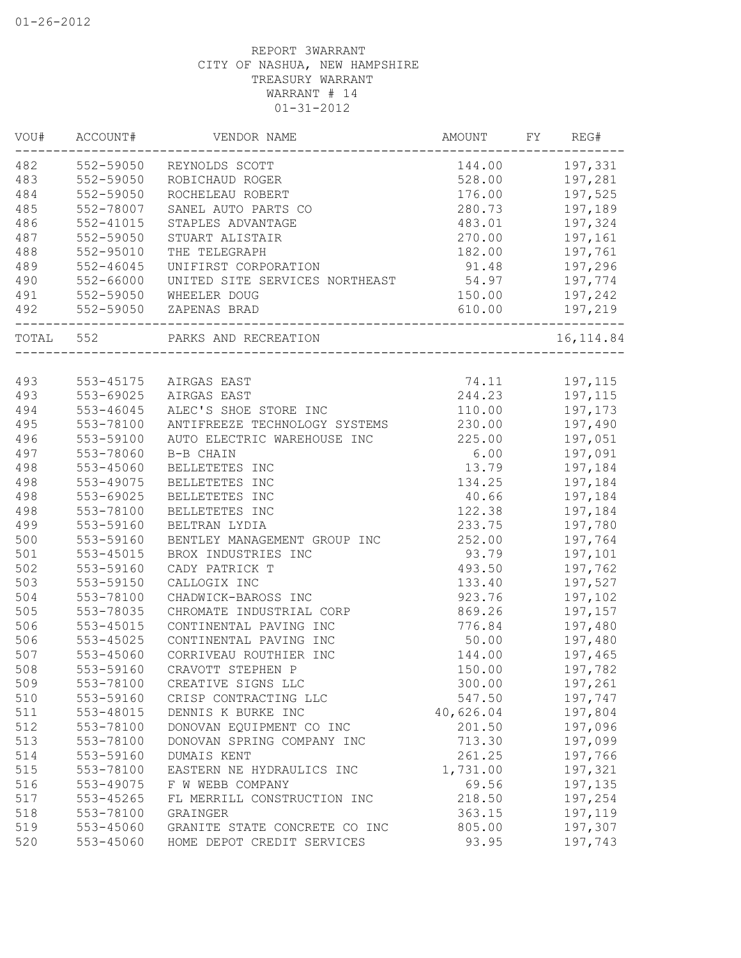| VOU# | ACCOUNT#      | VENDOR NAME                                         | <b>AMOUNT</b> | FY | REG#       |
|------|---------------|-----------------------------------------------------|---------------|----|------------|
| 482  | 552-59050     | REYNOLDS SCOTT                                      | 144.00        |    | 197,331    |
| 483  | 552-59050     | ROBICHAUD ROGER                                     | 528.00        |    | 197,281    |
| 484  | 552-59050     | ROCHELEAU ROBERT                                    | 176.00        |    | 197,525    |
| 485  | 552-78007     | SANEL AUTO PARTS CO                                 | 280.73        |    | 197,189    |
| 486  | $552 - 41015$ | STAPLES ADVANTAGE                                   | 483.01        |    | 197,324    |
| 487  | 552-59050     | STUART ALISTAIR                                     | 270.00        |    | 197,161    |
| 488  | 552-95010     | THE TELEGRAPH                                       | 182.00        |    | 197,761    |
| 489  | $552 - 46045$ | UNIFIRST CORPORATION                                | 91.48         |    | 197,296    |
| 490  | 552-66000     | UNITED SITE SERVICES NORTHEAST                      | 54.97         |    | 197,774    |
| 491  | 552-59050     | WHEELER DOUG                                        | 150.00        |    | 197,242    |
| 492  |               | 552-59050 ZAPENAS BRAD                              | 610.00        |    | 197,219    |
|      | TOTAL 552     | PARKS AND RECREATION<br>___________________________ |               |    | 16, 114.84 |
|      |               |                                                     |               |    |            |
| 493  | 553-45175     | AIRGAS EAST                                         | 74.11         |    | 197,115    |
| 493  | 553-69025     | AIRGAS EAST                                         | 244.23        |    | 197,115    |
| 494  | 553-46045     | ALEC'S SHOE STORE INC                               | 110.00        |    | 197,173    |
| 495  | 553-78100     | ANTIFREEZE TECHNOLOGY SYSTEMS                       | 230.00        |    | 197,490    |
| 496  | 553-59100     | AUTO ELECTRIC WAREHOUSE INC                         | 225.00        |    | 197,051    |
| 497  | 553-78060     | B-B CHAIN                                           | 6.00          |    | 197,091    |
| 498  | 553-45060     | BELLETETES INC                                      | 13.79         |    | 197,184    |
| 498  | 553-49075     | BELLETETES INC                                      | 134.25        |    | 197,184    |
| 498  | 553-69025     | BELLETETES INC                                      | 40.66         |    | 197,184    |
| 498  | 553-78100     | BELLETETES INC                                      | 122.38        |    | 197,184    |
| 499  | 553-59160     | BELTRAN LYDIA                                       | 233.75        |    | 197,780    |
| 500  | 553-59160     | BENTLEY MANAGEMENT GROUP INC                        | 252.00        |    | 197,764    |
| 501  | 553-45015     | BROX INDUSTRIES INC                                 | 93.79         |    | 197,101    |
| 502  | 553-59160     | CADY PATRICK T                                      | 493.50        |    | 197,762    |
| 503  | 553-59150     | CALLOGIX INC                                        | 133.40        |    | 197,527    |
| 504  | 553-78100     | CHADWICK-BAROSS INC                                 | 923.76        |    | 197,102    |
| 505  | 553-78035     | CHROMATE INDUSTRIAL CORP                            | 869.26        |    | 197,157    |
| 506  | 553-45015     | CONTINENTAL PAVING INC                              | 776.84        |    | 197,480    |
| 506  | 553-45025     | CONTINENTAL PAVING INC                              | 50.00         |    | 197,480    |
| 507  | 553-45060     | CORRIVEAU ROUTHIER INC                              | 144.00        |    | 197,465    |
| 508  | 553-59160     | CRAVOTT STEPHEN P                                   | 150.00        |    | 197,782    |
| 509  | 553-78100     | CREATIVE SIGNS LLC                                  | 300.00        |    | 197,261    |
| 510  | 553-59160     | CRISP CONTRACTING LLC                               | 547.50        |    | 197,747    |
| 511  | 553-48015     | DENNIS K BURKE INC                                  | 40,626.04     |    | 197,804    |
| 512  | 553-78100     | DONOVAN EQUIPMENT CO INC                            | 201.50        |    | 197,096    |
| 513  | 553-78100     | DONOVAN SPRING COMPANY INC                          | 713.30        |    | 197,099    |
| 514  | 553-59160     | DUMAIS KENT                                         | 261.25        |    | 197,766    |
| 515  | 553-78100     | EASTERN NE HYDRAULICS INC                           | 1,731.00      |    | 197,321    |
| 516  | 553-49075     | F W WEBB COMPANY                                    | 69.56         |    | 197,135    |
| 517  | 553-45265     | FL MERRILL CONSTRUCTION INC                         | 218.50        |    | 197,254    |
| 518  | 553-78100     | GRAINGER                                            | 363.15        |    | 197,119    |
| 519  | 553-45060     | GRANITE STATE CONCRETE CO INC                       | 805.00        |    | 197,307    |
| 520  | 553-45060     | HOME DEPOT CREDIT SERVICES                          | 93.95         |    | 197,743    |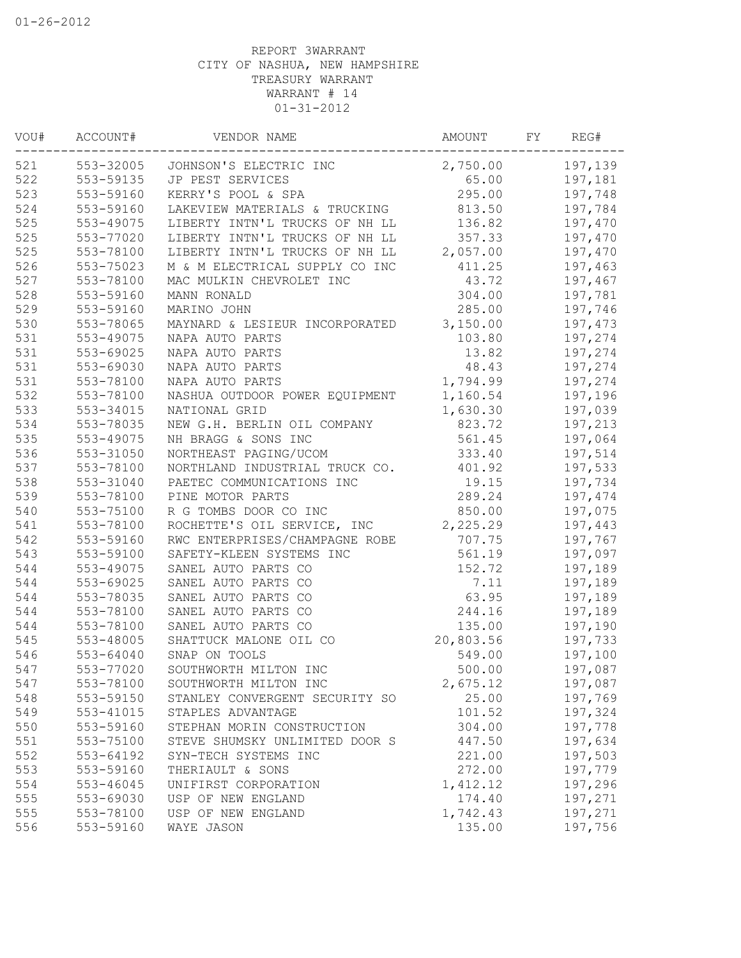| VOU# | ACCOUNT#      | VENDOR NAME                      | AMOUNT    | FΥ | REG#    |
|------|---------------|----------------------------------|-----------|----|---------|
| 521  |               | 553-32005 JOHNSON'S ELECTRIC INC | 2,750.00  |    | 197,139 |
| 522  | 553-59135     | JP PEST SERVICES                 | 65.00     |    | 197,181 |
| 523  | 553-59160     | KERRY'S POOL & SPA               | 295.00    |    | 197,748 |
| 524  | 553-59160     | LAKEVIEW MATERIALS & TRUCKING    | 813.50    |    | 197,784 |
| 525  | 553-49075     | LIBERTY INTN'L TRUCKS OF NH LL   | 136.82    |    | 197,470 |
| 525  | 553-77020     | LIBERTY INTN'L TRUCKS OF NH LL   | 357.33    |    | 197,470 |
| 525  | 553-78100     | LIBERTY INTN'L TRUCKS OF NH LL   | 2,057.00  |    | 197,470 |
| 526  | 553-75023     | M & M ELECTRICAL SUPPLY CO INC   | 411.25    |    | 197,463 |
| 527  | 553-78100     | MAC MULKIN CHEVROLET INC         | 43.72     |    | 197,467 |
| 528  | 553-59160     | MANN RONALD                      | 304.00    |    | 197,781 |
| 529  | 553-59160     | MARINO JOHN                      | 285.00    |    | 197,746 |
| 530  | 553-78065     | MAYNARD & LESIEUR INCORPORATED   | 3,150.00  |    | 197,473 |
| 531  | 553-49075     | NAPA AUTO PARTS                  | 103.80    |    | 197,274 |
| 531  | 553-69025     | NAPA AUTO PARTS                  | 13.82     |    | 197,274 |
| 531  | 553-69030     | NAPA AUTO PARTS                  | 48.43     |    | 197,274 |
| 531  | 553-78100     | NAPA AUTO PARTS                  | 1,794.99  |    | 197,274 |
| 532  | 553-78100     | NASHUA OUTDOOR POWER EQUIPMENT   | 1,160.54  |    | 197,196 |
| 533  | 553-34015     | NATIONAL GRID                    | 1,630.30  |    | 197,039 |
| 534  | 553-78035     | NEW G.H. BERLIN OIL COMPANY      | 823.72    |    | 197,213 |
| 535  | 553-49075     | NH BRAGG & SONS INC              | 561.45    |    | 197,064 |
| 536  | 553-31050     | NORTHEAST PAGING/UCOM            | 333.40    |    | 197,514 |
| 537  | 553-78100     | NORTHLAND INDUSTRIAL TRUCK CO.   | 401.92    |    | 197,533 |
| 538  | 553-31040     | PAETEC COMMUNICATIONS INC        | 19.15     |    | 197,734 |
| 539  | 553-78100     | PINE MOTOR PARTS                 | 289.24    |    | 197,474 |
| 540  | 553-75100     | R G TOMBS DOOR CO INC            | 850.00    |    | 197,075 |
| 541  | 553-78100     | ROCHETTE'S OIL SERVICE, INC      | 2,225.29  |    | 197,443 |
| 542  | 553-59160     | RWC ENTERPRISES/CHAMPAGNE ROBE   | 707.75    |    | 197,767 |
| 543  | 553-59100     | SAFETY-KLEEN SYSTEMS INC         | 561.19    |    | 197,097 |
| 544  | 553-49075     | SANEL AUTO PARTS CO              | 152.72    |    | 197,189 |
| 544  | 553-69025     | SANEL AUTO PARTS CO              | 7.11      |    | 197,189 |
| 544  | 553-78035     | SANEL AUTO PARTS CO              | 63.95     |    | 197,189 |
| 544  | 553-78100     | SANEL AUTO PARTS CO              | 244.16    |    | 197,189 |
| 544  | 553-78100     | SANEL AUTO PARTS CO              | 135.00    |    | 197,190 |
| 545  | 553-48005     | SHATTUCK MALONE OIL CO           | 20,803.56 |    | 197,733 |
| 546  | $553 - 64040$ | SNAP ON TOOLS                    | 549.00    |    | 197,100 |
| 547  | 553-77020     | SOUTHWORTH MILTON INC            | 500.00    |    | 197,087 |
| 547  | 553-78100     | SOUTHWORTH MILTON INC            | 2,675.12  |    | 197,087 |
| 548  | 553-59150     | STANLEY CONVERGENT SECURITY SO   | 25.00     |    | 197,769 |
| 549  | 553-41015     | STAPLES ADVANTAGE                | 101.52    |    | 197,324 |
| 550  | 553-59160     | STEPHAN MORIN CONSTRUCTION       | 304.00    |    | 197,778 |
| 551  | 553-75100     | STEVE SHUMSKY UNLIMITED DOOR S   | 447.50    |    | 197,634 |
| 552  | 553-64192     | SYN-TECH SYSTEMS INC             | 221.00    |    | 197,503 |
| 553  | 553-59160     | THERIAULT & SONS                 | 272.00    |    | 197,779 |
| 554  | $553 - 46045$ | UNIFIRST CORPORATION             | 1,412.12  |    | 197,296 |
| 555  | 553-69030     | USP OF NEW ENGLAND               | 174.40    |    | 197,271 |
| 555  | 553-78100     | USP OF NEW ENGLAND               | 1,742.43  |    | 197,271 |
| 556  | 553-59160     | WAYE JASON                       | 135.00    |    | 197,756 |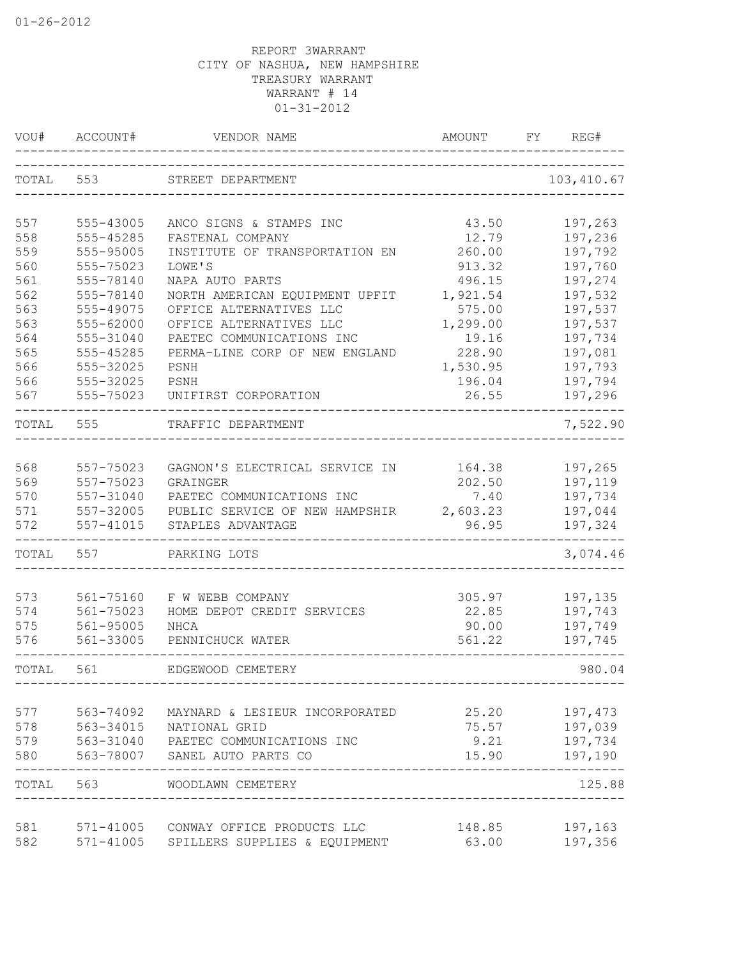| VOU#  | ACCOUNT#  | VENDOR NAME                                        | AMOUNT                 | FY | REG#                 |
|-------|-----------|----------------------------------------------------|------------------------|----|----------------------|
| TOTAL | 553       | STREET DEPARTMENT                                  |                        |    | 103, 410.67          |
| 557   | 555-43005 | ANCO SIGNS & STAMPS INC                            | 43.50                  |    | 197,263              |
| 558   | 555-45285 | FASTENAL COMPANY                                   | 12.79                  |    | 197,236              |
| 559   | 555-95005 | INSTITUTE OF TRANSPORTATION EN                     | 260.00                 |    | 197,792              |
| 560   | 555-75023 | LOWE'S                                             | 913.32                 |    | 197,760              |
| 561   | 555-78140 | NAPA AUTO PARTS                                    | 496.15                 |    | 197,274              |
| 562   | 555-78140 | NORTH AMERICAN EQUIPMENT UPFIT                     | 1,921.54               |    | 197,532              |
| 563   | 555-49075 | OFFICE ALTERNATIVES LLC                            | 575.00                 |    | 197,537              |
| 563   | 555-62000 | OFFICE ALTERNATIVES LLC                            | 1,299.00               |    | 197,537              |
| 564   | 555-31040 | PAETEC COMMUNICATIONS INC                          | 19.16                  |    | 197,734              |
| 565   | 555-45285 | PERMA-LINE CORP OF NEW ENGLAND                     | 228.90                 |    | 197,081              |
| 566   | 555-32025 | PSNH                                               | 1,530.95               |    | 197,793              |
| 566   | 555-32025 | PSNH                                               | 196.04                 |    | 197,794              |
| 567   | 555-75023 | UNIFIRST CORPORATION                               | 26.55                  |    | 197,296              |
| TOTAL | 555       | TRAFFIC DEPARTMENT                                 |                        |    | 7,522.90             |
| 568   | 557-75023 | GAGNON'S ELECTRICAL SERVICE IN                     | 164.38                 |    | 197,265              |
| 569   | 557-75023 | GRAINGER                                           | 202.50                 |    | 197,119              |
| 570   | 557-31040 | PAETEC COMMUNICATIONS INC                          | 7.40                   |    | 197,734              |
| 571   | 557-32005 | PUBLIC SERVICE OF NEW HAMPSHIR                     | 2,603.23               |    | 197,044              |
| 572   | 557-41015 | STAPLES ADVANTAGE                                  | 96.95                  |    | 197,324              |
| TOTAL | 557       | PARKING LOTS                                       |                        |    | 3,074.46             |
| 573   | 561-75160 | F W WEBB COMPANY                                   | 305.97                 |    | 197,135              |
| 574   | 561-75023 | HOME DEPOT CREDIT SERVICES                         | 22.85                  |    | 197,743              |
| 575   | 561-95005 | NHCA                                               | 90.00                  |    | 197,749              |
| 576   | 561-33005 | PENNICHUCK WATER                                   | 561.22                 |    | 197,745              |
| TOTAL | 561       | EDGEWOOD CEMETERY                                  |                        |    | 980.04               |
| 577   | 563-74092 | MAYNARD & LESIEUR INCORPORATED                     | 25.20                  |    | 197,473              |
| 578   | 563-34015 | NATIONAL GRID                                      | 75.57                  |    | 197,039              |
| 579   | 563-31040 | PAETEC COMMUNICATIONS INC                          | 9.21                   |    | 197,734              |
| 580   |           | 563-78007 SANEL AUTO PARTS CO                      | 15.90                  |    | 197,190              |
|       | TOTAL 563 | _____________________________<br>WOODLAWN CEMETERY | ______________________ |    | ----------<br>125.88 |
| 581   | 571-41005 | CONWAY OFFICE PRODUCTS LLC                         | 148.85                 |    | 197,163              |
| 582   | 571-41005 | SPILLERS SUPPLIES & EQUIPMENT                      | 63.00                  |    | 197,356              |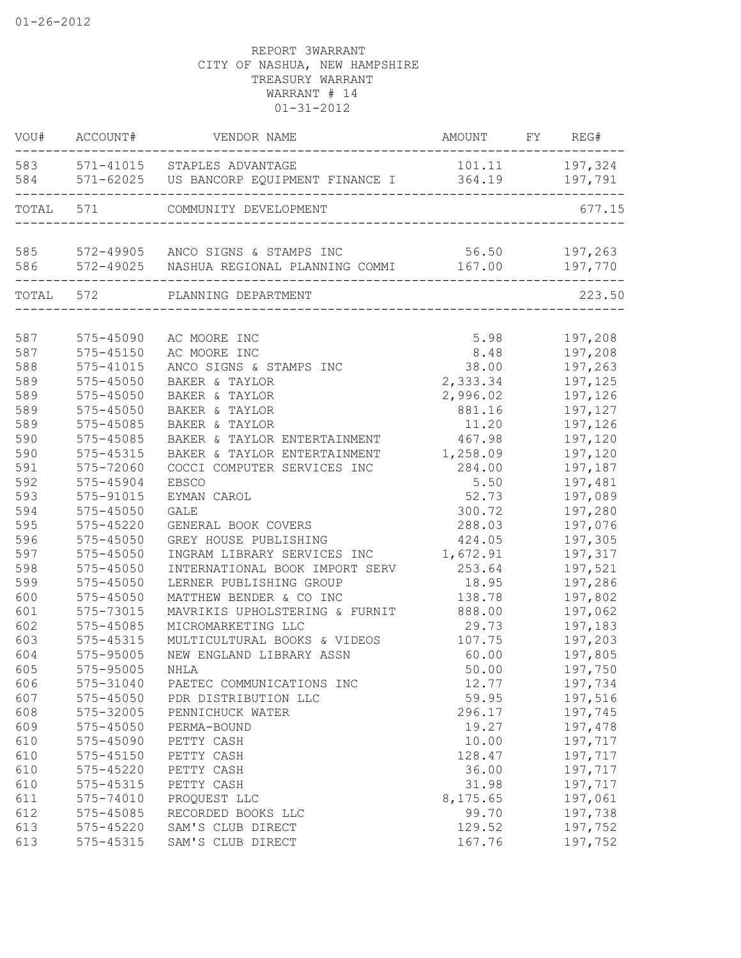| 583<br>571-41015 STAPLES ADVANTAGE<br>571-62025 US BANCORP EQUIPMENT FINANCE I<br>584 | 101.11<br>197,324<br>364.19<br>197,791<br>677.15 |
|---------------------------------------------------------------------------------------|--------------------------------------------------|
|                                                                                       |                                                  |
| TOTAL 571<br>COMMUNITY DEVELOPMENT                                                    |                                                  |
| 585<br>572-49905 ANCO SIGNS & STAMPS INC                                              | 56.50<br>197,263                                 |
| 586<br>572-49025 NASHUA REGIONAL PLANNING COMMI                                       | 167.00<br>197,770                                |
| TOTAL 572<br>PLANNING DEPARTMENT                                                      | 223.50                                           |
|                                                                                       |                                                  |
| 587<br>575-45090<br>AC MOORE INC                                                      | 5.98<br>197,208                                  |
| 587<br>AC MOORE INC<br>575-45150                                                      | 8.48<br>197,208                                  |
| 588<br>575-41015<br>ANCO SIGNS & STAMPS INC                                           | 38.00<br>197,263                                 |
| 589<br>575-45050<br>BAKER & TAYLOR                                                    | 2,333.34<br>197,125                              |
| 589<br>575-45050<br>BAKER & TAYLOR                                                    | 2,996.02<br>197,126                              |
| 589<br>575-45050<br>BAKER & TAYLOR                                                    | 881.16<br>197,127                                |
| 589<br>575-45085<br>BAKER & TAYLOR                                                    | 11.20<br>197,126                                 |
| 590<br>575-45085<br>BAKER & TAYLOR ENTERTAINMENT                                      | 467.98<br>197,120                                |
| 590<br>575-45315<br>BAKER & TAYLOR ENTERTAINMENT                                      | 1,258.09<br>197,120                              |
| 591<br>575-72060<br>COCCI COMPUTER SERVICES INC                                       | 284.00<br>197,187                                |
| 592<br>575-45904<br><b>EBSCO</b>                                                      | 5.50<br>197,481                                  |
| 593<br>575-91015<br>EYMAN CAROL                                                       | 52.73<br>197,089                                 |
| 594<br>575-45050<br><b>GALE</b>                                                       | 300.72<br>197,280                                |
| 595<br>575-45220<br>GENERAL BOOK COVERS                                               | 288.03<br>197,076                                |
| 596<br>575-45050<br>GREY HOUSE PUBLISHING                                             | 424.05<br>197,305                                |
| 597<br>575-45050<br>INGRAM LIBRARY SERVICES INC                                       | 1,672.91<br>197,317                              |
| 598<br>575-45050<br>INTERNATIONAL BOOK IMPORT SERV                                    | 253.64<br>197,521                                |
| 599<br>575-45050<br>LERNER PUBLISHING GROUP                                           | 18.95<br>197,286                                 |
| 600<br>575-45050<br>MATTHEW BENDER & CO INC                                           | 138.78<br>197,802                                |
| 601<br>575-73015<br>MAVRIKIS UPHOLSTERING & FURNIT                                    | 888.00<br>197,062                                |
| 602<br>575-45085<br>MICROMARKETING LLC                                                | 29.73<br>197,183                                 |
| 603<br>MULTICULTURAL BOOKS & VIDEOS<br>575-45315                                      | 197,203<br>107.75                                |
| 604<br>575-95005<br>NEW ENGLAND LIBRARY ASSN                                          | 60.00<br>197,805                                 |
| 605<br>575-95005<br>NHLA                                                              | 50.00<br>197,750                                 |
| 606<br>575-31040<br>PAETEC COMMUNICATIONS INC                                         | 12.77<br>197,734                                 |
| 607<br>$575 - 45050$<br>PDR DISTRIBUTION LLC                                          | 59.95<br>197,516                                 |
| 608<br>575-32005<br>PENNICHUCK WATER                                                  | 296.17<br>197,745                                |
| 609<br>575-45050<br>PERMA-BOUND                                                       | 197,478<br>19.27                                 |
| 610<br>575-45090<br>PETTY CASH                                                        | 10.00<br>197,717                                 |
| 610<br>575-45150<br>PETTY CASH                                                        | 128.47<br>197,717                                |
| 610<br>$575 - 45220$<br>PETTY CASH                                                    | 36.00<br>197,717                                 |
| 610<br>575-45315<br>PETTY CASH                                                        | 31.98<br>197,717                                 |
| 611<br>575-74010<br>PROQUEST LLC                                                      | 8,175.65<br>197,061                              |
| 612<br>575-45085<br>RECORDED BOOKS LLC                                                | 99.70<br>197,738                                 |
| 613<br>$575 - 45220$<br>SAM'S CLUB DIRECT                                             | 129.52<br>197,752                                |
| 613<br>575-45315<br>SAM'S CLUB DIRECT                                                 | 167.76<br>197,752                                |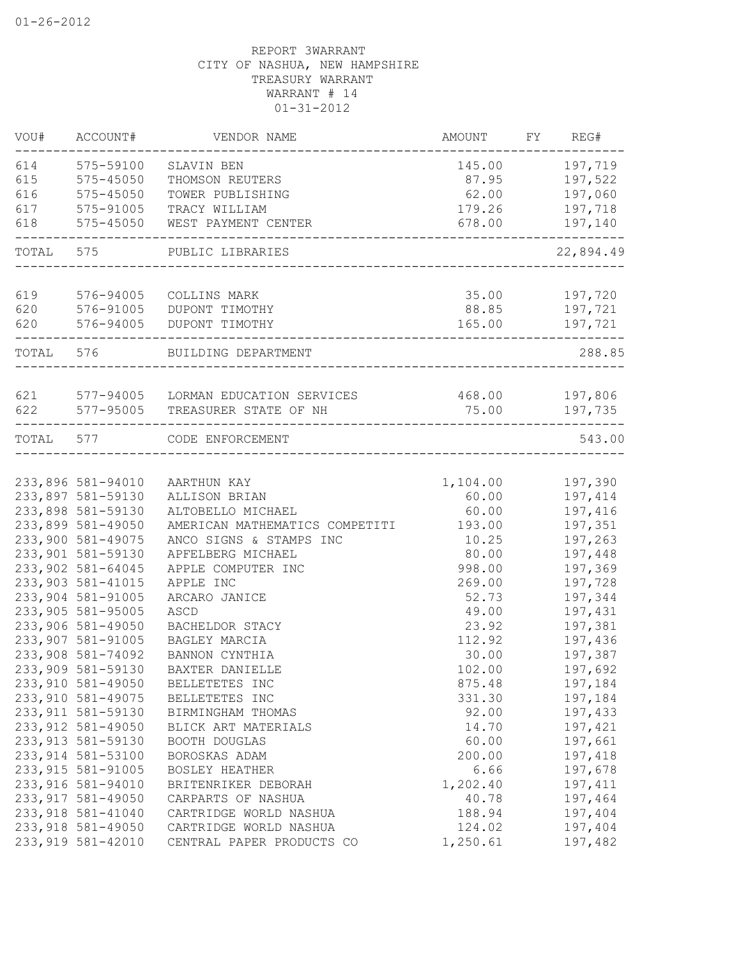| 614<br>575-59100<br>SLAVIN BEN<br>145.00<br>615<br>575-45050<br>87.95<br>THOMSON REUTERS<br>616<br>62.00<br>575-45050<br>TOWER PUBLISHING<br>179.26<br>617<br>575-91005<br>TRACY WILLIAM<br>618<br>575-45050<br>WEST PAYMENT CENTER<br>678.00<br>TOTAL<br>575<br>PUBLIC LIBRARIES<br>619<br>576-94005<br>35.00<br>COLLINS MARK | 197,719<br>197,522<br>197,060<br>197,718<br>197,140<br>22,894.49<br>197,720<br>197,721<br>197,721 |
|--------------------------------------------------------------------------------------------------------------------------------------------------------------------------------------------------------------------------------------------------------------------------------------------------------------------------------|---------------------------------------------------------------------------------------------------|
|                                                                                                                                                                                                                                                                                                                                |                                                                                                   |
|                                                                                                                                                                                                                                                                                                                                |                                                                                                   |
|                                                                                                                                                                                                                                                                                                                                |                                                                                                   |
|                                                                                                                                                                                                                                                                                                                                |                                                                                                   |
|                                                                                                                                                                                                                                                                                                                                |                                                                                                   |
|                                                                                                                                                                                                                                                                                                                                |                                                                                                   |
|                                                                                                                                                                                                                                                                                                                                |                                                                                                   |
| 620<br>576-91005<br>DUPONT TIMOTHY<br>88.85                                                                                                                                                                                                                                                                                    |                                                                                                   |
| 620<br>576-94005<br>DUPONT TIMOTHY<br>165.00                                                                                                                                                                                                                                                                                   |                                                                                                   |
| TOTAL 576<br>BUILDING DEPARTMENT                                                                                                                                                                                                                                                                                               | 288.85                                                                                            |
|                                                                                                                                                                                                                                                                                                                                |                                                                                                   |
| 621<br>577-94005 LORMAN EDUCATION SERVICES<br>468.00 197,806                                                                                                                                                                                                                                                                   |                                                                                                   |
| 622<br>577-95005<br>75.00<br>TREASURER STATE OF NH                                                                                                                                                                                                                                                                             | 197,735                                                                                           |
| TOTAL 577<br>CODE ENFORCEMENT                                                                                                                                                                                                                                                                                                  | 543.00                                                                                            |
|                                                                                                                                                                                                                                                                                                                                |                                                                                                   |
| 233,896 581-94010<br>1,104.00<br>AARTHUN KAY                                                                                                                                                                                                                                                                                   | 197,390                                                                                           |
| 233,897 581-59130<br>ALLISON BRIAN<br>60.00                                                                                                                                                                                                                                                                                    | 197,414                                                                                           |
| 233,898 581-59130<br>ALTOBELLO MICHAEL<br>60.00<br>233,899 581-49050<br>AMERICAN MATHEMATICS COMPETITI<br>193.00                                                                                                                                                                                                               | 197,416<br>197,351                                                                                |
| 233,900 581-49075<br>ANCO SIGNS & STAMPS INC<br>10.25                                                                                                                                                                                                                                                                          | 197,263                                                                                           |
| 233,901 581-59130<br>80.00<br>APFELBERG MICHAEL                                                                                                                                                                                                                                                                                | 197,448                                                                                           |
| 233,902 581-64045<br>APPLE COMPUTER INC<br>998.00                                                                                                                                                                                                                                                                              | 197,369                                                                                           |
| 233, 903 581-41015<br>APPLE INC<br>269.00                                                                                                                                                                                                                                                                                      | 197,728                                                                                           |
| 233,904 581-91005<br>52.73<br>ARCARO JANICE                                                                                                                                                                                                                                                                                    | 197,344                                                                                           |
| 233,905 581-95005<br>ASCD<br>49.00                                                                                                                                                                                                                                                                                             | 197,431                                                                                           |
| 233,906 581-49050<br>23.92<br>BACHELDOR STACY                                                                                                                                                                                                                                                                                  | 197,381                                                                                           |
| 233,907 581-91005<br>112.92<br>BAGLEY MARCIA                                                                                                                                                                                                                                                                                   | 197,436                                                                                           |
| 233,908 581-74092<br>30.00<br>BANNON CYNTHIA                                                                                                                                                                                                                                                                                   | 197,387                                                                                           |
| 233,909 581-59130<br>BAXTER DANIELLE<br>102.00                                                                                                                                                                                                                                                                                 | 197,692                                                                                           |
| 233,910 581-49050<br>875.48<br>BELLETETES INC                                                                                                                                                                                                                                                                                  | 197,184                                                                                           |
| 233, 910 581-49075<br>331.30<br>BELLETETES INC                                                                                                                                                                                                                                                                                 | 197,184                                                                                           |
| 233, 911 581-59130<br>92.00<br>BIRMINGHAM THOMAS                                                                                                                                                                                                                                                                               | 197,433                                                                                           |
| 233, 912 581-49050<br>14.70<br>BLICK ART MATERIALS                                                                                                                                                                                                                                                                             | 197,421                                                                                           |
| 233, 913 581-59130<br>60.00<br><b>BOOTH DOUGLAS</b>                                                                                                                                                                                                                                                                            | 197,661                                                                                           |
| 233, 914 581-53100<br>BOROSKAS ADAM<br>200.00                                                                                                                                                                                                                                                                                  | 197,418                                                                                           |
| 233, 915 581-91005<br>6.66<br>BOSLEY HEATHER                                                                                                                                                                                                                                                                                   | 197,678                                                                                           |
| 233, 916 581-94010<br>1,202.40<br>BRITENRIKER DEBORAH                                                                                                                                                                                                                                                                          | 197, 411                                                                                          |
| 233, 917 581-49050<br>CARPARTS OF NASHUA<br>40.78                                                                                                                                                                                                                                                                              | 197,464                                                                                           |
| 233, 918 581-41040<br>CARTRIDGE WORLD NASHUA<br>188.94                                                                                                                                                                                                                                                                         | 197,404                                                                                           |
| 233, 918 581-49050<br>CARTRIDGE WORLD NASHUA<br>124.02                                                                                                                                                                                                                                                                         | 197,404                                                                                           |
| 233, 919 581-42010<br>CENTRAL PAPER PRODUCTS CO<br>1,250.61                                                                                                                                                                                                                                                                    | 197,482                                                                                           |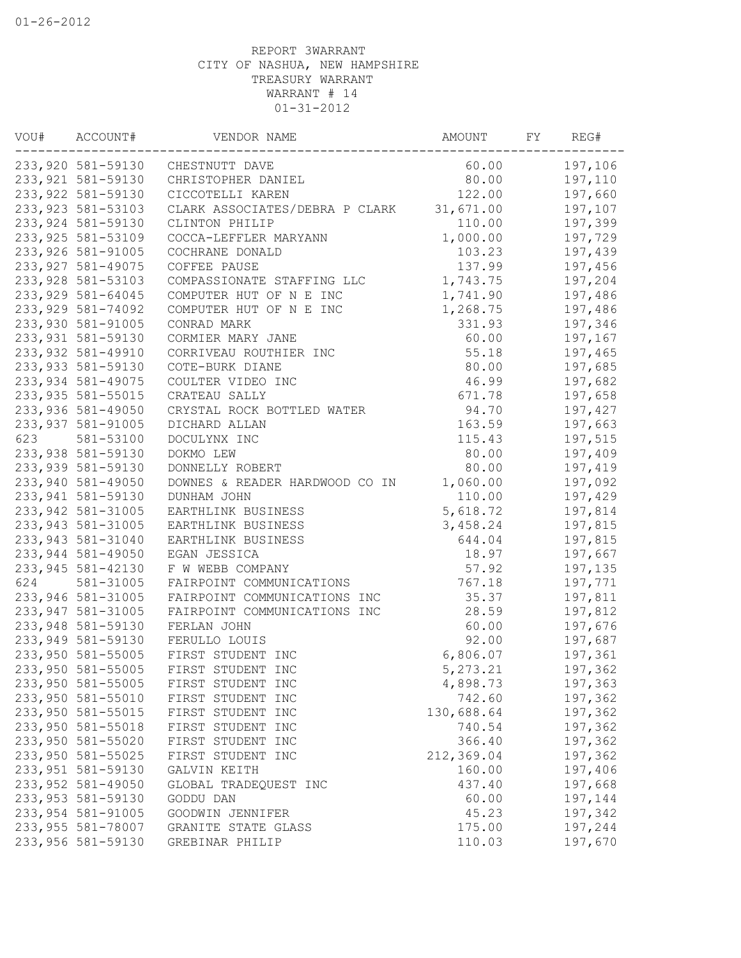| VOU# | ACCOUNT#           | VENDOR NAME                      | AMOUNT     | FY | REG#    |
|------|--------------------|----------------------------------|------------|----|---------|
|      |                    | 233,920 581-59130 CHESTNUTT DAVE | 60.00      |    | 197,106 |
|      | 233, 921 581-59130 | CHRISTOPHER DANIEL               | 80.00      |    | 197,110 |
|      | 233,922 581-59130  | CICCOTELLI KAREN                 | 122.00     |    | 197,660 |
|      | 233,923 581-53103  | CLARK ASSOCIATES/DEBRA P CLARK   | 31,671.00  |    | 197,107 |
|      | 233,924 581-59130  | CLINTON PHILIP                   | 110.00     |    | 197,399 |
|      | 233, 925 581-53109 | COCCA-LEFFLER MARYANN            | 1,000.00   |    | 197,729 |
|      | 233,926 581-91005  | COCHRANE DONALD                  | 103.23     |    | 197,439 |
|      | 233, 927 581-49075 | COFFEE PAUSE                     | 137.99     |    | 197,456 |
|      | 233,928 581-53103  | COMPASSIONATE STAFFING LLC       | 1,743.75   |    | 197,204 |
|      | 233, 929 581-64045 | COMPUTER HUT OF N E INC          | 1,741.90   |    | 197,486 |
|      | 233,929 581-74092  | COMPUTER HUT OF N E INC          | 1,268.75   |    | 197,486 |
|      | 233,930 581-91005  | CONRAD MARK                      | 331.93     |    | 197,346 |
|      | 233,931 581-59130  | CORMIER MARY JANE                | 60.00      |    | 197,167 |
|      | 233,932 581-49910  | CORRIVEAU ROUTHIER INC           | 55.18      |    | 197,465 |
|      | 233,933 581-59130  | COTE-BURK DIANE                  | 80.00      |    | 197,685 |
|      | 233,934 581-49075  | COULTER VIDEO INC                | 46.99      |    | 197,682 |
|      | 233, 935 581-55015 | CRATEAU SALLY                    | 671.78     |    | 197,658 |
|      | 233,936 581-49050  | CRYSTAL ROCK BOTTLED WATER       | 94.70      |    | 197,427 |
|      | 233,937 581-91005  | DICHARD ALLAN                    | 163.59     |    | 197,663 |
| 623  | 581-53100          | DOCULYNX INC                     | 115.43     |    | 197,515 |
|      | 233,938 581-59130  | DOKMO LEW                        | 80.00      |    | 197,409 |
|      | 233,939 581-59130  | DONNELLY ROBERT                  | 80.00      |    | 197,419 |
|      | 233,940 581-49050  | DOWNES & READER HARDWOOD CO IN   | 1,060.00   |    | 197,092 |
|      | 233,941 581-59130  | DUNHAM JOHN                      | 110.00     |    | 197,429 |
|      | 233,942 581-31005  | EARTHLINK BUSINESS               | 5,618.72   |    | 197,814 |
|      | 233,943 581-31005  | EARTHLINK BUSINESS               | 3,458.24   |    | 197,815 |
|      | 233,943 581-31040  | EARTHLINK BUSINESS               | 644.04     |    | 197,815 |
|      | 233,944 581-49050  | EGAN JESSICA                     | 18.97      |    | 197,667 |
|      | 233,945 581-42130  | F W WEBB COMPANY                 | 57.92      |    | 197,135 |
| 624  | 581-31005          | FAIRPOINT COMMUNICATIONS         | 767.18     |    | 197,771 |
|      | 233,946 581-31005  | FAIRPOINT COMMUNICATIONS INC     | 35.37      |    | 197,811 |
|      | 233,947 581-31005  | FAIRPOINT COMMUNICATIONS INC     | 28.59      |    | 197,812 |
|      | 233,948 581-59130  | FERLAN JOHN                      | 60.00      |    | 197,676 |
|      | 233,949 581-59130  | FERULLO LOUIS                    | 92.00      |    | 197,687 |
|      | 233,950 581-55005  | FIRST STUDENT INC                | 6,806.07   |    | 197,361 |
|      | 233,950 581-55005  | FIRST STUDENT INC                | 5,273.21   |    | 197,362 |
|      | 233,950 581-55005  | FIRST STUDENT INC                | 4,898.73   |    | 197,363 |
|      | 233,950 581-55010  | FIRST STUDENT INC                | 742.60     |    | 197,362 |
|      | 233,950 581-55015  | FIRST STUDENT INC                | 130,688.64 |    | 197,362 |
|      | 233,950 581-55018  | FIRST STUDENT INC                | 740.54     |    | 197,362 |
|      | 233,950 581-55020  | FIRST STUDENT INC                | 366.40     |    | 197,362 |
|      | 233,950 581-55025  | FIRST STUDENT INC                | 212,369.04 |    | 197,362 |
|      | 233,951 581-59130  | GALVIN KEITH                     | 160.00     |    | 197,406 |
|      | 233,952 581-49050  | GLOBAL TRADEQUEST INC            | 437.40     |    | 197,668 |
|      | 233,953 581-59130  | GODDU DAN                        | 60.00      |    | 197,144 |
|      | 233,954 581-91005  | GOODWIN JENNIFER                 | 45.23      |    | 197,342 |
|      | 233,955 581-78007  | GRANITE STATE GLASS              | 175.00     |    | 197,244 |
|      | 233,956 581-59130  | GREBINAR PHILIP                  | 110.03     |    | 197,670 |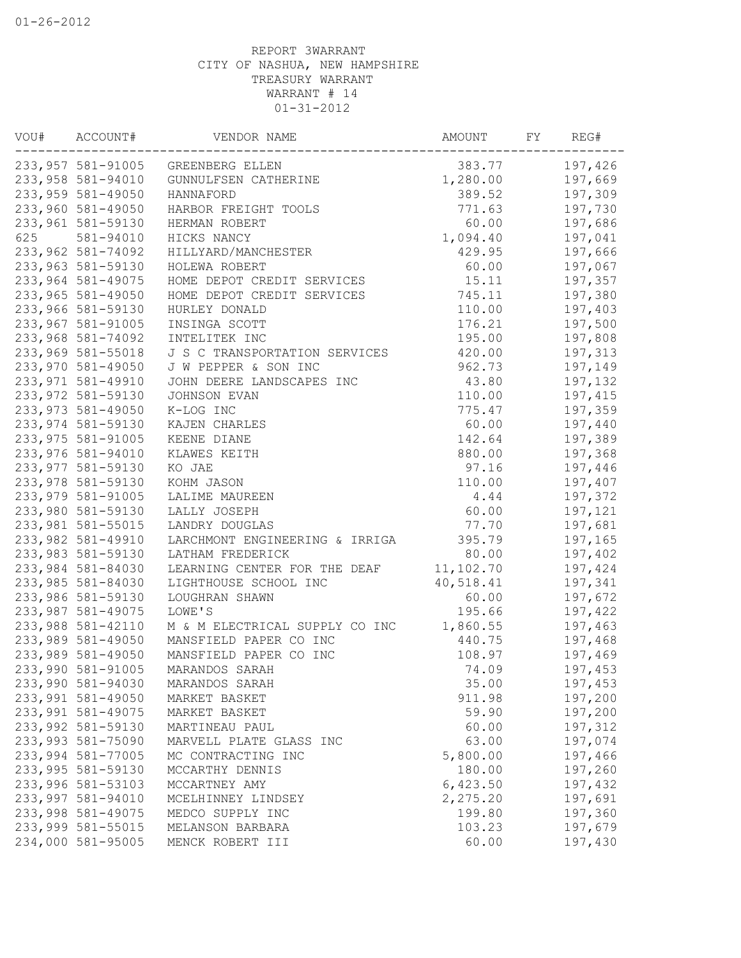| VOU# | ACCOUNT#           | VENDOR NAME                       | AMOUNT    | FY. | REG#    |
|------|--------------------|-----------------------------------|-----------|-----|---------|
|      |                    | 233,957 581-91005 GREENBERG ELLEN | 383.77    |     | 197,426 |
|      | 233,958 581-94010  | GUNNULFSEN CATHERINE              | 1,280.00  |     | 197,669 |
|      | 233,959 581-49050  | HANNAFORD                         | 389.52    |     | 197,309 |
|      | 233,960 581-49050  | HARBOR FREIGHT TOOLS              | 771.63    |     | 197,730 |
|      | 233,961 581-59130  | HERMAN ROBERT                     | 60.00     |     | 197,686 |
| 625  | 581-94010          | HICKS NANCY                       | 1,094.40  |     | 197,041 |
|      | 233,962 581-74092  | HILLYARD/MANCHESTER               | 429.95    |     | 197,666 |
|      | 233,963 581-59130  | HOLEWA ROBERT                     | 60.00     |     | 197,067 |
|      | 233,964 581-49075  | HOME DEPOT CREDIT SERVICES        | 15.11     |     | 197,357 |
|      | 233,965 581-49050  | HOME DEPOT CREDIT SERVICES        | 745.11    |     | 197,380 |
|      | 233,966 581-59130  | HURLEY DONALD                     | 110.00    |     | 197,403 |
|      | 233,967 581-91005  | INSINGA SCOTT                     | 176.21    |     | 197,500 |
|      | 233,968 581-74092  | INTELITEK INC                     | 195.00    |     | 197,808 |
|      | 233,969 581-55018  | J S C TRANSPORTATION SERVICES     | 420.00    |     | 197,313 |
|      | 233,970 581-49050  | J W PEPPER & SON INC              | 962.73    |     | 197,149 |
|      | 233, 971 581-49910 | JOHN DEERE LANDSCAPES INC         | 43.80     |     | 197,132 |
|      | 233,972 581-59130  | JOHNSON EVAN                      | 110.00    |     | 197,415 |
|      | 233, 973 581-49050 | K-LOG INC                         | 775.47    |     | 197,359 |
|      | 233,974 581-59130  | KAJEN CHARLES                     | 60.00     |     | 197,440 |
|      | 233,975 581-91005  | KEENE DIANE                       | 142.64    |     | 197,389 |
|      | 233,976 581-94010  | KLAWES KEITH                      | 880.00    |     | 197,368 |
|      | 233,977 581-59130  | KO JAE                            | 97.16     |     | 197,446 |
|      | 233,978 581-59130  | KOHM JASON                        | 110.00    |     | 197,407 |
|      | 233,979 581-91005  | LALIME MAUREEN                    | 4.44      |     | 197,372 |
|      | 233,980 581-59130  | LALLY JOSEPH                      | 60.00     |     | 197,121 |
|      | 233,981 581-55015  | LANDRY DOUGLAS                    | 77.70     |     | 197,681 |
|      | 233,982 581-49910  | LARCHMONT ENGINEERING & IRRIGA    | 395.79    |     | 197,165 |
|      | 233,983 581-59130  | LATHAM FREDERICK                  | 80.00     |     | 197,402 |
|      | 233,984 581-84030  | LEARNING CENTER FOR THE DEAF      | 11,102.70 |     | 197,424 |
|      | 233,985 581-84030  | LIGHTHOUSE SCHOOL INC             | 40,518.41 |     | 197,341 |
|      | 233,986 581-59130  | LOUGHRAN SHAWN                    | 60.00     |     | 197,672 |
|      | 233, 987 581-49075 | LOWE'S                            | 195.66    |     | 197,422 |
|      | 233,988 581-42110  | M & M ELECTRICAL SUPPLY CO INC    | 1,860.55  |     | 197,463 |
|      | 233,989 581-49050  | MANSFIELD PAPER CO INC            | 440.75    |     | 197,468 |
|      | 233,989 581-49050  | MANSFIELD PAPER CO INC            | 108.97    |     | 197,469 |
|      | 233,990 581-91005  | MARANDOS SARAH                    | 74.09     |     | 197,453 |
|      | 233,990 581-94030  | MARANDOS SARAH                    | 35.00     |     | 197,453 |
|      | 233,991 581-49050  | MARKET BASKET                     | 911.98    |     | 197,200 |
|      | 233,991 581-49075  | MARKET BASKET                     | 59.90     |     | 197,200 |
|      | 233,992 581-59130  | MARTINEAU PAUL                    | 60.00     |     | 197,312 |
|      | 233,993 581-75090  | MARVELL PLATE GLASS INC           | 63.00     |     | 197,074 |
|      | 233,994 581-77005  | MC CONTRACTING INC                | 5,800.00  |     | 197,466 |
|      | 233,995 581-59130  | MCCARTHY DENNIS                   | 180.00    |     | 197,260 |
|      | 233,996 581-53103  | MCCARTNEY AMY                     | 6,423.50  |     | 197,432 |
|      | 233,997 581-94010  | MCELHINNEY LINDSEY                | 2,275.20  |     | 197,691 |
|      | 233,998 581-49075  | MEDCO SUPPLY INC                  | 199.80    |     | 197,360 |
|      | 233,999 581-55015  | MELANSON BARBARA                  | 103.23    |     | 197,679 |
|      | 234,000 581-95005  | MENCK ROBERT III                  | 60.00     |     | 197,430 |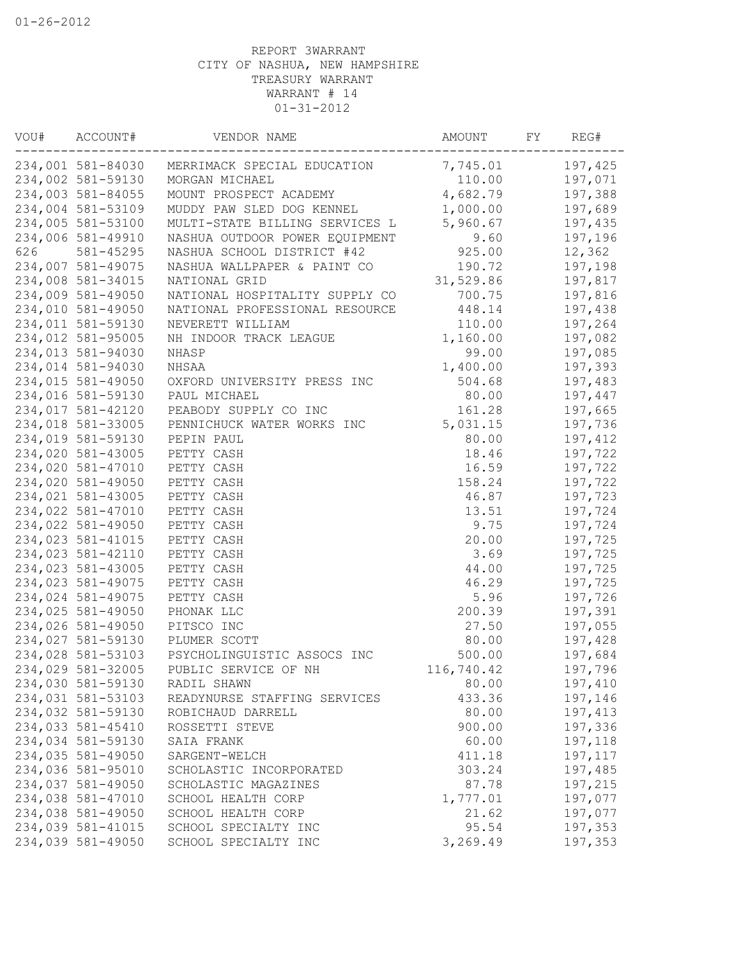| VOU# | ACCOUNT#          | VENDOR NAME                    | AMOUNT     | FY. | REG#    |
|------|-------------------|--------------------------------|------------|-----|---------|
|      | 234,001 581-84030 | MERRIMACK SPECIAL EDUCATION    | 7,745.01   |     | 197,425 |
|      | 234,002 581-59130 | MORGAN MICHAEL                 | 110.00     |     | 197,071 |
|      | 234,003 581-84055 | MOUNT PROSPECT ACADEMY         | 4,682.79   |     | 197,388 |
|      | 234,004 581-53109 | MUDDY PAW SLED DOG KENNEL      | 1,000.00   |     | 197,689 |
|      | 234,005 581-53100 | MULTI-STATE BILLING SERVICES L | 5,960.67   |     | 197,435 |
|      | 234,006 581-49910 | NASHUA OUTDOOR POWER EQUIPMENT | 9.60       |     | 197,196 |
| 626  | 581-45295         | NASHUA SCHOOL DISTRICT #42     | 925.00     |     | 12,362  |
|      | 234,007 581-49075 | NASHUA WALLPAPER & PAINT CO    | 190.72     |     | 197,198 |
|      | 234,008 581-34015 | NATIONAL GRID                  | 31,529.86  |     | 197,817 |
|      | 234,009 581-49050 | NATIONAL HOSPITALITY SUPPLY CO | 700.75     |     | 197,816 |
|      | 234,010 581-49050 | NATIONAL PROFESSIONAL RESOURCE | 448.14     |     | 197,438 |
|      | 234,011 581-59130 | NEVERETT WILLIAM               | 110.00     |     | 197,264 |
|      | 234,012 581-95005 | NH INDOOR TRACK LEAGUE         | 1,160.00   |     | 197,082 |
|      | 234,013 581-94030 | NHASP                          | 99.00      |     | 197,085 |
|      | 234,014 581-94030 | NHSAA                          | 1,400.00   |     | 197,393 |
|      | 234,015 581-49050 | OXFORD UNIVERSITY PRESS INC    | 504.68     |     | 197,483 |
|      | 234,016 581-59130 | PAUL MICHAEL                   | 80.00      |     | 197,447 |
|      | 234,017 581-42120 | PEABODY SUPPLY CO INC          | 161.28     |     | 197,665 |
|      | 234,018 581-33005 | PENNICHUCK WATER WORKS INC     | 5,031.15   |     | 197,736 |
|      | 234,019 581-59130 | PEPIN PAUL                     | 80.00      |     | 197,412 |
|      | 234,020 581-43005 | PETTY CASH                     | 18.46      |     | 197,722 |
|      | 234,020 581-47010 | PETTY CASH                     | 16.59      |     | 197,722 |
|      | 234,020 581-49050 | PETTY CASH                     | 158.24     |     | 197,722 |
|      | 234,021 581-43005 | PETTY CASH                     | 46.87      |     | 197,723 |
|      | 234,022 581-47010 | PETTY CASH                     | 13.51      |     | 197,724 |
|      | 234,022 581-49050 | PETTY CASH                     | 9.75       |     | 197,724 |
|      | 234,023 581-41015 | PETTY CASH                     | 20.00      |     | 197,725 |
|      | 234,023 581-42110 | PETTY CASH                     | 3.69       |     | 197,725 |
|      | 234,023 581-43005 | PETTY CASH                     | 44.00      |     | 197,725 |
|      | 234,023 581-49075 | PETTY CASH                     | 46.29      |     | 197,725 |
|      | 234,024 581-49075 | PETTY CASH                     | 5.96       |     | 197,726 |
|      | 234,025 581-49050 | PHONAK LLC                     | 200.39     |     | 197,391 |
|      | 234,026 581-49050 | PITSCO INC                     | 27.50      |     | 197,055 |
|      | 234,027 581-59130 | PLUMER SCOTT                   | 80.00      |     | 197,428 |
|      | 234,028 581-53103 | PSYCHOLINGUISTIC ASSOCS INC    | 500.00     |     | 197,684 |
|      | 234,029 581-32005 | PUBLIC SERVICE OF NH           | 116,740.42 |     | 197,796 |
|      | 234,030 581-59130 | RADIL SHAWN                    | 80.00      |     | 197,410 |
|      | 234,031 581-53103 | READYNURSE STAFFING SERVICES   | 433.36     |     | 197,146 |
|      | 234,032 581-59130 | ROBICHAUD DARRELL              | 80.00      |     | 197,413 |
|      | 234,033 581-45410 | ROSSETTI STEVE                 | 900.00     |     | 197,336 |
|      | 234,034 581-59130 | SAIA FRANK                     | 60.00      |     | 197,118 |
|      | 234,035 581-49050 | SARGENT-WELCH                  | 411.18     |     | 197,117 |
|      | 234,036 581-95010 | SCHOLASTIC INCORPORATED        | 303.24     |     | 197,485 |
|      | 234,037 581-49050 | SCHOLASTIC MAGAZINES           | 87.78      |     | 197,215 |
|      | 234,038 581-47010 | SCHOOL HEALTH CORP             | 1,777.01   |     | 197,077 |
|      | 234,038 581-49050 | SCHOOL HEALTH CORP             | 21.62      |     | 197,077 |
|      | 234,039 581-41015 | SCHOOL SPECIALTY INC           | 95.54      |     | 197,353 |
|      | 234,039 581-49050 | SCHOOL SPECIALTY INC           | 3,269.49   |     | 197,353 |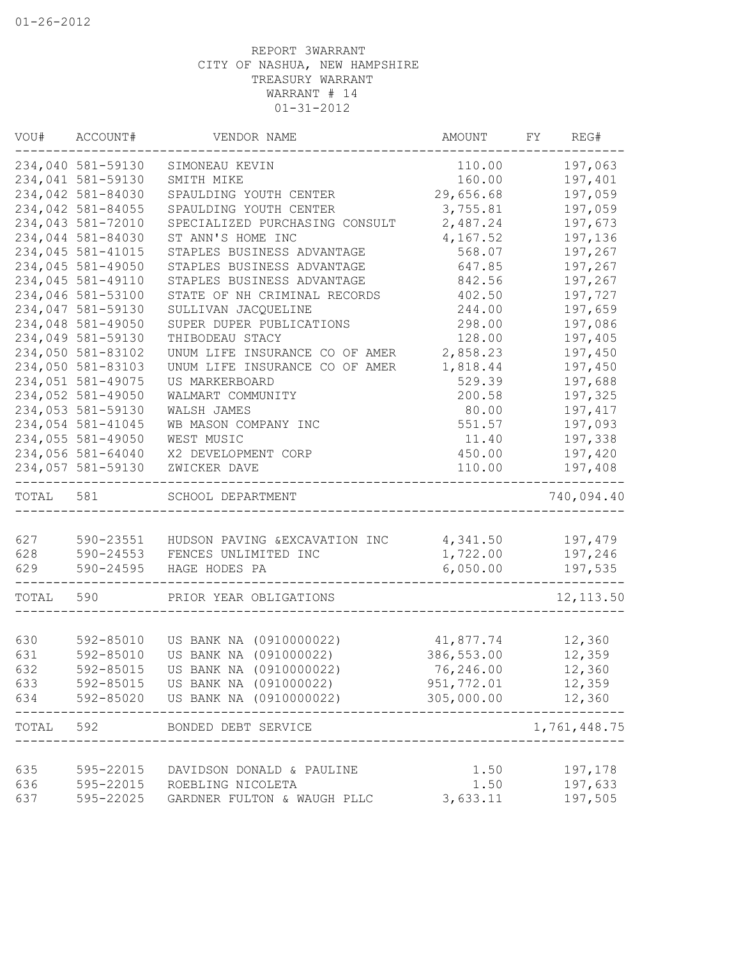| VOU#  | ACCOUNT#          | VENDOR NAME                    | AMOUNT     | FY<br>REG#        |
|-------|-------------------|--------------------------------|------------|-------------------|
|       | 234,040 581-59130 | SIMONEAU KEVIN                 | 110.00     | 197,063           |
|       | 234,041 581-59130 | SMITH MIKE                     | 160.00     | 197,401           |
|       | 234,042 581-84030 | SPAULDING YOUTH CENTER         | 29,656.68  | 197,059           |
|       | 234,042 581-84055 | SPAULDING YOUTH CENTER         | 3,755.81   | 197,059           |
|       | 234,043 581-72010 | SPECIALIZED PURCHASING CONSULT | 2,487.24   | 197,673           |
|       | 234,044 581-84030 | ST ANN'S HOME INC              | 4,167.52   | 197,136           |
|       | 234,045 581-41015 | STAPLES BUSINESS ADVANTAGE     | 568.07     | 197,267           |
|       | 234,045 581-49050 | STAPLES BUSINESS ADVANTAGE     | 647.85     | 197,267           |
|       | 234,045 581-49110 | STAPLES BUSINESS ADVANTAGE     | 842.56     | 197,267           |
|       | 234,046 581-53100 | STATE OF NH CRIMINAL RECORDS   | 402.50     | 197,727           |
|       | 234,047 581-59130 | SULLIVAN JACQUELINE            | 244.00     | 197,659           |
|       | 234,048 581-49050 | SUPER DUPER PUBLICATIONS       | 298.00     | 197,086           |
|       | 234,049 581-59130 | THIBODEAU STACY                | 128.00     | 197,405           |
|       | 234,050 581-83102 | UNUM LIFE INSURANCE CO OF AMER | 2,858.23   | 197,450           |
|       | 234,050 581-83103 | UNUM LIFE INSURANCE CO OF AMER | 1,818.44   | 197,450           |
|       | 234,051 581-49075 | US MARKERBOARD                 | 529.39     | 197,688           |
|       | 234,052 581-49050 | WALMART COMMUNITY              | 200.58     | 197,325           |
|       | 234,053 581-59130 | WALSH JAMES                    | 80.00      | 197,417           |
|       | 234,054 581-41045 | WB MASON COMPANY INC           | 551.57     | 197,093           |
|       | 234,055 581-49050 | WEST MUSIC                     | 11.40      | 197,338           |
|       | 234,056 581-64040 | X2 DEVELOPMENT CORP            | 450.00     | 197,420           |
|       | 234,057 581-59130 | ZWICKER DAVE                   | 110.00     | 197,408           |
|       |                   |                                |            |                   |
| TOTAL | 581               | SCHOOL DEPARTMENT              |            | 740,094.40        |
|       |                   |                                |            |                   |
| 627   | 590-23551         | HUDSON PAVING & EXCAVATION INC | 4,341.50   | 197,479           |
| 628   | 590-24553         | FENCES UNLIMITED INC           | 1,722.00   | 197,246           |
| 629   | 590-24595         | HAGE HODES PA                  | 6,050.00   | 197,535<br>------ |
| TOTAL | 590               | PRIOR YEAR OBLIGATIONS         |            | 12, 113.50        |
|       |                   |                                |            |                   |
| 630   | 592-85010         | US BANK NA (0910000022)        | 41,877.74  | 12,360            |
| 631   | 592-85010         | US BANK NA (091000022)         | 386,553.00 | 12,359            |
| 632   | 592-85015         | US BANK NA (0910000022)        | 76,246.00  | 12,360            |
| 633   | 592-85015         | US BANK NA (091000022)         | 951,772.01 | 12,359            |
| 634   | 592-85020         | US BANK NA (0910000022)        | 305,000.00 | 12,360            |
| TOTAL | 592               | BONDED DEBT SERVICE            |            | 1,761,448.75      |
|       |                   |                                |            |                   |
| 635   | 595-22015         | DAVIDSON DONALD & PAULINE      | 1.50       | 197,178           |
| 636   | 595-22015         | ROEBLING NICOLETA              | 1.50       | 197,633           |
| 637   | 595-22025         | GARDNER FULTON & WAUGH PLLC    | 3,633.11   | 197,505           |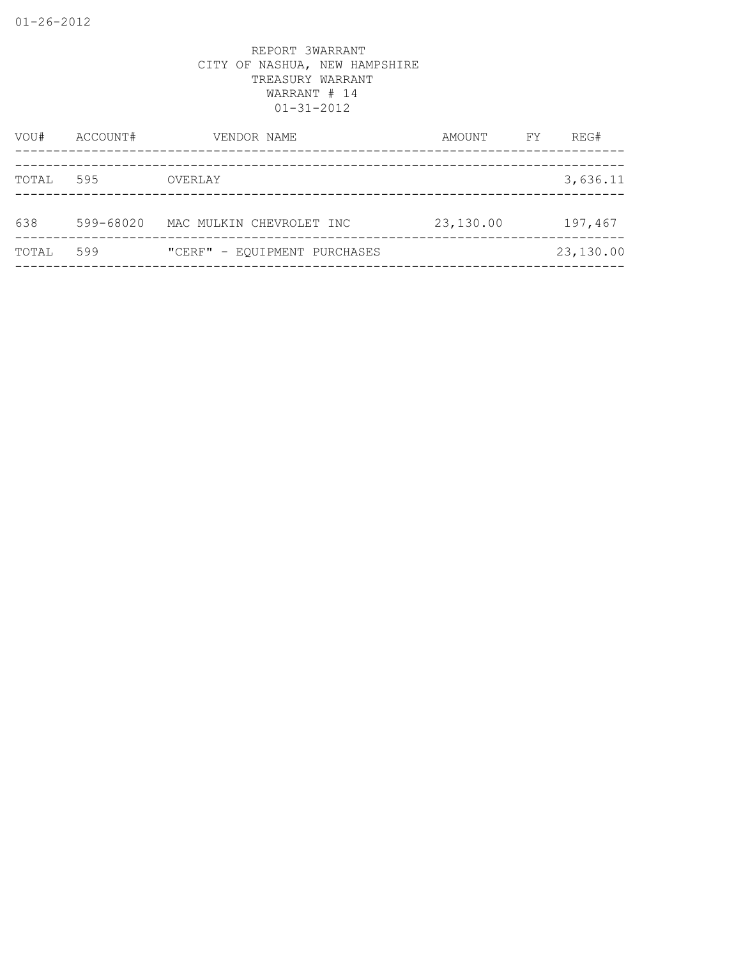| VOU#  | ACCOUNT#  | VENDOR NAME                  | AMOUNT    | FY | REG#      |
|-------|-----------|------------------------------|-----------|----|-----------|
| TOTAL | 595       | OVERLAY                      |           |    | 3,636.11  |
| 638   | 599-68020 | MAC MULKIN CHEVROLET INC     | 23,130.00 |    | 197,467   |
| TOTAL | 599       | "CERF" - EQUIPMENT PURCHASES |           |    | 23,130.00 |
|       |           |                              |           |    |           |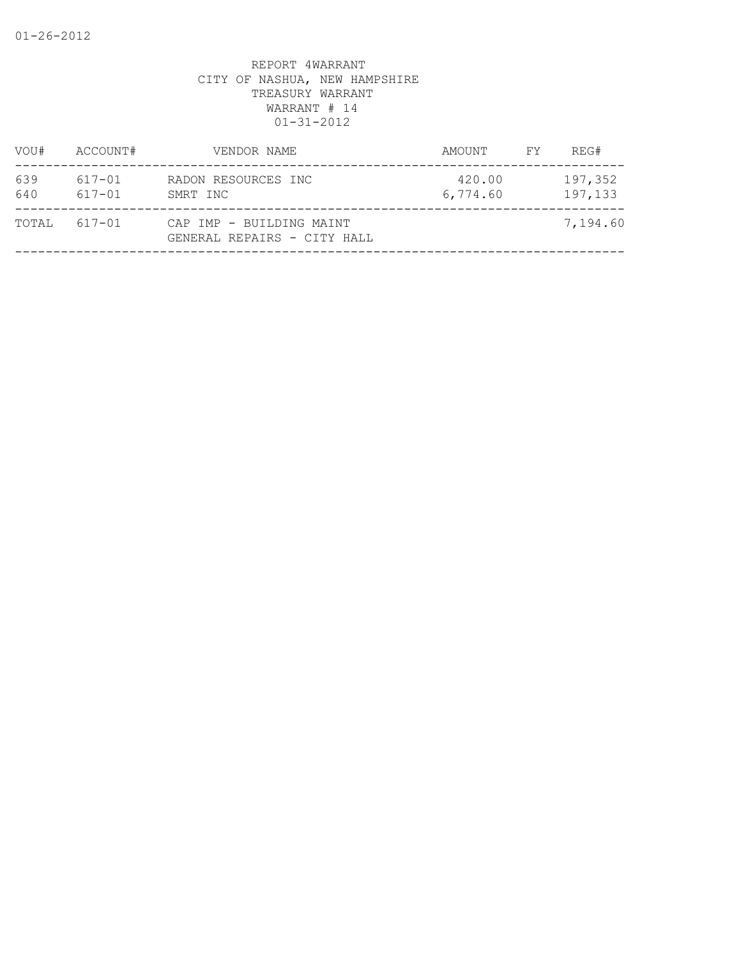| RADON RESOURCES INC<br>SMRT INC                         | 420.00<br>6,774.60 | 197,352<br>197,133 |
|---------------------------------------------------------|--------------------|--------------------|
| CAP IMP - BUILDING MAINT<br>GENERAL REPAIRS - CITY HALL |                    | 7,194.60           |
|                                                         |                    |                    |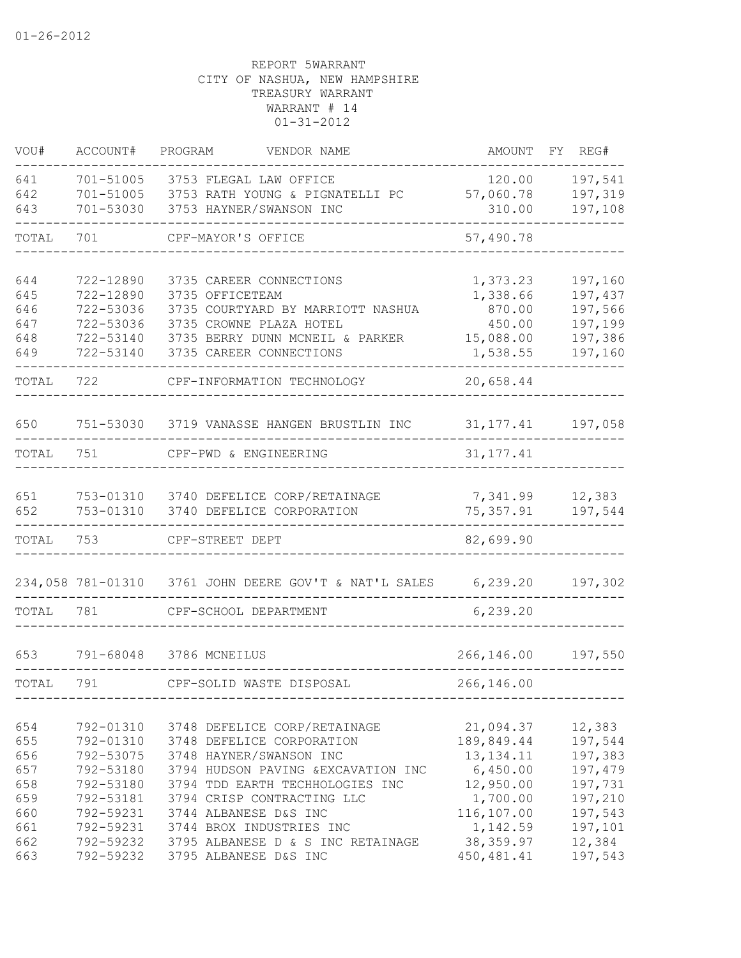| VOU#                                          | ACCOUNT#                                                                                | PROGRAM<br>VENDOR NAME                                                                                                                                                                                                | AMOUNT                                                                                    | FY REG#                                                                  |
|-----------------------------------------------|-----------------------------------------------------------------------------------------|-----------------------------------------------------------------------------------------------------------------------------------------------------------------------------------------------------------------------|-------------------------------------------------------------------------------------------|--------------------------------------------------------------------------|
| 641<br>642<br>643                             | 701-51005<br>701-51005<br>701-53030                                                     | 3753 FLEGAL LAW OFFICE<br>3753 RATH YOUNG & PIGNATELLI PC<br>3753 HAYNER/SWANSON INC                                                                                                                                  | 120.00<br>57,060.78<br>310.00                                                             | 197,541<br>197,319<br>197,108                                            |
| TOTAL                                         | 701                                                                                     | CPF-MAYOR'S OFFICE                                                                                                                                                                                                    | 57,490.78                                                                                 |                                                                          |
| 644<br>645<br>646<br>647<br>648<br>649        | 722-12890<br>722-12890<br>722-53036<br>722-53036<br>722-53140                           | 3735 CAREER CONNECTIONS<br>3735 OFFICETEAM<br>3735 COURTYARD BY MARRIOTT NASHUA<br>3735 CROWNE PLAZA HOTEL<br>722-53140 3735 BERRY DUNN MCNEIL & PARKER<br>3735 CAREER CONNECTIONS                                    | 1,373.23<br>1,338.66<br>870.00<br>450.00<br>15,088.00<br>1,538.55                         | 197,160<br>197,437<br>197,566<br>197,199<br>197,386<br>197,160           |
| TOTAL                                         | 722                                                                                     | CPF-INFORMATION TECHNOLOGY                                                                                                                                                                                            | 20,658.44                                                                                 |                                                                          |
| 650                                           |                                                                                         | 751-53030 3719 VANASSE HANGEN BRUSTLIN INC 31,177.41                                                                                                                                                                  |                                                                                           | 197,058                                                                  |
| TOTAL                                         | 751                                                                                     | CPF-PWD & ENGINEERING                                                                                                                                                                                                 | 31, 177.41                                                                                |                                                                          |
| 651<br>652                                    |                                                                                         | 753-01310 3740 DEFELICE CORP/RETAINAGE<br>753-01310 3740 DEFELICE CORPORATION                                                                                                                                         | 7,341.99<br>75,357.91                                                                     | 12,383<br>197,544                                                        |
| TOTAL                                         | 753                                                                                     | CPF-STREET DEPT                                                                                                                                                                                                       | 82,699.90                                                                                 |                                                                          |
| TOTAL                                         | 781                                                                                     | CPF-SCHOOL DEPARTMENT                                                                                                                                                                                                 | 6,239.20                                                                                  | 197,302                                                                  |
| 653                                           | 791-68048                                                                               | 3786 MCNEILUS                                                                                                                                                                                                         | 266,146.00                                                                                | 197,550                                                                  |
| TOTAL                                         | 791                                                                                     | CPF-SOLID WASTE DISPOSAL                                                                                                                                                                                              | 266,146.00                                                                                |                                                                          |
| 654<br>655<br>656<br>657<br>658<br>659<br>660 | 792-01310<br>792-01310<br>792-53075<br>792-53180<br>792-53180<br>792-53181<br>792-59231 | 3748 DEFELICE CORP/RETAINAGE<br>3748 DEFELICE CORPORATION<br>3748 HAYNER/SWANSON INC<br>3794 HUDSON PAVING & EXCAVATION INC<br>3794 TDD EARTH TECHHOLOGIES INC<br>3794 CRISP CONTRACTING LLC<br>3744 ALBANESE D&S INC | 21,094.37<br>189,849.44<br>13, 134. 11<br>6,450.00<br>12,950.00<br>1,700.00<br>116,107.00 | 12,383<br>197,544<br>197,383<br>197,479<br>197,731<br>197,210<br>197,543 |
| 661<br>662<br>663                             | 792-59231<br>792-59232<br>792-59232                                                     | 3744 BROX INDUSTRIES INC<br>3795 ALBANESE D & S INC RETAINAGE<br>3795 ALBANESE D&S INC                                                                                                                                | 1,142.59<br>38, 359.97<br>450, 481.41                                                     | 197,101<br>12,384<br>197,543                                             |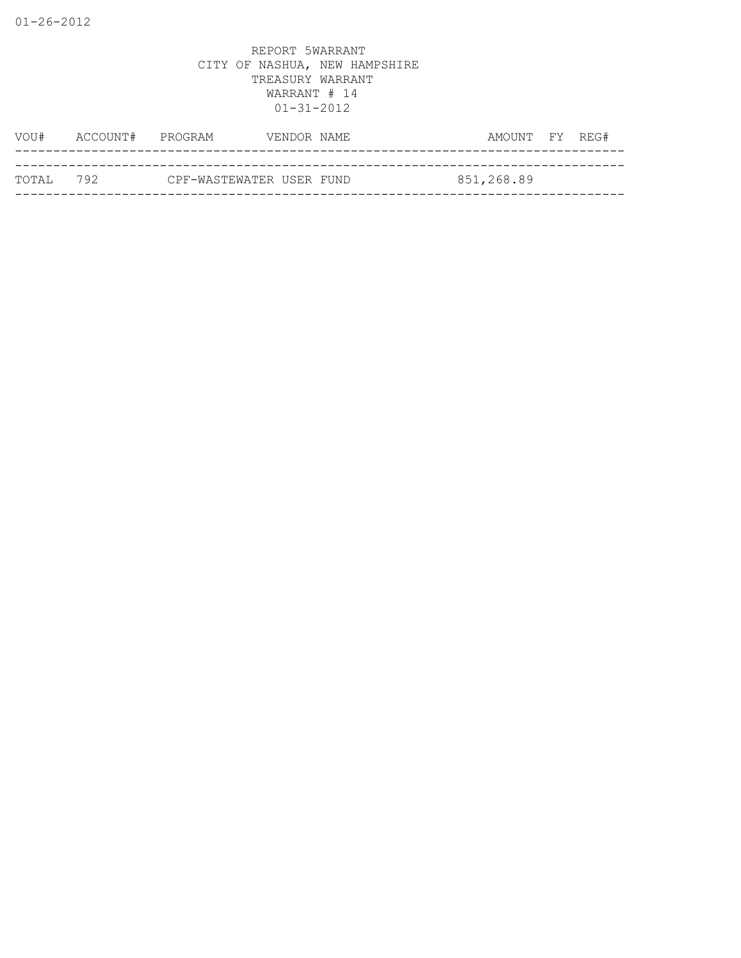| VOU#       | ACCOUNT# PROGRAM |                          | VENDOR NAME | AMOUNT FY REG# |  |
|------------|------------------|--------------------------|-------------|----------------|--|
|            |                  |                          |             |                |  |
| ТОТАІ. 792 |                  | CPF-WASTEWATER USER FUND |             | 851,268.89     |  |
|            |                  |                          |             |                |  |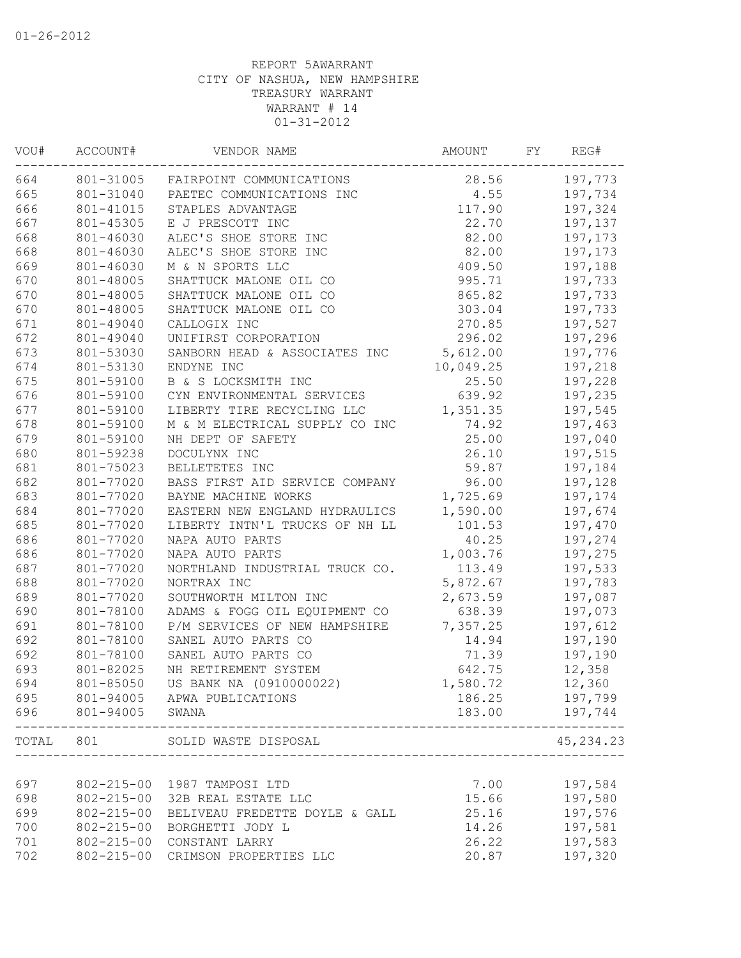| VOU#  | ACCOUNT#         | VENDOR NAME                            | AMOUNT    | FΥ | REG#       |
|-------|------------------|----------------------------------------|-----------|----|------------|
| 664   | 801-31005        | FAIRPOINT COMMUNICATIONS               | 28.56     |    | 197,773    |
| 665   | 801-31040        | PAETEC COMMUNICATIONS INC              | 4.55      |    | 197,734    |
| 666   | 801-41015        | STAPLES ADVANTAGE                      | 117.90    |    | 197,324    |
| 667   | 801-45305        | E J PRESCOTT INC                       | 22.70     |    | 197,137    |
| 668   | 801-46030        | ALEC'S SHOE STORE INC                  | 82.00     |    | 197,173    |
| 668   | 801-46030        | ALEC'S SHOE STORE INC                  | 82.00     |    | 197,173    |
| 669   | 801-46030        | M & N SPORTS LLC                       | 409.50    |    | 197,188    |
| 670   | 801-48005        | SHATTUCK MALONE OIL CO                 | 995.71    |    | 197,733    |
| 670   | 801-48005        | SHATTUCK MALONE OIL CO                 | 865.82    |    | 197,733    |
| 670   | 801-48005        | SHATTUCK MALONE OIL CO                 | 303.04    |    | 197,733    |
| 671   | 801-49040        | CALLOGIX INC                           | 270.85    |    | 197,527    |
| 672   | 801-49040        | UNIFIRST CORPORATION                   | 296.02    |    | 197,296    |
| 673   | 801-53030        | SANBORN HEAD & ASSOCIATES INC          | 5,612.00  |    | 197,776    |
| 674   | 801-53130        | ENDYNE INC                             | 10,049.25 |    | 197,218    |
| 675   | 801-59100        | B & S LOCKSMITH INC                    | 25.50     |    | 197,228    |
| 676   | 801-59100        | CYN ENVIRONMENTAL SERVICES             | 639.92    |    | 197,235    |
| 677   | 801-59100        | LIBERTY TIRE RECYCLING LLC             | 1,351.35  |    | 197,545    |
| 678   | 801-59100        | M & M ELECTRICAL SUPPLY CO INC         | 74.92     |    | 197,463    |
| 679   | 801-59100        | NH DEPT OF SAFETY                      | 25.00     |    | 197,040    |
| 680   | 801-59238        | DOCULYNX INC                           | 26.10     |    | 197,515    |
| 681   | 801-75023        | BELLETETES INC                         | 59.87     |    | 197,184    |
| 682   | 801-77020        | BASS FIRST AID SERVICE COMPANY         | 96.00     |    | 197,128    |
| 683   | 801-77020        | BAYNE MACHINE WORKS                    | 1,725.69  |    | 197,174    |
| 684   | 801-77020        | EASTERN NEW ENGLAND HYDRAULICS         | 1,590.00  |    | 197,674    |
| 685   | 801-77020        | LIBERTY INTN'L TRUCKS OF NH LL         | 101.53    |    | 197,470    |
| 686   | 801-77020        | NAPA AUTO PARTS                        | 40.25     |    | 197,274    |
| 686   | 801-77020        | NAPA AUTO PARTS                        | 1,003.76  |    | 197,275    |
| 687   | 801-77020        | NORTHLAND INDUSTRIAL TRUCK CO.         | 113.49    |    | 197,533    |
| 688   | 801-77020        | NORTRAX INC                            | 5,872.67  |    | 197,783    |
| 689   | 801-77020        | SOUTHWORTH MILTON INC                  | 2,673.59  |    | 197,087    |
| 690   | 801-78100        | ADAMS & FOGG OIL EQUIPMENT CO          | 638.39    |    | 197,073    |
| 691   | 801-78100        | P/M SERVICES OF NEW HAMPSHIRE          | 7,357.25  |    | 197,612    |
| 692   | 801-78100        | SANEL AUTO PARTS CO                    | 14.94     |    | 197,190    |
| 692   | 801-78100        | SANEL AUTO PARTS CO                    | 71.39     |    | 197,190    |
| 693   | 801-82025        | NH RETIREMENT SYSTEM                   | 642.75    |    | 12,358     |
| 694   | 801-85050        | US BANK NA (0910000022)                | 1,580.72  |    | 12,360     |
| 695   |                  | 801-94005 APWA PUBLICATIONS            | 186.25    |    | 197,799    |
| 696   | 801-94005        | SWANA<br>_____________________________ | 183.00    |    | 197,744    |
| TOTAL | 801              | SOLID WASTE DISPOSAL                   |           |    | 45, 234.23 |
|       |                  |                                        |           |    |            |
| 697   |                  | 802-215-00 1987 TAMPOSI LTD            | 7.00      |    | 197,584    |
| 698   | $802 - 215 - 00$ | 32B REAL ESTATE LLC                    | 15.66     |    | 197,580    |
| 699   | $802 - 215 - 00$ | BELIVEAU FREDETTE DOYLE & GALL         | 25.16     |    | 197,576    |
| 700   | $802 - 215 - 00$ | BORGHETTI JODY L                       | 14.26     |    | 197,581    |
| 701   | $802 - 215 - 00$ | CONSTANT LARRY                         | 26.22     |    | 197,583    |
| 702   | $802 - 215 - 00$ | CRIMSON PROPERTIES LLC                 | 20.87     |    | 197,320    |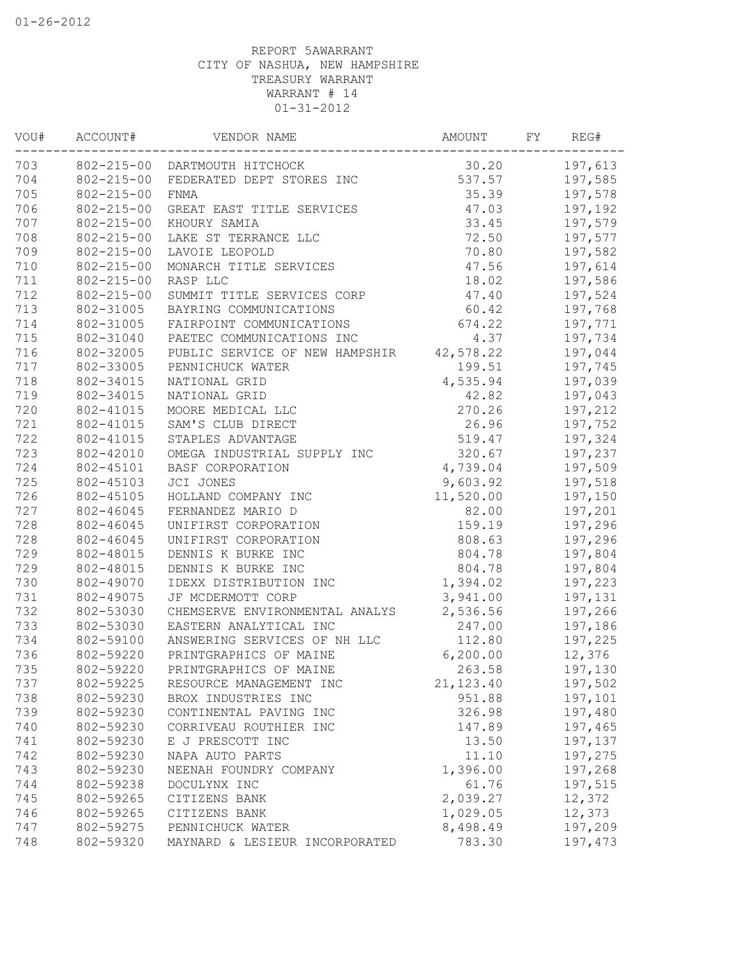| VOU# | ACCOUNT#         | VENDOR NAME                              | AMOUNT     | FY. | REG#    |
|------|------------------|------------------------------------------|------------|-----|---------|
| 703  |                  | 802-215-00 DARTMOUTH HITCHOCK            | 30.20      |     | 197,613 |
| 704  | $802 - 215 - 00$ | FEDERATED DEPT STORES INC                | 537.57     |     | 197,585 |
| 705  | $802 - 215 - 00$ | FNMA                                     | 35.39      |     | 197,578 |
| 706  | $802 - 215 - 00$ | GREAT EAST TITLE SERVICES                | 47.03      |     | 197,192 |
| 707  | $802 - 215 - 00$ | KHOURY SAMIA                             | 33.45      |     | 197,579 |
| 708  | $802 - 215 - 00$ | LAKE ST TERRANCE LLC                     | 72.50      |     | 197,577 |
| 709  | $802 - 215 - 00$ | LAVOIE LEOPOLD                           | 70.80      |     | 197,582 |
| 710  | $802 - 215 - 00$ | MONARCH TITLE SERVICES                   | 47.56      |     | 197,614 |
| 711  | $802 - 215 - 00$ | RASP LLC                                 | 18.02      |     | 197,586 |
| 712  | $802 - 215 - 00$ | SUMMIT TITLE SERVICES CORP               | 47.40      |     | 197,524 |
| 713  | 802-31005        | BAYRING COMMUNICATIONS                   | 60.42      |     | 197,768 |
| 714  | 802-31005        | FAIRPOINT COMMUNICATIONS                 | 674.22     |     | 197,771 |
| 715  | 802-31040        | PAETEC COMMUNICATIONS INC                | 4.37       |     | 197,734 |
| 716  | 802-32005        | PUBLIC SERVICE OF NEW HAMPSHIR 42,578.22 |            |     | 197,044 |
| 717  | 802-33005        | PENNICHUCK WATER                         | 199.51     |     | 197,745 |
| 718  | 802-34015        | NATIONAL GRID                            | 4,535.94   |     | 197,039 |
| 719  | 802-34015        | NATIONAL GRID                            | 42.82      |     | 197,043 |
| 720  | 802-41015        | MOORE MEDICAL LLC                        | 270.26     |     | 197,212 |
| 721  | 802-41015        | SAM'S CLUB DIRECT                        | 26.96      |     | 197,752 |
| 722  | 802-41015        | STAPLES ADVANTAGE                        | 519.47     |     | 197,324 |
| 723  | 802-42010        | OMEGA INDUSTRIAL SUPPLY INC              | 320.67     |     | 197,237 |
| 724  | 802-45101        | BASF CORPORATION                         | 4,739.04   |     | 197,509 |
| 725  | 802-45103        | JCI JONES                                | 9,603.92   |     | 197,518 |
| 726  | 802-45105        | HOLLAND COMPANY INC                      | 11,520.00  |     | 197,150 |
| 727  | 802-46045        | FERNANDEZ MARIO D                        | 82.00      |     | 197,201 |
| 728  | 802-46045        | UNIFIRST CORPORATION                     | 159.19     |     | 197,296 |
| 728  | 802-46045        | UNIFIRST CORPORATION                     | 808.63     |     | 197,296 |
| 729  | 802-48015        | DENNIS K BURKE INC                       | 804.78     |     | 197,804 |
| 729  | 802-48015        | DENNIS K BURKE INC                       | 804.78     |     | 197,804 |
| 730  | 802-49070        | IDEXX DISTRIBUTION INC                   | 1,394.02   |     | 197,223 |
| 731  | 802-49075        | JF MCDERMOTT CORP                        | 3,941.00   |     | 197,131 |
| 732  | 802-53030        | CHEMSERVE ENVIRONMENTAL ANALYS           | 2,536.56   |     | 197,266 |
| 733  | 802-53030        | EASTERN ANALYTICAL INC                   | 247.00     |     | 197,186 |
| 734  | 802-59100        | ANSWERING SERVICES OF NH LLC             | 112.80     |     | 197,225 |
| 736  | 802-59220        | PRINTGRAPHICS OF MAINE                   | 6, 200.00  |     | 12,376  |
| 735  | 802-59220        | PRINTGRAPHICS OF MAINE                   | 263.58     |     | 197,130 |
| 737  | 802-59225        | RESOURCE MANAGEMENT INC                  | 21, 123.40 |     | 197,502 |
| 738  | 802-59230        | BROX INDUSTRIES INC                      | 951.88     |     | 197,101 |
| 739  | 802-59230        | CONTINENTAL PAVING INC                   | 326.98     |     | 197,480 |
| 740  | 802-59230        | CORRIVEAU ROUTHIER INC                   | 147.89     |     | 197,465 |
| 741  | 802-59230        | E J PRESCOTT INC                         | 13.50      |     | 197,137 |
| 742  | 802-59230        | NAPA AUTO PARTS                          | 11.10      |     | 197,275 |
| 743  | 802-59230        | NEENAH FOUNDRY COMPANY                   | 1,396.00   |     | 197,268 |
| 744  | 802-59238        | DOCULYNX INC                             | 61.76      |     | 197,515 |
| 745  | 802-59265        | CITIZENS BANK                            | 2,039.27   |     | 12,372  |
| 746  | 802-59265        | CITIZENS BANK                            | 1,029.05   |     | 12,373  |
| 747  | 802-59275        | PENNICHUCK WATER                         | 8,498.49   |     | 197,209 |
| 748  | 802-59320        | MAYNARD & LESIEUR INCORPORATED           | 783.30     |     | 197,473 |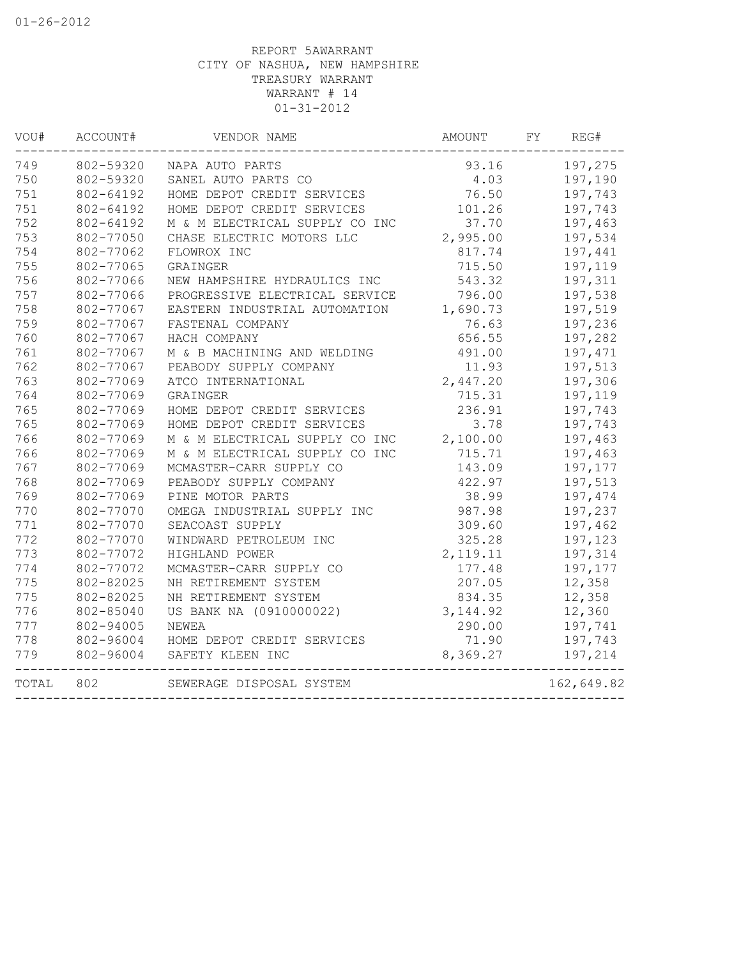| VOU#  | ACCOUNT#  | VENDOR NAME                    | AMOUNT    | FY | REG#       |
|-------|-----------|--------------------------------|-----------|----|------------|
| 749   | 802-59320 | NAPA AUTO PARTS                | 93.16     |    | 197,275    |
| 750   | 802-59320 | SANEL AUTO PARTS CO            | 4.03      |    | 197,190    |
| 751   | 802-64192 | HOME DEPOT CREDIT SERVICES     | 76.50     |    | 197,743    |
| 751   | 802-64192 | HOME DEPOT CREDIT SERVICES     | 101.26    |    | 197,743    |
| 752   | 802-64192 | M & M ELECTRICAL SUPPLY CO INC | 37.70     |    | 197,463    |
| 753   | 802-77050 | CHASE ELECTRIC MOTORS LLC      | 2,995.00  |    | 197,534    |
| 754   | 802-77062 | FLOWROX INC                    | 817.74    |    | 197,441    |
| 755   | 802-77065 | GRAINGER                       | 715.50    |    | 197,119    |
| 756   | 802-77066 | NEW HAMPSHIRE HYDRAULICS INC   | 543.32    |    | 197,311    |
| 757   | 802-77066 | PROGRESSIVE ELECTRICAL SERVICE | 796.00    |    | 197,538    |
| 758   | 802-77067 | EASTERN INDUSTRIAL AUTOMATION  | 1,690.73  |    | 197,519    |
| 759   | 802-77067 | FASTENAL COMPANY               | 76.63     |    | 197,236    |
| 760   | 802-77067 | HACH COMPANY                   | 656.55    |    | 197,282    |
| 761   | 802-77067 | M & B MACHINING AND WELDING    | 491.00    |    | 197,471    |
| 762   | 802-77067 | PEABODY SUPPLY COMPANY         | 11.93     |    | 197,513    |
| 763   | 802-77069 | ATCO INTERNATIONAL             | 2,447.20  |    | 197,306    |
| 764   | 802-77069 | GRAINGER                       | 715.31    |    | 197,119    |
| 765   | 802-77069 | HOME DEPOT CREDIT SERVICES     | 236.91    |    | 197,743    |
| 765   | 802-77069 | HOME DEPOT CREDIT SERVICES     | 3.78      |    | 197,743    |
| 766   | 802-77069 | M & M ELECTRICAL SUPPLY CO INC | 2,100.00  |    | 197,463    |
| 766   | 802-77069 | M & M ELECTRICAL SUPPLY CO INC | 715.71    |    | 197,463    |
| 767   | 802-77069 | MCMASTER-CARR SUPPLY CO        | 143.09    |    | 197,177    |
| 768   | 802-77069 | PEABODY SUPPLY COMPANY         | 422.97    |    | 197,513    |
| 769   | 802-77069 | PINE MOTOR PARTS               | 38.99     |    | 197,474    |
| 770   | 802-77070 | OMEGA INDUSTRIAL SUPPLY INC    | 987.98    |    | 197,237    |
| 771   | 802-77070 | SEACOAST SUPPLY                | 309.60    |    | 197,462    |
| 772   | 802-77070 | WINDWARD PETROLEUM INC         | 325.28    |    | 197,123    |
| 773   | 802-77072 | HIGHLAND POWER                 | 2,119.11  |    | 197,314    |
| 774   | 802-77072 | MCMASTER-CARR SUPPLY CO        | 177.48    |    | 197,177    |
| 775   | 802-82025 | NH RETIREMENT SYSTEM           | 207.05    |    | 12,358     |
| 775   | 802-82025 | NH RETIREMENT SYSTEM           | 834.35    |    | 12,358     |
| 776   | 802-85040 | US BANK NA (0910000022)        | 3, 144.92 |    | 12,360     |
| 777   | 802-94005 | NEWEA                          | 290.00    |    | 197,741    |
| 778   | 802-96004 | HOME DEPOT CREDIT SERVICES     | 71.90     |    | 197,743    |
| 779   | 802-96004 | SAFETY KLEEN INC               | 8,369.27  |    | 197,214    |
| TOTAL | 802       | SEWERAGE DISPOSAL SYSTEM       |           |    | 162,649.82 |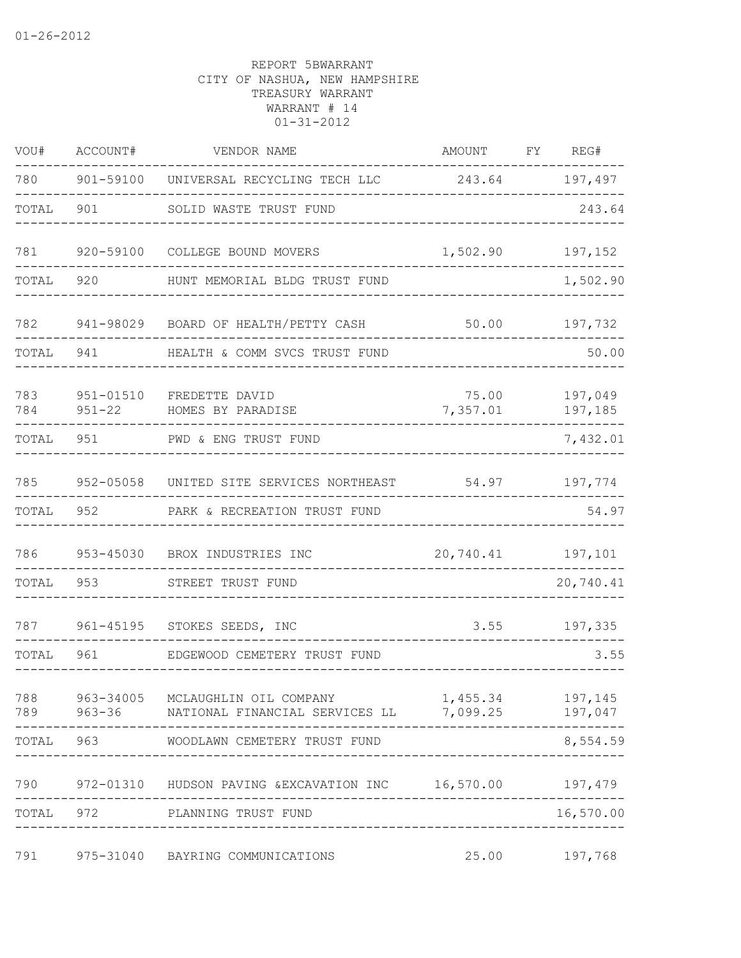| VOU#       | ACCOUNT#                    | VENDOR NAME                                                                                    | AMOUNT                     | FΥ | REG#               |
|------------|-----------------------------|------------------------------------------------------------------------------------------------|----------------------------|----|--------------------|
| 780        | 901-59100                   | UNIVERSAL RECYCLING TECH LLC                                                                   | 243.64                     |    | 197,497            |
| TOTAL      | 901                         | SOLID WASTE TRUST FUND                                                                         |                            |    | 243.64             |
| 781        | 920-59100                   | COLLEGE BOUND MOVERS                                                                           | 1,502.90                   |    | 197,152            |
| TOTAL      | 920                         | HUNT MEMORIAL BLDG TRUST FUND                                                                  |                            |    | 1,502.90           |
| 782        | 941-98029                   | BOARD OF HEALTH/PETTY CASH                                                                     | 50.00                      |    | 197,732            |
| TOTAL      | 941                         | HEALTH & COMM SVCS TRUST FUND                                                                  |                            |    | 50.00              |
| 783<br>784 | $951 - 01510$<br>$951 - 22$ | FREDETTE DAVID<br>HOMES BY PARADISE                                                            | 75.00<br>7,357.01          |    | 197,049<br>197,185 |
| TOTAL      | 951                         | PWD & ENG TRUST FUND                                                                           |                            |    | 7,432.01           |
| 785        | 952-05058                   | UNITED SITE SERVICES NORTHEAST                                                                 | 54.97                      |    | 197,774            |
| TOTAL      | 952                         | PARK & RECREATION TRUST FUND                                                                   |                            |    | 54.97              |
| 786        | 953-45030                   | BROX INDUSTRIES INC                                                                            | 20,740.41                  |    | 197,101            |
| TOTAL      | 953                         | STREET TRUST FUND                                                                              |                            |    | 20,740.41          |
| 787        | 961-45195                   | STOKES SEEDS, INC                                                                              | 3.55                       |    | 197,335            |
| TOTAL      | 961                         | EDGEWOOD CEMETERY TRUST FUND                                                                   |                            |    | 3.55               |
| 788        |                             | 963-34005 MCLAUGHLIN OIL COMPANY<br>789 963-36 NATIONAL FINANCIAL SERVICES LL 7,099.25 197,047 | 1,455.34                   |    | 197,145            |
|            | TOTAL 963                   | WOODLAWN CEMETERY TRUST FUND                                                                   |                            |    | 8,554.59           |
|            |                             | 790  972-01310  HUDSON PAVING & EXCAVATION INC  16,570.00  197,479                             |                            |    |                    |
| TOTAL      |                             | 972 PLANNING TRUST FUND                                                                        | -------------------------- |    | 16,570.00          |
| 791        |                             | 975-31040 BAYRING COMMUNICATIONS                                                               | 25.00                      |    | 197,768            |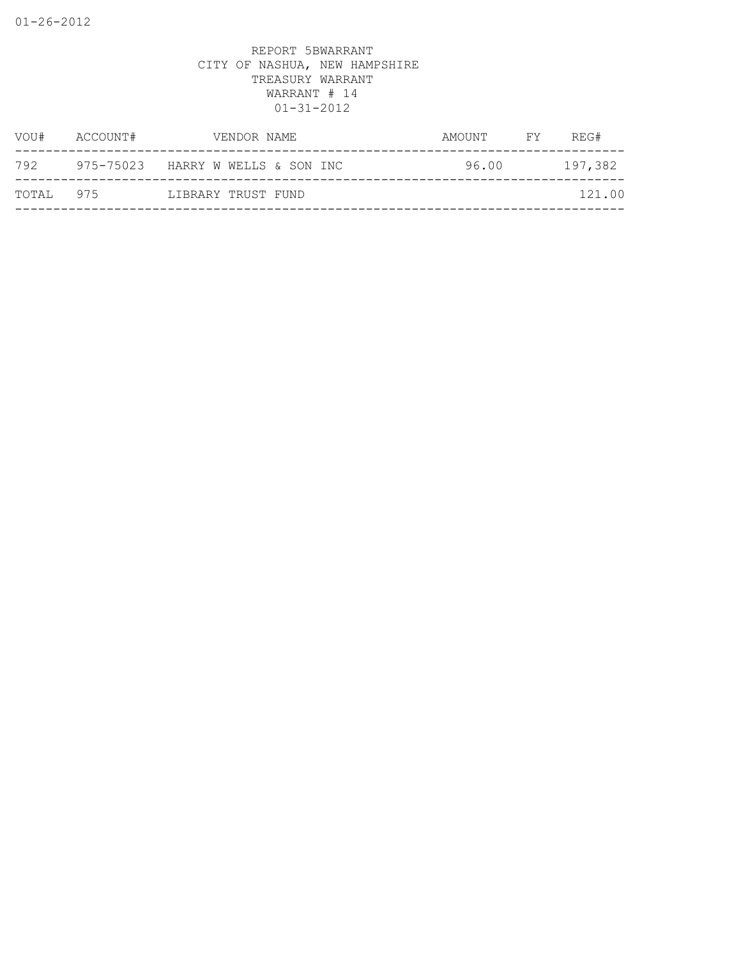| VOU#  | ACCOUNT#  | VENDOR NAME             | AMOUNT | FY | REG#    |
|-------|-----------|-------------------------|--------|----|---------|
| 792   | 975-75023 | HARRY W WELLS & SON INC | 96.00  |    | 197,382 |
| TOTAL | 975       | LIBRARY TRUST FUND      |        |    | 121.00  |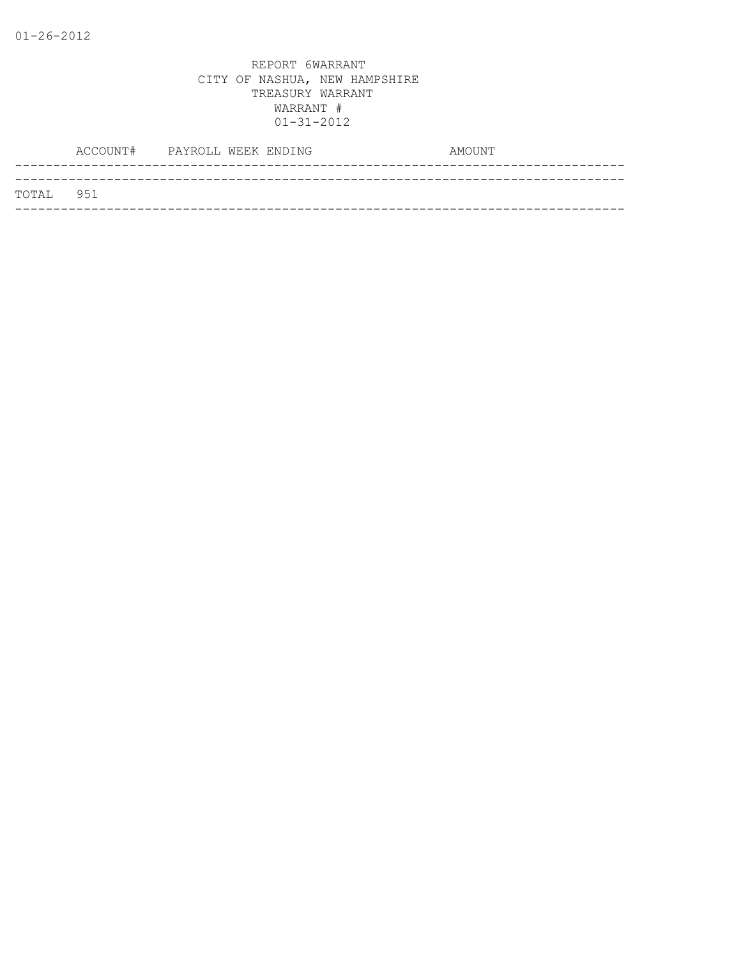|           | ACCOUNT# PAYROLL WEEK ENDING |  | AMOUNT |  |
|-----------|------------------------------|--|--------|--|
|           |                              |  |        |  |
| TOTAL 951 |                              |  |        |  |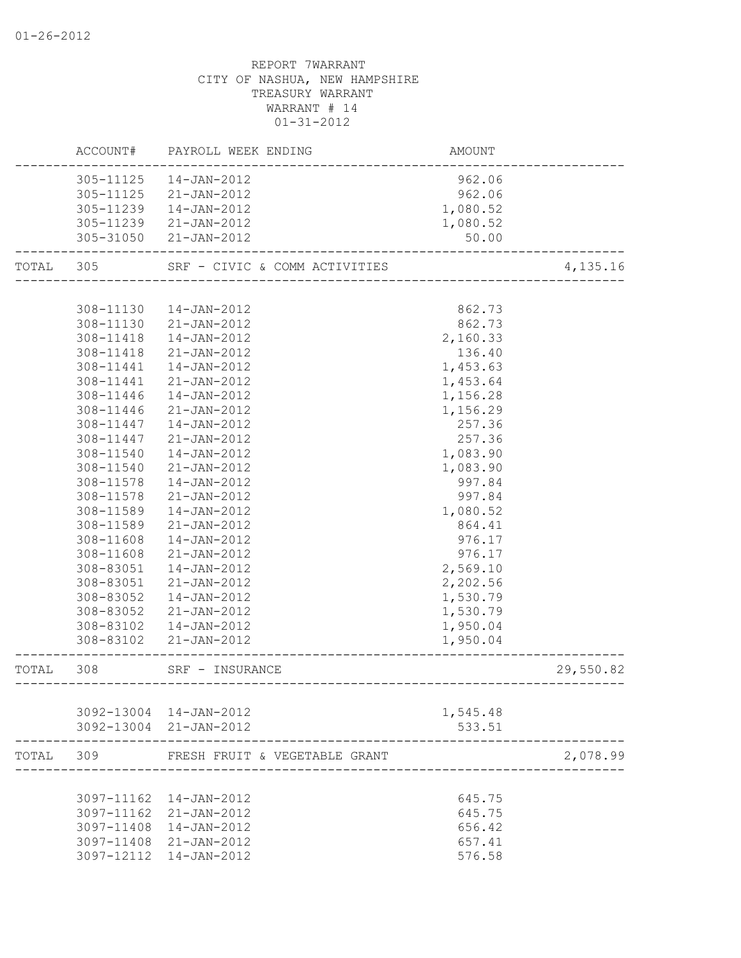|           |           | ACCOUNT# PAYROLL WEEK ENDING  | AMOUNT   |           |
|-----------|-----------|-------------------------------|----------|-----------|
|           | 305-11125 | 14-JAN-2012                   | 962.06   |           |
|           | 305-11125 | 21-JAN-2012                   | 962.06   |           |
|           | 305-11239 | 14-JAN-2012                   | 1,080.52 |           |
|           | 305-11239 | 21-JAN-2012                   | 1,080.52 |           |
|           |           | 305-31050 21-JAN-2012         | 50.00    |           |
| TOTAL 305 |           | SRF - CIVIC & COMM ACTIVITIES |          | 4,135.16  |
|           |           |                               |          |           |
|           | 308-11130 | 14-JAN-2012                   | 862.73   |           |
|           | 308-11130 | 21-JAN-2012                   | 862.73   |           |
|           | 308-11418 | 14-JAN-2012                   | 2,160.33 |           |
|           | 308-11418 | 21-JAN-2012                   | 136.40   |           |
|           | 308-11441 | 14-JAN-2012                   | 1,453.63 |           |
|           | 308-11441 | 21-JAN-2012                   | 1,453.64 |           |
|           | 308-11446 | 14-JAN-2012                   | 1,156.28 |           |
|           | 308-11446 | 21-JAN-2012                   | 1,156.29 |           |
|           | 308-11447 | 14-JAN-2012                   | 257.36   |           |
|           | 308-11447 | 21-JAN-2012                   | 257.36   |           |
|           | 308-11540 | 14-JAN-2012                   | 1,083.90 |           |
|           | 308-11540 | 21-JAN-2012                   | 1,083.90 |           |
|           | 308-11578 | 14-JAN-2012                   | 997.84   |           |
|           | 308-11578 | 21-JAN-2012                   | 997.84   |           |
|           | 308-11589 | 14-JAN-2012                   | 1,080.52 |           |
|           | 308-11589 | 21-JAN-2012                   | 864.41   |           |
|           | 308-11608 | 14-JAN-2012                   | 976.17   |           |
|           | 308-11608 | 21-JAN-2012                   | 976.17   |           |
|           | 308-83051 | 14-JAN-2012                   | 2,569.10 |           |
|           | 308-83051 | 21-JAN-2012                   | 2,202.56 |           |
|           | 308-83052 | 14-JAN-2012                   | 1,530.79 |           |
|           |           | 308-83052 21-JAN-2012         | 1,530.79 |           |
|           |           | 308-83102  14-JAN-2012        | 1,950.04 |           |
|           |           | 308-83102 21-JAN-2012         | 1,950.04 |           |
| TOTAL 308 |           | SRF - INSURANCE               |          | 29,550.82 |
|           |           |                               |          |           |
|           |           | 3092-13004 14-JAN-2012        | 1,545.48 |           |
|           |           | 3092-13004 21-JAN-2012        | 533.51   |           |
| TOTAL     | 309       | FRESH FRUIT & VEGETABLE GRANT |          | 2,078.99  |
|           |           |                               |          |           |
|           |           | 3097-11162  14-JAN-2012       | 645.75   |           |
|           |           | 3097-11162 21-JAN-2012        | 645.75   |           |
|           |           | 3097-11408 14-JAN-2012        | 656.42   |           |
|           |           | 3097-11408 21-JAN-2012        | 657.41   |           |
|           |           | 3097-12112  14-JAN-2012       | 576.58   |           |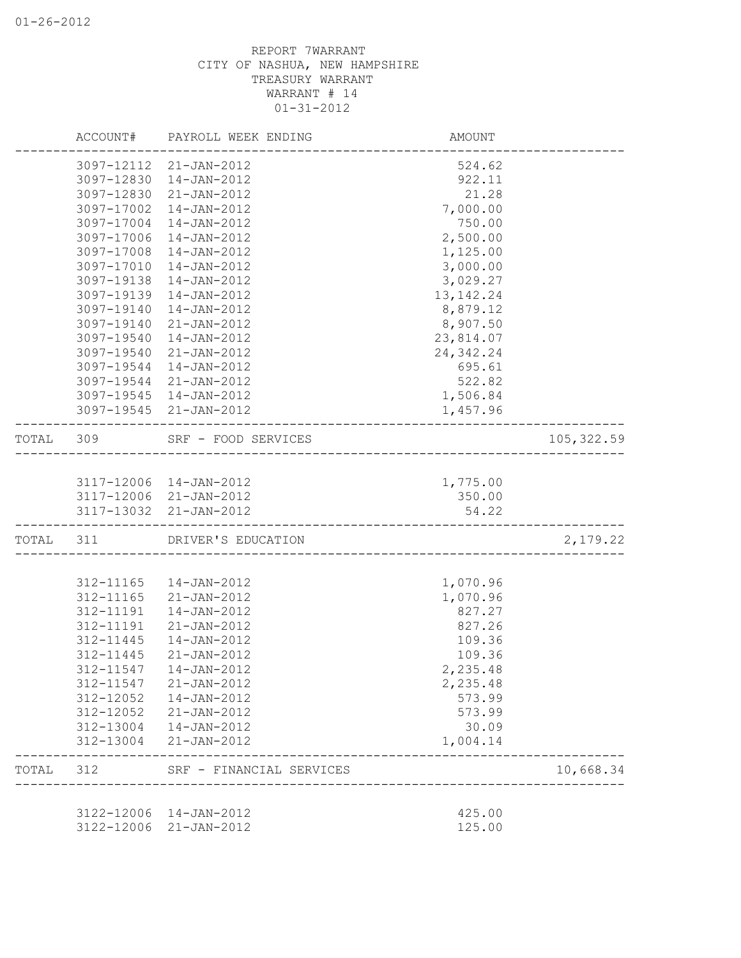|           |            | ACCOUNT# PAYROLL WEEK ENDING | AMOUNT                            |                        |
|-----------|------------|------------------------------|-----------------------------------|------------------------|
|           |            | 3097-12112 21-JAN-2012       | 524.62                            |                        |
|           | 3097-12830 | 14-JAN-2012                  | 922.11                            |                        |
|           | 3097-12830 | 21-JAN-2012                  | 21.28                             |                        |
|           | 3097-17002 | 14-JAN-2012                  | 7,000.00                          |                        |
|           | 3097-17004 | 14-JAN-2012                  | 750.00                            |                        |
|           | 3097-17006 | 14-JAN-2012                  | 2,500.00                          |                        |
|           | 3097-17008 | 14-JAN-2012                  | 1,125.00                          |                        |
|           | 3097-17010 | 14-JAN-2012                  | 3,000.00                          |                        |
|           | 3097-19138 | 14-JAN-2012                  | 3,029.27                          |                        |
|           | 3097-19139 | 14-JAN-2012                  | 13, 142. 24                       |                        |
|           | 3097-19140 | 14-JAN-2012                  | 8,879.12                          |                        |
|           | 3097-19140 | 21-JAN-2012                  | 8,907.50                          |                        |
|           | 3097-19540 | 14-JAN-2012                  | 23,814.07                         |                        |
|           | 3097-19540 | 21-JAN-2012                  | 24, 342.24                        |                        |
|           | 3097-19544 | 14-JAN-2012                  | 695.61                            |                        |
|           | 3097-19544 | 21-JAN-2012                  | 522.82                            |                        |
|           |            | 3097-19545  14-JAN-2012      | 1,506.84                          |                        |
|           |            | 3097-19545 21-JAN-2012       | 1,457.96                          |                        |
| TOTAL 309 |            | SRF - FOOD SERVICES          | _________________________________ | 105, 322.59            |
|           |            |                              |                                   |                        |
|           |            | 3117-12006 14-JAN-2012       | 1,775.00                          |                        |
|           |            | 3117-12006 21-JAN-2012       | 350.00                            |                        |
|           |            | 3117-13032 21-JAN-2012       | 54.22                             |                        |
| TOTAL 311 |            | DRIVER'S EDUCATION           |                                   | 2,179.22               |
|           |            |                              |                                   |                        |
|           | 312-11165  | 14-JAN-2012                  | 1,070.96                          |                        |
|           | 312-11165  | 21-JAN-2012                  | 1,070.96                          |                        |
|           | 312-11191  | 14-JAN-2012                  | 827.27                            |                        |
|           | 312-11191  | 21-JAN-2012                  | 827.26                            |                        |
|           | 312-11445  | $14 - JAN - 2012$            | 109.36                            |                        |
|           | 312-11445  | 21-JAN-2012                  | 109.36                            |                        |
|           | 312-11547  | $14 - JAN - 2012$            | 2,235.48                          |                        |
|           | 312-11547  | $21 - JAN - 2012$            | 2,235.48                          |                        |
|           | 312-12052  | 14-JAN-2012                  | 573.99                            |                        |
|           | 312-12052  | $21 - JAN - 2012$            | 573.99                            |                        |
|           | 312-13004  | 14-JAN-2012                  | 30.09                             |                        |
|           | 312-13004  | 21-JAN-2012                  | 1,004.14                          |                        |
| TOTAL     | 312        | SRF - FINANCIAL SERVICES     |                                   | 10,668.34<br>_________ |
|           |            |                              |                                   |                        |
|           | 3122-12006 | 14-JAN-2012                  | 425.00                            |                        |
|           | 3122-12006 | 21-JAN-2012                  | 125.00                            |                        |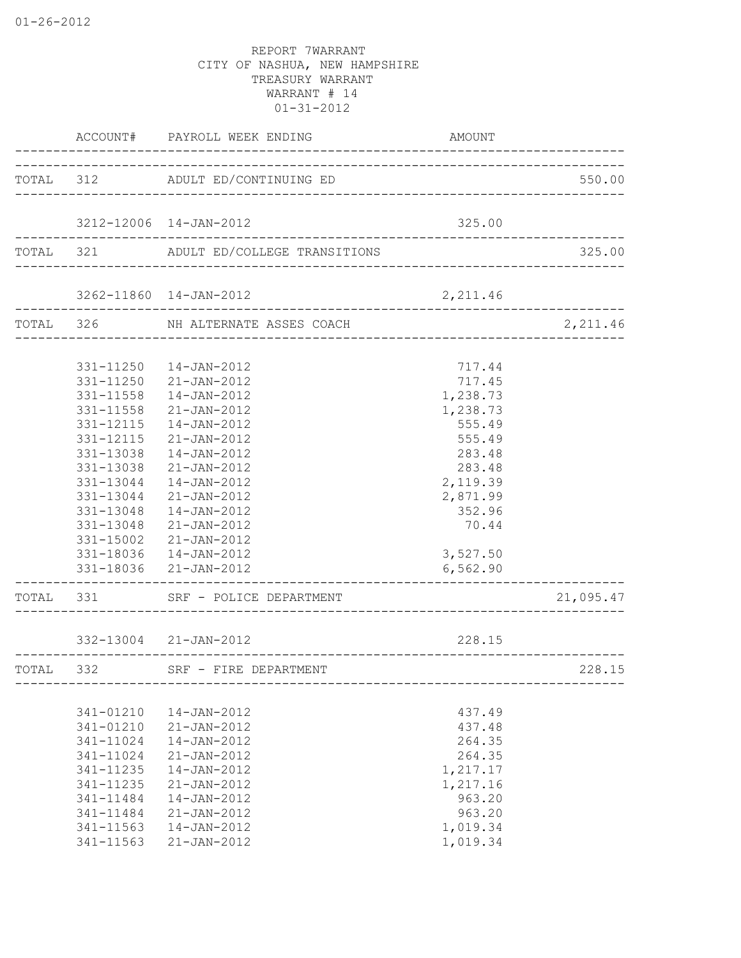|           |           | ACCOUNT# PAYROLL WEEK ENDING                                             | AMOUNT                |           |
|-----------|-----------|--------------------------------------------------------------------------|-----------------------|-----------|
| TOTAL 312 |           | ADULT ED/CONTINUING ED                                                   |                       | 550.00    |
|           |           |                                                                          |                       |           |
|           |           | 3212-12006 14-JAN-2012<br><u> 1999 - Johann Barbara, martxa eta arte</u> | 325.00                |           |
|           |           | TOTAL 321 ADULT ED/COLLEGE TRANSITIONS                                   |                       | 325.00    |
|           |           | 3262-11860 14-JAN-2012                                                   | 2,211.46              |           |
|           |           | TOTAL 326 NH ALTERNATE ASSES COACH                                       |                       | 2, 211.46 |
|           |           |                                                                          |                       |           |
|           |           | 331-11250  14-JAN-2012                                                   | 717.44                |           |
|           |           | 331-11250 21-JAN-2012                                                    | 717.45                |           |
|           |           | 331-11558  14-JAN-2012                                                   | 1,238.73              |           |
|           | 331-11558 | 21-JAN-2012<br>14-JAN-2012                                               | 1,238.73              |           |
|           | 331-12115 | 21-JAN-2012                                                              | 555.49                |           |
|           | 331-12115 |                                                                          | 555.49                |           |
|           | 331-13038 | 14-JAN-2012                                                              | 283.48                |           |
|           | 331-13038 | 21-JAN-2012                                                              | 283.48                |           |
|           | 331-13044 | 14-JAN-2012                                                              | 2,119.39              |           |
|           | 331-13044 | 21-JAN-2012                                                              | 2,871.99              |           |
|           | 331-13048 | 14-JAN-2012                                                              | 352.96                |           |
|           | 331-13048 | 21-JAN-2012                                                              | 70.44                 |           |
|           | 331-15002 | 21-JAN-2012                                                              |                       |           |
|           |           | 331-18036  14-JAN-2012<br>331-18036 21-JAN-2012                          | 3,527.50<br>6, 562.90 |           |
|           |           |                                                                          |                       |           |
|           |           | TOTAL 331 SRF - POLICE DEPARTMENT                                        |                       | 21,095.47 |
|           |           | 332-13004 21-JAN-2012                                                    | 228.15                |           |
| TOTAL 332 |           | _____________________________<br>SRF - FIRE DEPARTMENT                   |                       | 228.15    |
|           |           |                                                                          |                       |           |
|           | 341-01210 | $14 - JAN - 2012$                                                        | 437.49                |           |
|           | 341-01210 | $21 - JAN - 2012$                                                        | 437.48                |           |
|           | 341-11024 | 14-JAN-2012                                                              | 264.35                |           |
|           | 341-11024 | 21-JAN-2012                                                              | 264.35                |           |
|           | 341-11235 | 14-JAN-2012                                                              | 1,217.17              |           |
|           | 341-11235 | 21-JAN-2012                                                              | 1,217.16              |           |
|           | 341-11484 | 14-JAN-2012                                                              | 963.20                |           |
|           | 341-11484 | 21-JAN-2012                                                              | 963.20                |           |
|           | 341-11563 | 14-JAN-2012                                                              | 1,019.34              |           |
|           | 341-11563 | 21-JAN-2012                                                              | 1,019.34              |           |
|           |           |                                                                          |                       |           |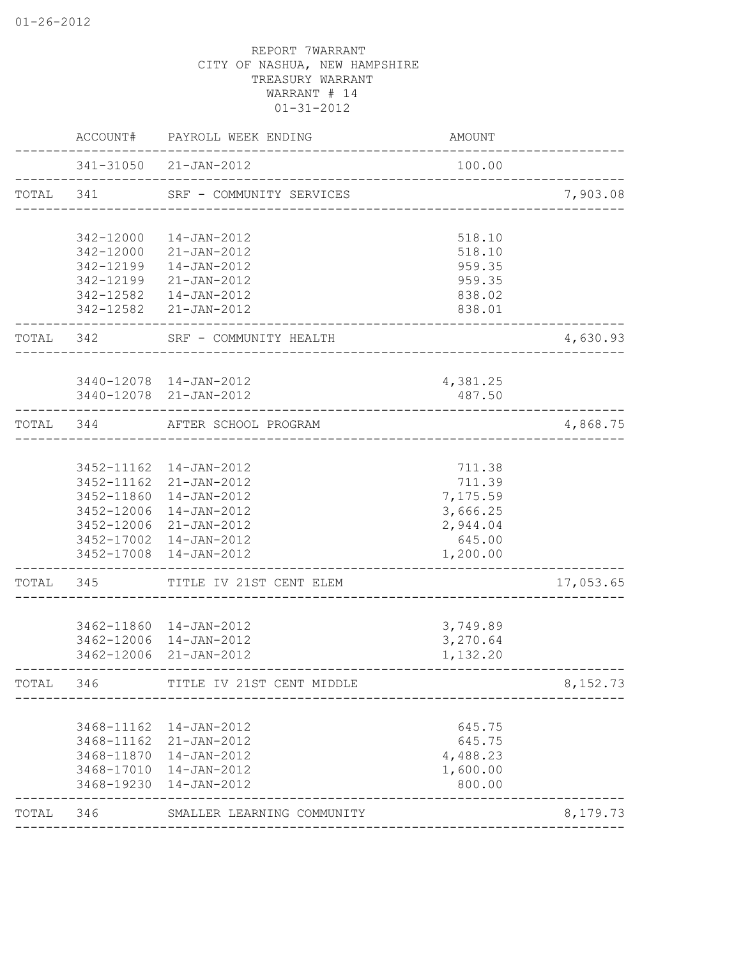|           | ACCOUNT#                 | PAYROLL WEEK ENDING                           | <b>AMOUNT</b>          |           |
|-----------|--------------------------|-----------------------------------------------|------------------------|-----------|
|           |                          | 341-31050 21-JAN-2012                         | 100.00                 |           |
| TOTAL 341 |                          | SRF - COMMUNITY SERVICES                      |                        | 7,903.08  |
|           | 342-12000                | 14-JAN-2012                                   | 518.10                 |           |
|           | 342-12000                | $21 - JAN - 2012$                             | 518.10                 |           |
|           | 342-12199<br>342-12199   | $14 - JAN - 2012$                             | 959.35                 |           |
|           | 342-12582                | 21-JAN-2012<br>14-JAN-2012                    | 959.35<br>838.02       |           |
|           |                          | 342-12582 21-JAN-2012                         | 838.01                 |           |
| TOTAL 342 |                          | SRF - COMMUNITY HEALTH                        | ______________________ | 4,630.93  |
|           |                          | 3440-12078  14-JAN-2012                       | 4,381.25               |           |
|           |                          | 3440-12078 21-JAN-2012                        | 487.50                 |           |
| TOTAL 344 |                          | AFTER SCHOOL PROGRAM<br>--------------------- |                        | 4,868.75  |
|           |                          | 3452-11162  14-JAN-2012                       | 711.38                 |           |
|           |                          | 3452-11162 21-JAN-2012                        | 711.39                 |           |
|           |                          | 3452-11860  14-JAN-2012                       | 7,175.59               |           |
|           |                          | 3452-12006 14-JAN-2012                        | 3,666.25               |           |
|           |                          | 3452-12006 21-JAN-2012                        | 2,944.04               |           |
|           |                          | 3452-17002  14-JAN-2012                       | 645.00                 |           |
|           | 3452-17008               | 14-JAN-2012                                   | 1,200.00               |           |
| TOTAL     | 345                      | TITLE IV 21ST CENT ELEM                       |                        | 17,053.65 |
|           |                          | 3462-11860  14-JAN-2012                       | 3,749.89               |           |
|           |                          | 3462-12006 14-JAN-2012                        | 3,270.64               |           |
|           |                          | 3462-12006 21-JAN-2012                        | 1,132.20               |           |
| TOTAL     | 346                      | TITLE IV 21ST CENT MIDDLE                     |                        | 8,152.73  |
|           |                          |                                               |                        |           |
|           | 3468-11162<br>3468-11162 | 14-JAN-2012<br>21-JAN-2012                    | 645.75<br>645.75       |           |
|           | 3468-11870               | 14-JAN-2012                                   | 4,488.23               |           |
|           | 3468-17010               | 14-JAN-2012                                   | 1,600.00               |           |
|           | 3468-19230               | 14-JAN-2012                                   | 800.00                 |           |
| TOTAL     | 346                      | SMALLER LEARNING COMMUNITY                    |                        | 8,179.73  |
|           |                          |                                               |                        |           |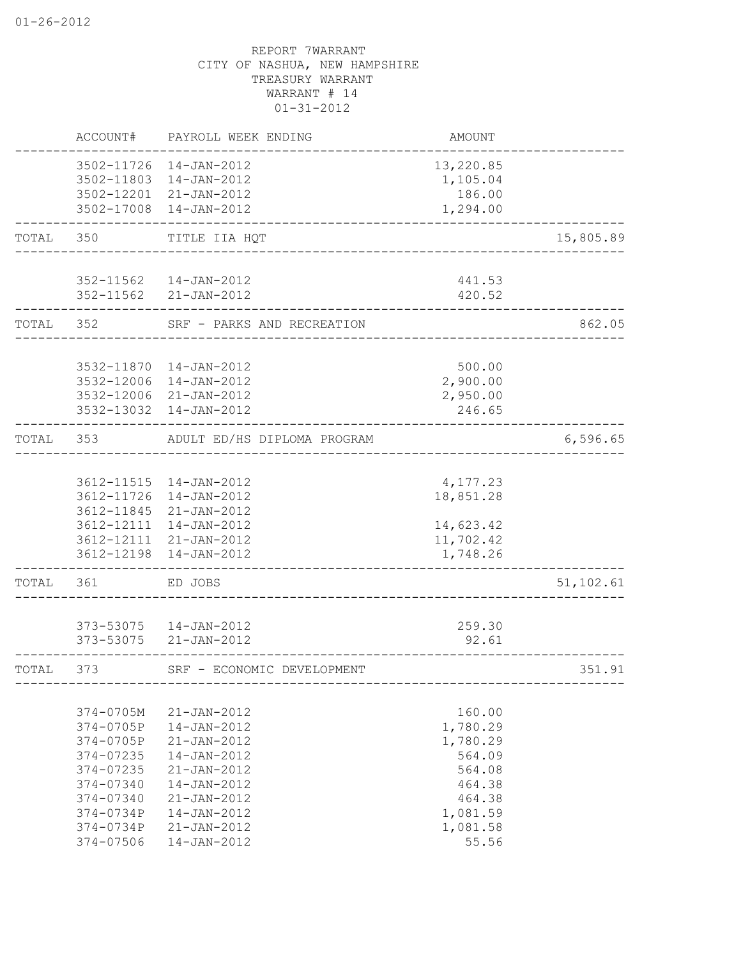|       | ACCOUNT#                                                                                | PAYROLL WEEK ENDING                                                                                         | <b>AMOUNT</b>                                                          |           |
|-------|-----------------------------------------------------------------------------------------|-------------------------------------------------------------------------------------------------------------|------------------------------------------------------------------------|-----------|
|       | 3502-11803                                                                              | 3502-11726 14-JAN-2012<br>14-JAN-2012                                                                       | 13,220.85<br>1,105.04                                                  |           |
|       |                                                                                         | 3502-12201 21-JAN-2012<br>3502-17008 14-JAN-2012                                                            | 186.00<br>1,294.00                                                     |           |
| TOTAL | 350                                                                                     | TITLE IIA HQT                                                                                               |                                                                        | 15,805.89 |
|       |                                                                                         | 352-11562  14-JAN-2012<br>352-11562 21-JAN-2012                                                             | 441.53<br>420.52                                                       |           |
| TOTAL | 352                                                                                     | SRF - PARKS AND RECREATION                                                                                  |                                                                        | 862.05    |
|       |                                                                                         | 3532-11870  14-JAN-2012<br>3532-12006 14-JAN-2012<br>3532-12006 21-JAN-2012                                 | 500.00<br>2,900.00<br>2,950.00                                         |           |
| TOTAL | 353                                                                                     | 3532-13032 14-JAN-2012<br>ADULT ED/HS DIPLOMA PROGRAM                                                       | 246.65                                                                 | 6,596.65  |
|       |                                                                                         |                                                                                                             |                                                                        |           |
|       |                                                                                         | 3612-11515  14-JAN-2012<br>3612-11726 14-JAN-2012<br>3612-11845 21-JAN-2012                                 | 4,177.23<br>18,851.28                                                  |           |
|       |                                                                                         | 3612-12111 14-JAN-2012<br>3612-12111 21-JAN-2012<br>3612-12198 14-JAN-2012                                  | 14,623.42<br>11,702.42<br>1,748.26                                     |           |
| TOTAL | 361                                                                                     | ED JOBS                                                                                                     |                                                                        | 51,102.61 |
|       |                                                                                         | 373-53075  14-JAN-2012<br>373-53075 21-JAN-2012                                                             | 259.30<br>92.61                                                        |           |
| TOTAL | 373                                                                                     | SRF - ECONOMIC DEVELOPMENT                                                                                  |                                                                        | 351.91    |
|       | 374-0705M<br>374-0705P<br>374-0705P<br>374-07235<br>374-07235<br>374-07340<br>374-07340 | 21-JAN-2012<br>14-JAN-2012<br>21-JAN-2012<br>14-JAN-2012<br>$21 - JAN - 2012$<br>14-JAN-2012<br>21-JAN-2012 | 160.00<br>1,780.29<br>1,780.29<br>564.09<br>564.08<br>464.38<br>464.38 |           |
|       | 374-0734P<br>374-0734P<br>374-07506                                                     | 14-JAN-2012<br>$21 - JAN - 2012$<br>14-JAN-2012                                                             | 1,081.59<br>1,081.58<br>55.56                                          |           |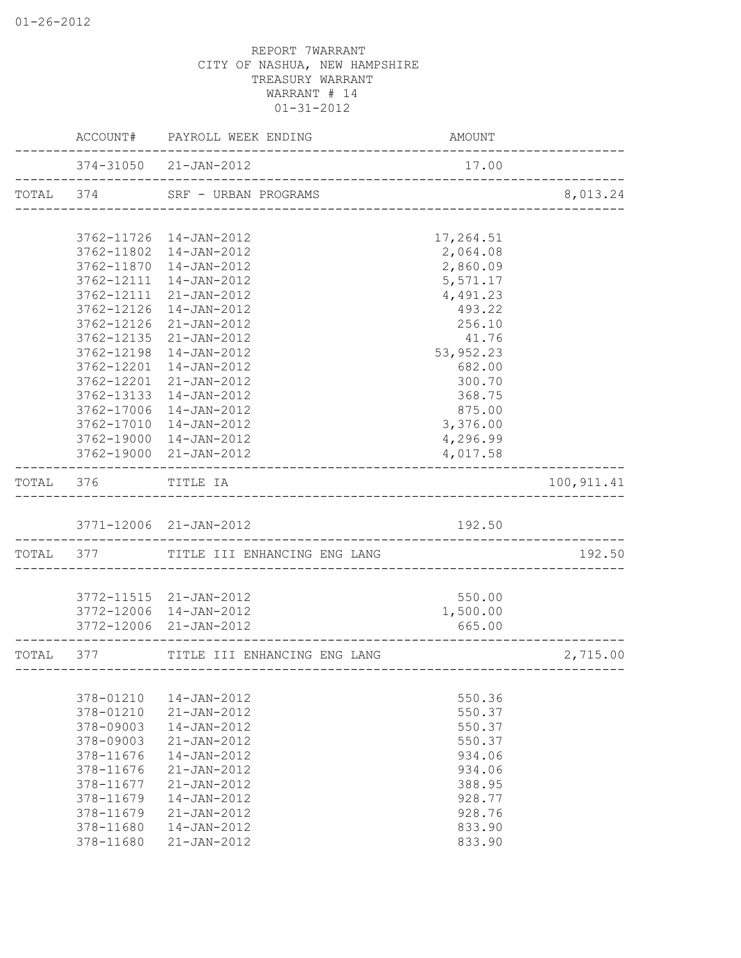|           |                    | ACCOUNT# PAYROLL WEEK ENDING   | AMOUNT                   |             |
|-----------|--------------------|--------------------------------|--------------------------|-------------|
|           |                    | 374-31050 21-JAN-2012          | 17.00                    |             |
|           |                    | TOTAL 374 SRF - URBAN PROGRAMS | ________________________ | 8,013.24    |
|           |                    |                                |                          |             |
|           | 3762-11802         | 3762-11726 14-JAN-2012         | 17,264.51                |             |
|           | 3762-11870         | 14-JAN-2012<br>14-JAN-2012     | 2,064.08<br>2,860.09     |             |
|           | 3762-12111         | 14-JAN-2012                    | 5,571.17                 |             |
|           | 3762-12111         | 21-JAN-2012                    | 4,491.23                 |             |
|           | 3762-12126         | 14-JAN-2012                    | 493.22                   |             |
|           | 3762-12126         | 21-JAN-2012                    | 256.10                   |             |
|           | 3762-12135         | 21-JAN-2012                    | 41.76                    |             |
|           | 3762-12198         | 14-JAN-2012                    | 53,952.23                |             |
|           | 3762-12201         | 14-JAN-2012                    | 682.00                   |             |
|           | 3762-12201         | 21-JAN-2012                    | 300.70                   |             |
|           |                    | 3762-13133 14-JAN-2012         | 368.75                   |             |
|           |                    | 3762-17006 14-JAN-2012         | 875.00                   |             |
|           |                    | 3762-17010 14-JAN-2012         | 3,376.00                 |             |
|           |                    | 3762-19000 14-JAN-2012         | 4,296.99                 |             |
|           |                    | 3762-19000 21-JAN-2012         | 4,017.58                 |             |
|           | TOTAL 376 TITLE IA |                                |                          | 100, 911.41 |
|           |                    | 3771-12006 21-JAN-2012         | 192.50                   |             |
|           |                    |                                |                          |             |
| TOTAL 377 |                    | TITLE III ENHANCING ENG LANG   |                          | 192.50      |
|           |                    | 3772-11515 21-JAN-2012         | 550.00                   |             |
|           |                    | 3772-12006 14-JAN-2012         | 1,500.00                 |             |
|           |                    | 3772-12006 21-JAN-2012         | 665.00                   |             |
| TOTAL     | 377                | TITLE III ENHANCING ENG LANG   |                          | 2,715.00    |
|           |                    |                                |                          |             |
|           | 378-01210          | 14-JAN-2012                    | 550.36                   |             |
|           | 378-01210          | 21-JAN-2012                    | 550.37                   |             |
|           | 378-09003          | 14-JAN-2012                    | 550.37                   |             |
|           | 378-09003          | $21 - JAN - 2012$              | 550.37                   |             |
|           | 378-11676          | 14-JAN-2012                    | 934.06                   |             |
|           | 378-11676          | 21-JAN-2012                    | 934.06                   |             |
|           | 378-11677          | $21 - JAN - 2012$              | 388.95                   |             |
|           | 378-11679          | 14-JAN-2012                    | 928.77                   |             |
|           | 378-11679          | 21-JAN-2012                    | 928.76                   |             |
|           | 378-11680          | 14-JAN-2012                    | 833.90                   |             |
|           | 378-11680          | $21 - JAN - 2012$              | 833.90                   |             |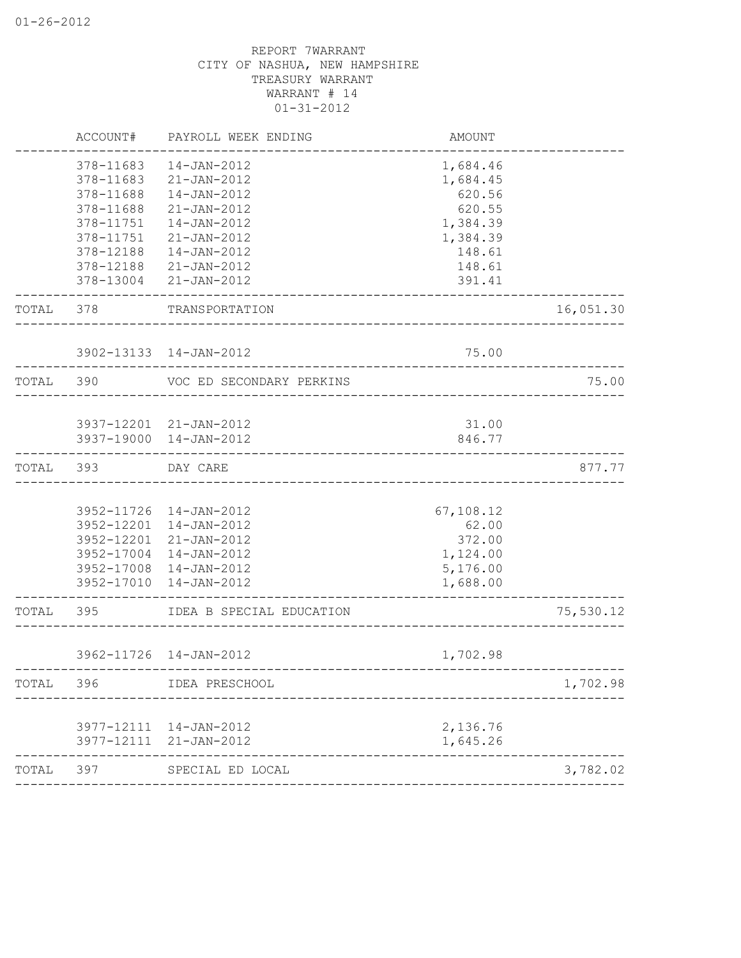|           | ACCOUNT#   | PAYROLL WEEK ENDING                              | AMOUNT               |           |
|-----------|------------|--------------------------------------------------|----------------------|-----------|
|           | 378-11683  | 14-JAN-2012                                      | 1,684.46             |           |
|           | 378-11683  | $21 - JAN - 2012$                                | 1,684.45             |           |
|           | 378-11688  | 14-JAN-2012                                      | 620.56               |           |
|           | 378-11688  | 21-JAN-2012                                      | 620.55               |           |
|           | 378-11751  | 14-JAN-2012                                      | 1,384.39             |           |
|           | 378-11751  | 21-JAN-2012                                      | 1,384.39             |           |
|           | 378-12188  | 14-JAN-2012                                      | 148.61               |           |
|           | 378-12188  | 21-JAN-2012                                      | 148.61               |           |
|           | 378-13004  | 21-JAN-2012                                      | 391.41               |           |
| TOTAL     | 378        | TRANSPORTATION                                   |                      | 16,051.30 |
|           |            | 3902-13133 14-JAN-2012                           | 75.00                |           |
|           |            |                                                  |                      |           |
| TOTAL     | 390        | VOC ED SECONDARY PERKINS                         |                      | 75.00     |
|           |            | 3937-12201 21-JAN-2012                           | 31.00                |           |
|           |            | 3937-19000 14-JAN-2012                           | 846.77               |           |
|           |            | DAY CARE                                         |                      | 877.77    |
| TOTAL 393 |            | ______________________________________           |                      |           |
|           |            |                                                  |                      |           |
|           |            | 3952-11726 14-JAN-2012<br>3952-12201 14-JAN-2012 | 67,108.12            |           |
|           | 3952-12201 | 21-JAN-2012                                      | 62.00<br>372.00      |           |
|           | 3952-17004 | 14-JAN-2012                                      |                      |           |
|           | 3952-17008 | 14-JAN-2012                                      | 1,124.00<br>5,176.00 |           |
|           | 3952-17010 | 14-JAN-2012                                      | 1,688.00             |           |
| TOTAL     | 395        | IDEA B SPECIAL EDUCATION                         |                      | 75,530.12 |
|           |            |                                                  |                      |           |
|           |            | 3962-11726 14-JAN-2012                           | 1,702.98             |           |
| TOTAL     | 396        | IDEA PRESCHOOL                                   |                      | 1,702.98  |
|           |            |                                                  |                      |           |
|           | 3977-12111 | 14-JAN-2012                                      | 2,136.76             |           |
|           | 3977-12111 | 21-JAN-2012                                      | 1,645.26             |           |
| TOTAL     | 397        | SPECIAL ED LOCAL                                 |                      | 3,782.02  |
|           |            |                                                  |                      |           |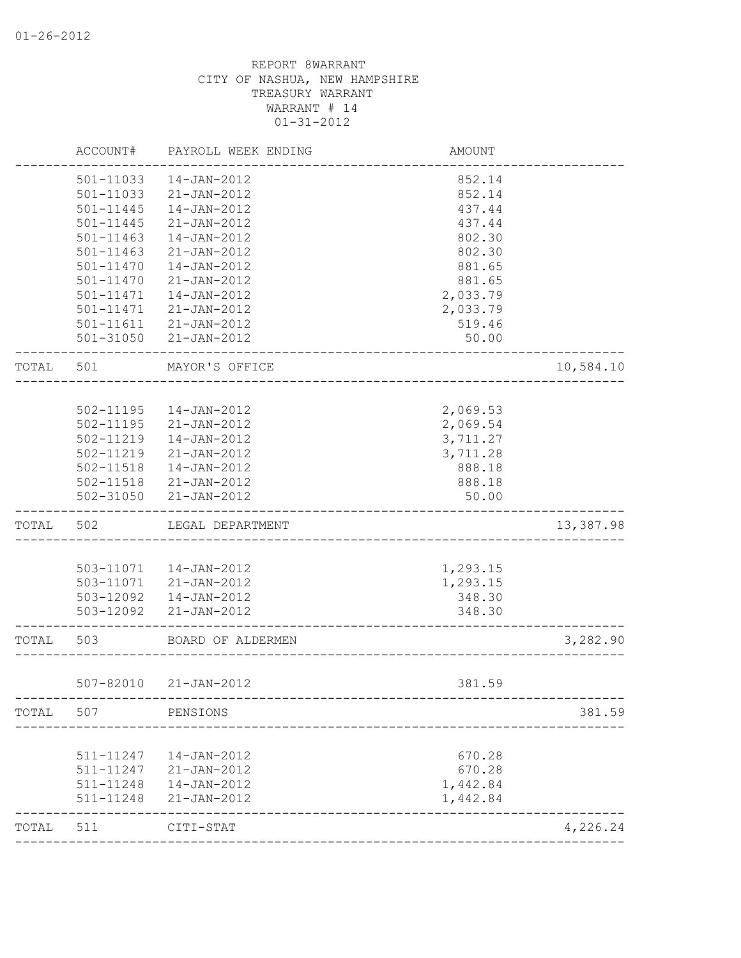|       | ACCOUNT#      | PAYROLL WEEK ENDING                                  | AMOUNT   |           |
|-------|---------------|------------------------------------------------------|----------|-----------|
|       | 501-11033     | 14-JAN-2012                                          | 852.14   |           |
|       | 501-11033     | 21-JAN-2012                                          | 852.14   |           |
|       | $501 - 11445$ | 14-JAN-2012                                          | 437.44   |           |
|       | $501 - 11445$ | 21-JAN-2012                                          | 437.44   |           |
|       | 501-11463     | 14-JAN-2012                                          | 802.30   |           |
|       | 501-11463     | 21-JAN-2012                                          | 802.30   |           |
|       | 501-11470     | 14-JAN-2012                                          | 881.65   |           |
|       | 501-11470     | 21-JAN-2012                                          | 881.65   |           |
|       | 501-11471     | 14-JAN-2012                                          | 2,033.79 |           |
|       | 501-11471     | 21-JAN-2012                                          | 2,033.79 |           |
|       | 501-11611     | 21-JAN-2012                                          | 519.46   |           |
|       |               | 501-31050 21-JAN-2012<br>___________________________ | 50.00    |           |
| TOTAL | 501           | MAYOR'S OFFICE                                       |          | 10,584.10 |
|       |               |                                                      |          |           |
|       |               | 502-11195  14-JAN-2012                               | 2,069.53 |           |
|       |               | 502-11195 21-JAN-2012                                | 2,069.54 |           |
|       | 502-11219     | 14-JAN-2012                                          | 3,711.27 |           |
|       |               | 502-11219 21-JAN-2012                                | 3,711.28 |           |
|       |               | 502-11518  14-JAN-2012                               | 888.18   |           |
|       |               | 502-11518 21-JAN-2012                                | 888.18   |           |
|       |               | 502-31050 21-JAN-2012                                | 50.00    |           |
| TOTAL | 502           | LEGAL DEPARTMENT                                     |          | 13,387.98 |
|       |               |                                                      |          |           |
|       |               | 503-11071  14-JAN-2012                               | 1,293.15 |           |
|       |               | 503-11071 21-JAN-2012                                | 1,293.15 |           |
|       |               | 503-12092  14-JAN-2012                               | 348.30   |           |
|       |               | 503-12092 21-JAN-2012                                | 348.30   |           |
| TOTAL | 503           | BOARD OF ALDERMEN                                    |          | 3,282.90  |
|       | 507-82010     | 21-JAN-2012                                          | 381.59   |           |
| TOTAL | 507           | PENSIONS                                             |          | 381.59    |
|       |               |                                                      |          |           |
|       | 511-11247     | 14-JAN-2012                                          | 670.28   |           |
|       | 511-11247     | 21-JAN-2012                                          | 670.28   |           |
|       | 511-11248     | 14-JAN-2012                                          | 1,442.84 |           |
|       | 511-11248     | 21-JAN-2012                                          | 1,442.84 |           |
| TOTAL | 511           | CITI-STAT                                            |          | 4,226.24  |
|       |               | _________________________                            |          |           |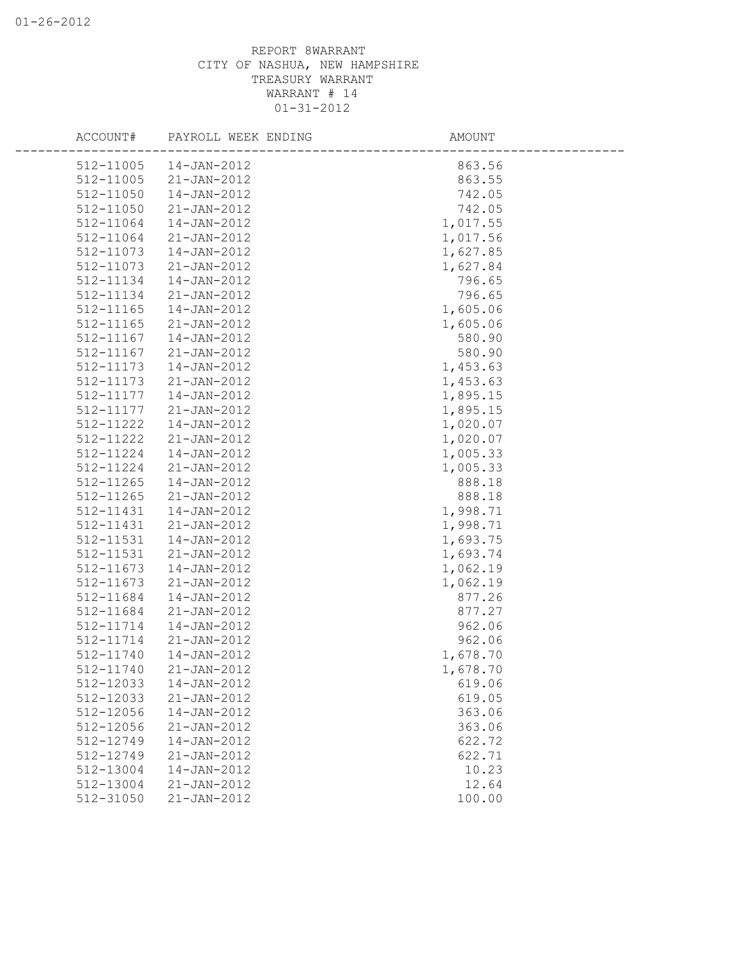| ACCOUNT#               | PAYROLL WEEK ENDING              | AMOUNT           |  |
|------------------------|----------------------------------|------------------|--|
| 512-11005              | 14-JAN-2012                      | 863.56           |  |
| 512-11005              | $21 - JAN - 2012$                | 863.55           |  |
| 512-11050              | 14-JAN-2012                      | 742.05           |  |
| 512-11050              | 21-JAN-2012                      | 742.05           |  |
| 512-11064              | 14-JAN-2012                      | 1,017.55         |  |
| 512-11064              | $21 - JAN - 2012$                | 1,017.56         |  |
| 512-11073              | 14-JAN-2012                      | 1,627.85         |  |
| 512-11073              | 21-JAN-2012                      | 1,627.84         |  |
| 512-11134              | 14-JAN-2012                      | 796.65           |  |
| 512-11134              | $21 - JAN - 2012$                | 796.65           |  |
| 512-11165              | 14-JAN-2012                      | 1,605.06         |  |
| 512-11165              | 21-JAN-2012                      | 1,605.06         |  |
| 512-11167              | 14-JAN-2012                      | 580.90           |  |
| 512-11167              | 21-JAN-2012                      | 580.90           |  |
| 512-11173              | 14-JAN-2012                      | 1,453.63         |  |
| 512-11173              | $21 - JAN - 2012$                | 1,453.63         |  |
| 512-11177              | 14-JAN-2012                      | 1,895.15         |  |
| 512-11177              | $21 - JAN - 2012$                | 1,895.15         |  |
| 512-11222              | 14-JAN-2012                      | 1,020.07         |  |
| 512-11222              | $21 - JAN - 2012$                | 1,020.07         |  |
| 512-11224              | 14-JAN-2012                      | 1,005.33         |  |
| 512-11224              | 21-JAN-2012                      | 1,005.33         |  |
| 512-11265<br>512-11265 | 14-JAN-2012<br>$21 - JAN - 2012$ | 888.18<br>888.18 |  |
| 512-11431              | 14-JAN-2012                      | 1,998.71         |  |
| 512-11431              | $21 - JAN - 2012$                | 1,998.71         |  |
| 512-11531              | 14-JAN-2012                      | 1,693.75         |  |
| 512-11531              | $21 - JAN - 2012$                | 1,693.74         |  |
| 512-11673              | 14-JAN-2012                      | 1,062.19         |  |
| 512-11673              | 21-JAN-2012                      | 1,062.19         |  |
| 512-11684              | 14-JAN-2012                      | 877.26           |  |
| 512-11684              | $21 - JAN - 2012$                | 877.27           |  |
| 512-11714              | 14-JAN-2012                      | 962.06           |  |
| 512-11714              | $21 - JAN - 2012$                | 962.06           |  |
| 512-11740              | 14-JAN-2012                      | 1,678.70         |  |
| 512-11740              | $21 - JAN - 2012$                | 1,678.70         |  |
| 512-12033              | 14-JAN-2012                      | 619.06           |  |
| 512-12033              | 21-JAN-2012                      | 619.05           |  |
| 512-12056              | 14-JAN-2012                      | 363.06           |  |
| 512-12056              | 21-JAN-2012                      | 363.06           |  |
| 512-12749              | 14-JAN-2012                      | 622.72           |  |
| 512-12749              | 21-JAN-2012                      | 622.71           |  |
| 512-13004              | 14-JAN-2012                      | 10.23            |  |
| 512-13004              | 21-JAN-2012                      | 12.64            |  |
| 512-31050              | 21-JAN-2012                      | 100.00           |  |
|                        |                                  |                  |  |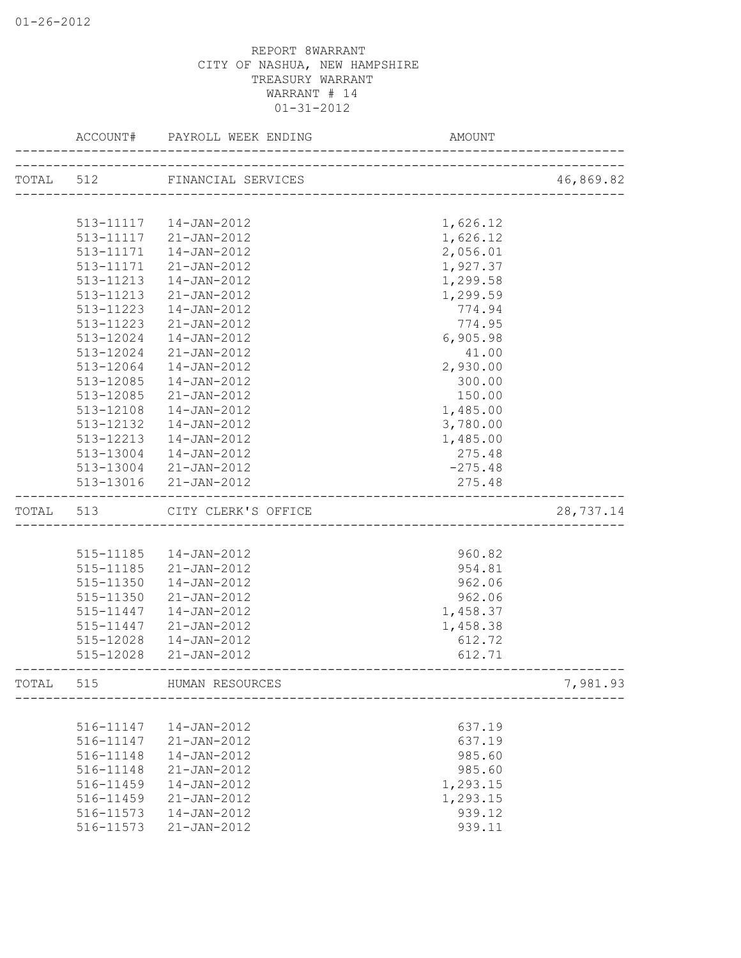|       | ACCOUNT#  | PAYROLL WEEK ENDING          | <b>AMOUNT</b> |           |
|-------|-----------|------------------------------|---------------|-----------|
|       |           | TOTAL 512 FINANCIAL SERVICES |               | 46,869.82 |
|       |           |                              |               |           |
|       | 513-11117 | 14-JAN-2012                  | 1,626.12      |           |
|       | 513-11117 | 21-JAN-2012                  | 1,626.12      |           |
|       | 513-11171 | 14-JAN-2012                  | 2,056.01      |           |
|       | 513-11171 | 21-JAN-2012                  | 1,927.37      |           |
|       | 513-11213 | $14 - JAN - 2012$            | 1,299.58      |           |
|       | 513-11213 | 21-JAN-2012                  | 1,299.59      |           |
|       | 513-11223 | 14-JAN-2012                  | 774.94        |           |
|       | 513-11223 | $21 - JAN - 2012$            | 774.95        |           |
|       | 513-12024 | $14 - JAN - 2012$            | 6,905.98      |           |
|       | 513-12024 | $21 - JAN - 2012$            | 41.00         |           |
|       | 513-12064 | 14-JAN-2012                  | 2,930.00      |           |
|       | 513-12085 | 14-JAN-2012                  | 300.00        |           |
|       | 513-12085 | 21-JAN-2012                  | 150.00        |           |
|       | 513-12108 | 14-JAN-2012                  | 1,485.00      |           |
|       | 513-12132 | 14-JAN-2012                  | 3,780.00      |           |
|       | 513-12213 | 14-JAN-2012                  | 1,485.00      |           |
|       | 513-13004 | 14-JAN-2012                  | 275.48        |           |
|       |           | 513-13004 21-JAN-2012        | $-275.48$     |           |
|       |           | 513-13016 21-JAN-2012        | 275.48        |           |
| TOTAL | 513       | CITY CLERK'S OFFICE          |               | 28,737.14 |
|       |           |                              |               |           |
|       | 515-11185 | 14-JAN-2012                  | 960.82        |           |
|       | 515-11185 | 21-JAN-2012                  | 954.81        |           |
|       | 515-11350 | 14-JAN-2012                  | 962.06        |           |
|       | 515-11350 | 21-JAN-2012                  | 962.06        |           |
|       | 515-11447 | 14-JAN-2012                  | 1,458.37      |           |
|       | 515-11447 | 21-JAN-2012                  | 1,458.38      |           |
|       | 515-12028 | 14-JAN-2012                  | 612.72        |           |
|       | 515-12028 | $21 - JAN - 2012$            | 612.71        |           |
| TOTAL | 515       | HUMAN RESOURCES              |               | 7,981.93  |
|       |           |                              |               |           |
|       | 516-11147 | 14-JAN-2012                  | 637.19        |           |
|       | 516-11147 | 21-JAN-2012                  | 637.19        |           |
|       | 516-11148 | 14-JAN-2012                  | 985.60        |           |
|       | 516-11148 | $21 - JAN - 2012$            | 985.60        |           |
|       | 516-11459 | $14 - JAN - 2012$            | 1,293.15      |           |
|       | 516-11459 | $21 - JAN - 2012$            | 1,293.15      |           |
|       | 516-11573 | 14-JAN-2012                  | 939.12        |           |
|       | 516-11573 | $21 - JAN - 2012$            | 939.11        |           |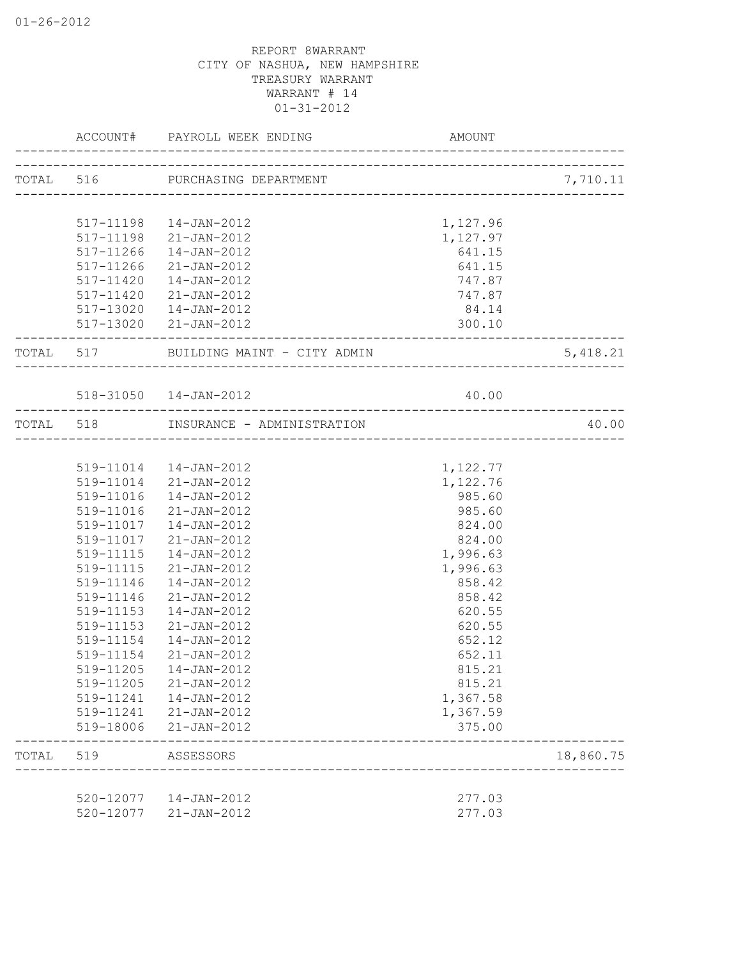|       |                        | ACCOUNT# PAYROLL WEEK ENDING           | AMOUNT                    |           |
|-------|------------------------|----------------------------------------|---------------------------|-----------|
|       |                        | TOTAL 516 PURCHASING DEPARTMENT        |                           | 7,710.11  |
|       |                        |                                        | _________________________ |           |
|       |                        | 517-11198  14-JAN-2012                 | 1,127.96                  |           |
|       |                        | 517-11198 21-JAN-2012                  | 1,127.97                  |           |
|       | 517-11266              | $14 - JAN - 2012$                      | 641.15                    |           |
|       | 517-11266              | $21 - JAN - 2012$                      | 641.15                    |           |
|       | 517-11420              | 14-JAN-2012                            | 747.87                    |           |
|       | 517-11420              | 21-JAN-2012                            | 747.87                    |           |
|       |                        | 517-13020  14-JAN-2012                 | 84.14                     |           |
|       |                        | 517-13020 21-JAN-2012                  | 300.10                    |           |
|       |                        | TOTAL 517 BUILDING MAINT - CITY ADMIN  |                           | 5,418.21  |
|       |                        | 518-31050  14-JAN-2012                 | 40.00                     |           |
|       |                        | TOTAL 518 INSURANCE - ADMINISTRATION   |                           | 40.00     |
|       |                        |                                        |                           |           |
|       |                        | 519-11014  14-JAN-2012                 | 1,122.77                  |           |
|       |                        | 519-11014 21-JAN-2012                  | 1,122.76                  |           |
|       |                        | 519-11016  14-JAN-2012                 | 985.60                    |           |
|       |                        | 519-11016 21-JAN-2012                  | 985.60                    |           |
|       | 519-11017              | 14-JAN-2012                            | 824.00                    |           |
|       | 519-11017              | 21-JAN-2012                            | 824.00                    |           |
|       | 519-11115              | 14-JAN-2012                            | 1,996.63                  |           |
|       | 519-11115              | 21-JAN-2012                            | 1,996.63                  |           |
|       | 519-11146              | 14-JAN-2012                            | 858.42                    |           |
|       | 519-11146              | $21 - JAN - 2012$                      | 858.42                    |           |
|       | 519-11153              | 14-JAN-2012                            | 620.55                    |           |
|       | 519-11153              | 21-JAN-2012                            | 620.55                    |           |
|       | 519-11154              | 14-JAN-2012                            | 652.12                    |           |
|       | 519-11154              | 21-JAN-2012                            | 652.11                    |           |
|       | 519-11205              | $14 - JAN - 2012$                      | 815.21                    |           |
|       | 519-11205              | $21 - JAN - 2012$                      | 815.21                    |           |
|       | 519-11241              | $14 - JAN - 2012$                      | 1,367.58                  |           |
|       | 519-11241              | $21 - JAN - 2012$                      | 1,367.59                  |           |
|       | 519-18006              | $21 - JAN - 2012$                      | 375.00                    |           |
| TOTAL | 519                    | ASSESSORS                              |                           | 18,860.75 |
|       |                        |                                        |                           |           |
|       | 520-12077<br>520-12077 | $14 - JAN - 2012$<br>$21 - JAN - 2012$ | 277.03<br>277.03          |           |
|       |                        |                                        |                           |           |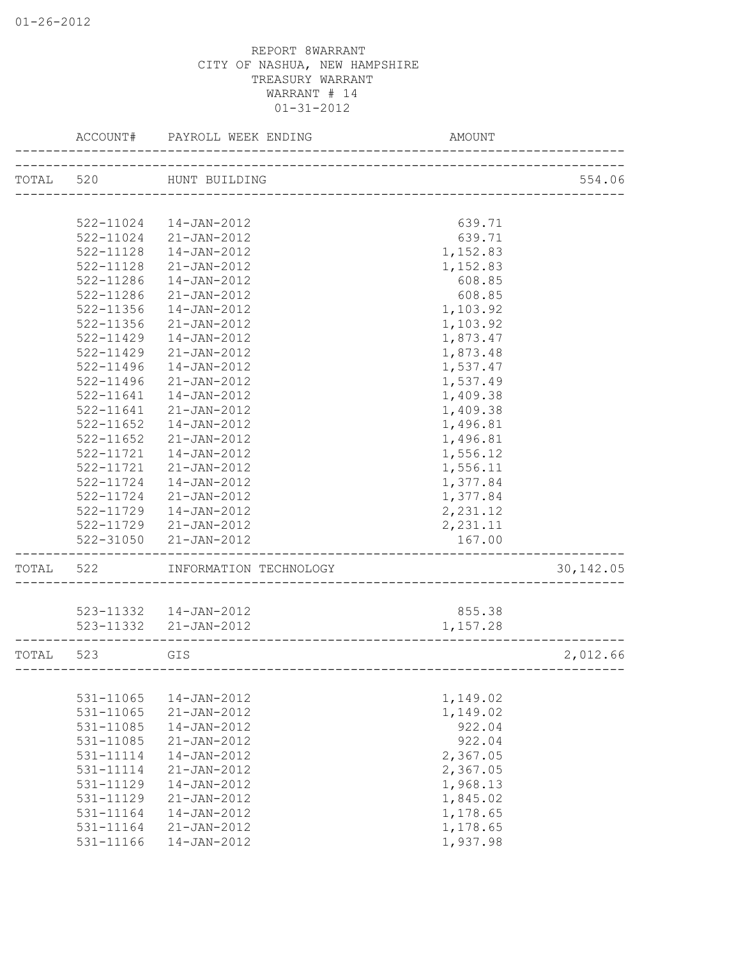|           | ACCOUNT#      | PAYROLL WEEK ENDING                                             | AMOUNT                       |            |
|-----------|---------------|-----------------------------------------------------------------|------------------------------|------------|
| TOTAL 520 |               | HUNT BUILDING                                                   |                              | 554.06     |
|           |               |                                                                 |                              |            |
|           | 522-11024     | 14-JAN-2012                                                     | 639.71                       |            |
|           | 522-11024     | $21 - JAN - 2012$                                               | 639.71                       |            |
|           | 522-11128     | 14-JAN-2012                                                     | 1,152.83                     |            |
|           | 522-11128     | $21 - JAN - 2012$                                               | 1,152.83                     |            |
|           | 522-11286     | 14-JAN-2012                                                     | 608.85                       |            |
|           | 522-11286     | 21-JAN-2012                                                     | 608.85                       |            |
|           | 522-11356     | $14 - JAN - 2012$                                               | 1,103.92                     |            |
|           | 522-11356     | $21 - JAN - 2012$                                               | 1,103.92                     |            |
|           | 522-11429     | $14 - JAN - 2012$                                               | 1,873.47                     |            |
|           | 522-11429     | $21 - JAN - 2012$                                               | 1,873.48                     |            |
|           | 522-11496     | $14 - JAN - 2012$                                               | 1,537.47                     |            |
|           | 522-11496     | $21 - JAN - 2012$                                               | 1,537.49                     |            |
|           | 522-11641     | $14 - JAN - 2012$                                               | 1,409.38                     |            |
|           | $522 - 11641$ | $21 - JAN - 2012$                                               | 1,409.38                     |            |
|           | $522 - 11652$ | 14-JAN-2012                                                     | 1,496.81                     |            |
|           | $522 - 11652$ | 21-JAN-2012                                                     | 1,496.81                     |            |
|           | 522-11721     | 14-JAN-2012                                                     | 1,556.12                     |            |
|           | 522-11721     | 21-JAN-2012                                                     | 1,556.11                     |            |
|           | 522-11724     | 14-JAN-2012                                                     | 1,377.84                     |            |
|           | 522-11724     | 21-JAN-2012                                                     | 1,377.84                     |            |
|           | 522-11729     | 14-JAN-2012                                                     | 2,231.12                     |            |
|           | 522-11729     | $21 - JAN - 2012$                                               | 2,231.11                     |            |
|           | 522-31050     | 21-JAN-2012                                                     | 167.00                       |            |
| TOTAL 522 |               | INFORMATION TECHNOLOGY                                          | ____________________________ | 30, 142.05 |
|           |               |                                                                 |                              |            |
|           |               | 523-11332  14-JAN-2012                                          | 855.38                       |            |
|           |               | 523-11332 21-JAN-2012<br>______________________________________ | 1,157.28                     |            |
| TOTAL     | 523           | GIS                                                             |                              | 2,012.66   |
|           |               |                                                                 |                              |            |
|           | 531-11065     | 14-JAN-2012                                                     | 1,149.02                     |            |
|           | 531-11065     | 21-JAN-2012                                                     | 1,149.02                     |            |
|           | 531-11085     | 14-JAN-2012                                                     | 922.04                       |            |
|           | 531-11085     | $21 - JAN - 2012$                                               | 922.04                       |            |
|           | 531-11114     | 14-JAN-2012                                                     | 2,367.05                     |            |
|           | 531-11114     | $21 - JAN - 2012$                                               | 2,367.05                     |            |
|           | 531-11129     | 14-JAN-2012                                                     | 1,968.13                     |            |
|           | 531-11129     | $21 - JAN - 2012$                                               | 1,845.02                     |            |
|           | 531-11164     | 14-JAN-2012                                                     | 1,178.65                     |            |
|           | 531-11164     | 21-JAN-2012                                                     | 1,178.65                     |            |
|           | 531-11166     | $14 - JAN - 2012$                                               | 1,937.98                     |            |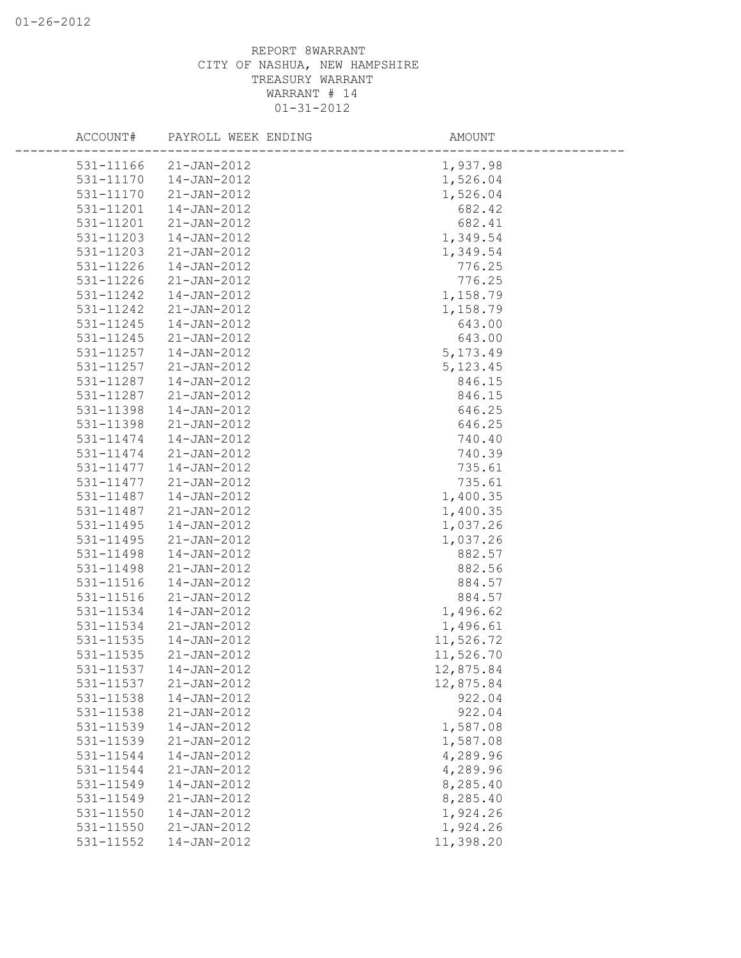|           | ACCOUNT# PAYROLL WEEK ENDING | AMOUNT    |  |
|-----------|------------------------------|-----------|--|
|           | 531-11166 21-JAN-2012        | 1,937.98  |  |
| 531-11170 | 14-JAN-2012                  | 1,526.04  |  |
| 531-11170 | 21-JAN-2012                  | 1,526.04  |  |
| 531-11201 | 14-JAN-2012                  | 682.42    |  |
| 531-11201 | 21-JAN-2012                  | 682.41    |  |
| 531-11203 | 14-JAN-2012                  | 1,349.54  |  |
| 531-11203 | $21 - JAN - 2012$            | 1,349.54  |  |
| 531-11226 | 14-JAN-2012                  | 776.25    |  |
| 531-11226 | 21-JAN-2012                  | 776.25    |  |
| 531-11242 | $14 - JAN - 2012$            | 1,158.79  |  |
| 531-11242 | 21-JAN-2012                  | 1,158.79  |  |
| 531-11245 | 14-JAN-2012                  | 643.00    |  |
| 531-11245 | 21-JAN-2012                  | 643.00    |  |
| 531-11257 | 14-JAN-2012                  | 5, 173.49 |  |
| 531-11257 | 21-JAN-2012                  | 5, 123.45 |  |
| 531-11287 | 14-JAN-2012                  | 846.15    |  |
| 531-11287 | 21-JAN-2012                  | 846.15    |  |
| 531-11398 | 14-JAN-2012                  | 646.25    |  |
| 531-11398 | 21-JAN-2012                  | 646.25    |  |
| 531-11474 | $14 - JAN - 2012$            | 740.40    |  |
| 531-11474 | 21-JAN-2012                  | 740.39    |  |
| 531-11477 | 14-JAN-2012                  | 735.61    |  |
| 531-11477 | $21 - JAN - 2012$            | 735.61    |  |
| 531-11487 | 14-JAN-2012                  | 1,400.35  |  |
| 531-11487 | 21-JAN-2012                  | 1,400.35  |  |
| 531-11495 | 14-JAN-2012                  | 1,037.26  |  |
| 531-11495 | 21-JAN-2012                  | 1,037.26  |  |
| 531-11498 | 14-JAN-2012                  | 882.57    |  |
| 531-11498 | 21-JAN-2012                  | 882.56    |  |
| 531-11516 | 14-JAN-2012                  | 884.57    |  |
| 531-11516 | $21 - JAN - 2012$            | 884.57    |  |
| 531-11534 | 14-JAN-2012                  | 1,496.62  |  |
| 531-11534 | 21-JAN-2012                  | 1,496.61  |  |
| 531-11535 | $14 - JAN - 2012$            | 11,526.72 |  |
| 531-11535 | 21-JAN-2012                  | 11,526.70 |  |
| 531-11537 | $14 - JAN - 2012$            | 12,875.84 |  |
| 531-11537 | $21 - JAN - 2012$            | 12,875.84 |  |
| 531-11538 | 14-JAN-2012                  | 922.04    |  |
| 531-11538 | $21 - JAN - 2012$            | 922.04    |  |
| 531-11539 | 14-JAN-2012                  | 1,587.08  |  |
| 531-11539 | $21 - JAN - 2012$            | 1,587.08  |  |
| 531-11544 | $14 - JAN - 2012$            | 4,289.96  |  |
| 531-11544 | $21 - JAN - 2012$            | 4,289.96  |  |
| 531-11549 | 14-JAN-2012                  | 8,285.40  |  |
| 531-11549 | $21 - JAN - 2012$            | 8,285.40  |  |
| 531-11550 | 14-JAN-2012                  | 1,924.26  |  |
| 531-11550 | $21 - JAN - 2012$            | 1,924.26  |  |
| 531-11552 | 14-JAN-2012                  | 11,398.20 |  |
|           |                              |           |  |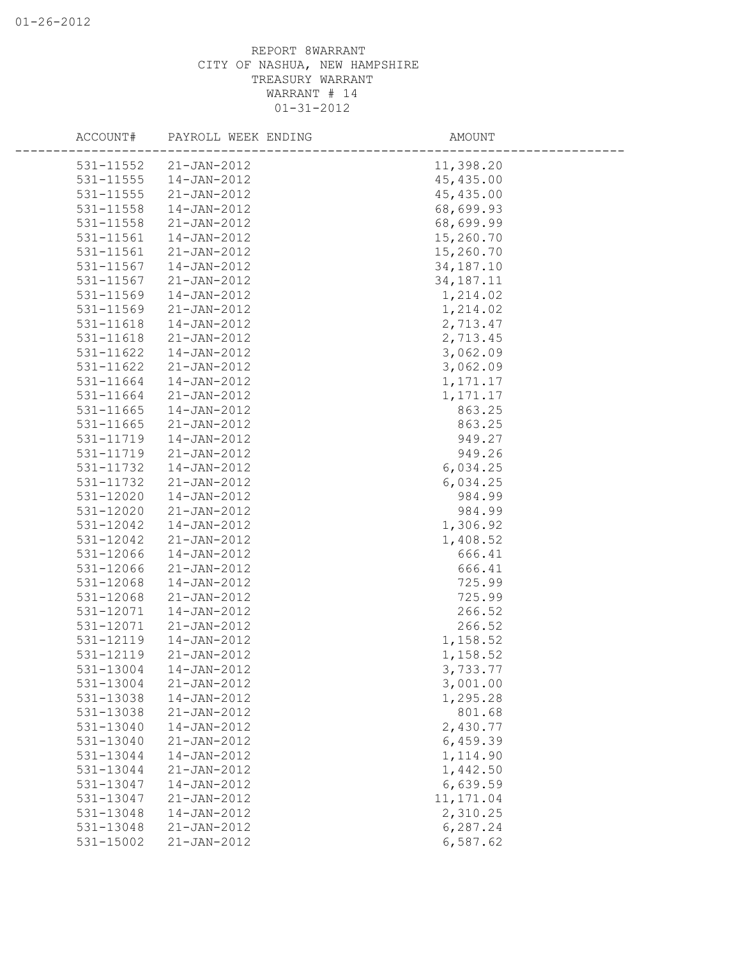| ACCOUNT#  | PAYROLL WEEK ENDING | AMOUNT      |
|-----------|---------------------|-------------|
| 531-11552 | $21 - JAN - 2012$   | 11,398.20   |
| 531-11555 | 14-JAN-2012         | 45, 435.00  |
| 531-11555 | 21-JAN-2012         | 45, 435.00  |
| 531-11558 | 14-JAN-2012         | 68,699.93   |
| 531-11558 | 21-JAN-2012         | 68,699.99   |
| 531-11561 | $14 - JAN - 2012$   | 15,260.70   |
| 531-11561 | $21 - JAN - 2012$   | 15,260.70   |
| 531-11567 | $14 - JAN - 2012$   | 34, 187. 10 |
| 531-11567 | 21-JAN-2012         | 34, 187. 11 |
| 531-11569 | $14 - JAN - 2012$   | 1,214.02    |
| 531-11569 | $21 - JAN - 2012$   | 1,214.02    |
| 531-11618 | $14 - JAN - 2012$   | 2,713.47    |
| 531-11618 | 21-JAN-2012         | 2,713.45    |
| 531-11622 | $14 - JAN - 2012$   | 3,062.09    |
| 531-11622 | $21 - JAN - 2012$   | 3,062.09    |
| 531-11664 | 14-JAN-2012         | 1,171.17    |
| 531-11664 | $21 - JAN - 2012$   | 1,171.17    |
| 531-11665 | 14-JAN-2012         | 863.25      |
| 531-11665 | 21-JAN-2012         | 863.25      |
| 531-11719 | 14-JAN-2012         | 949.27      |
| 531-11719 | $21 - JAN - 2012$   | 949.26      |
| 531-11732 | 14-JAN-2012         | 6,034.25    |
| 531-11732 | 21-JAN-2012         | 6,034.25    |
| 531-12020 | 14-JAN-2012         | 984.99      |
| 531-12020 | $21 - JAN - 2012$   | 984.99      |
| 531-12042 | 14-JAN-2012         | 1,306.92    |
| 531-12042 | $21 - JAN - 2012$   | 1,408.52    |
| 531-12066 | 14-JAN-2012         | 666.41      |
| 531-12066 | 21-JAN-2012         | 666.41      |
| 531-12068 | 14-JAN-2012         | 725.99      |
| 531-12068 | $21 - JAN - 2012$   | 725.99      |
| 531-12071 | 14-JAN-2012         | 266.52      |
| 531-12071 | 21-JAN-2012         | 266.52      |
| 531-12119 | $14 - JAN - 2012$   | 1,158.52    |
| 531-12119 | 21-JAN-2012         | 1,158.52    |
| 531-13004 | 14-JAN-2012         | 3,733.77    |
| 531-13004 | $21 - JAN - 2012$   | 3,001.00    |
| 531-13038 | 14-JAN-2012         | 1,295.28    |
| 531-13038 | $21 - JAN - 2012$   | 801.68      |
| 531-13040 | $14 - JAN - 2012$   | 2,430.77    |
| 531-13040 | $21 - JAN - 2012$   | 6,459.39    |
| 531-13044 | $14 - JAN - 2012$   | 1,114.90    |
| 531-13044 | $21 - JAN - 2012$   | 1,442.50    |
| 531-13047 | $14 - JAN - 2012$   | 6,639.59    |
| 531-13047 | $21 - JAN - 2012$   | 11, 171.04  |
| 531-13048 | $14 - JAN - 2012$   | 2,310.25    |
| 531-13048 | $21 - JAN - 2012$   | 6,287.24    |
| 531-15002 | $21 - JAN - 2012$   | 6,587.62    |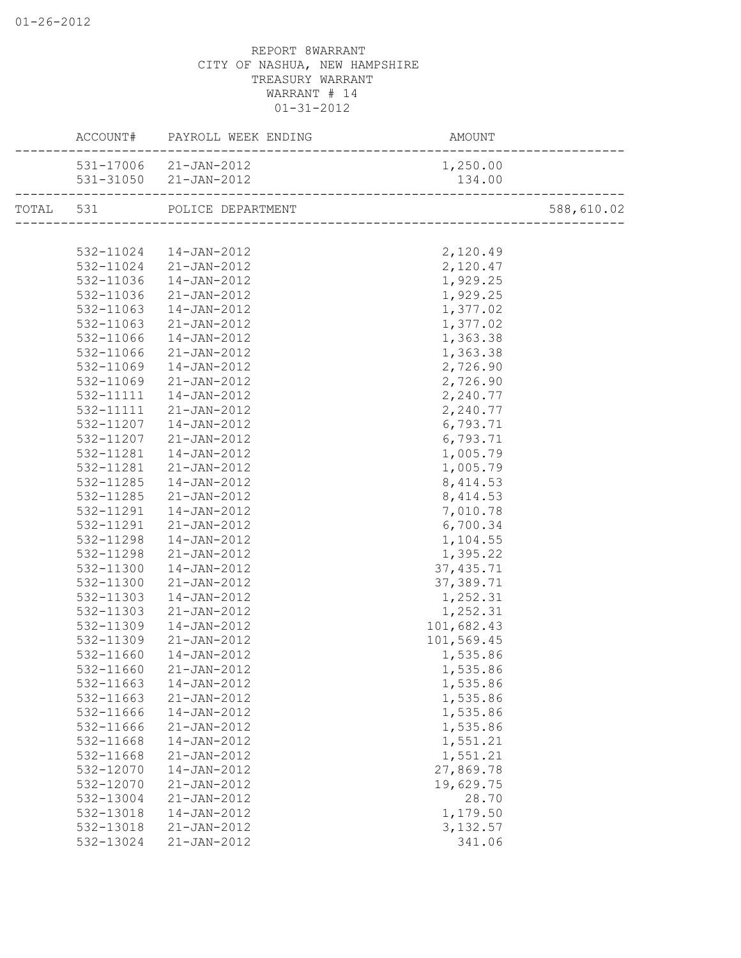|           | ACCOUNT# PAYROLL WEEK ENDING | AMOUNT                               |                             |
|-----------|------------------------------|--------------------------------------|-----------------------------|
|           | 531-17006 21-JAN-2012        | 1,250.00                             |                             |
|           | 531-31050 21-JAN-2012        | 134.00<br>_________________________  |                             |
|           | TOTAL 531 POLICE DEPARTMENT  | T<br>------------------------------- | 588,610.02<br>_____________ |
|           |                              |                                      |                             |
|           | 532-11024  14-JAN-2012       | 2,120.49                             |                             |
| 532-11024 | 21-JAN-2012                  | 2,120.47                             |                             |
| 532-11036 | 14-JAN-2012                  | 1,929.25                             |                             |
| 532-11036 | 21-JAN-2012                  | 1,929.25                             |                             |
| 532-11063 | 14-JAN-2012                  | 1,377.02                             |                             |
| 532-11063 | $21 - JAN - 2012$            | 1,377.02                             |                             |
| 532-11066 | 14-JAN-2012                  | 1,363.38                             |                             |
| 532-11066 | 21-JAN-2012                  | 1,363.38                             |                             |
| 532-11069 | 14-JAN-2012                  | 2,726.90                             |                             |
| 532-11069 | $21 - JAN - 2012$            | 2,726.90                             |                             |
| 532-11111 | 14-JAN-2012                  | 2,240.77                             |                             |
| 532-11111 | 21-JAN-2012                  | 2,240.77                             |                             |
| 532-11207 | 14-JAN-2012                  | 6,793.71                             |                             |
| 532-11207 | $21 - JAN - 2012$            | 6,793.71                             |                             |
| 532-11281 | 14-JAN-2012                  | 1,005.79                             |                             |
| 532-11281 | 21-JAN-2012                  | 1,005.79                             |                             |
| 532-11285 | 14-JAN-2012                  | 8, 414.53                            |                             |
| 532-11285 | 21-JAN-2012                  | 8,414.53                             |                             |
| 532-11291 | 14-JAN-2012                  | 7,010.78                             |                             |
| 532-11291 | 21-JAN-2012                  | 6,700.34                             |                             |
| 532-11298 | 14-JAN-2012                  | 1,104.55                             |                             |
| 532-11298 | 21-JAN-2012                  | 1,395.22                             |                             |
| 532-11300 | 14-JAN-2012                  | 37, 435.71                           |                             |
| 532-11300 | 21-JAN-2012                  | 37,389.71                            |                             |
| 532-11303 | 14-JAN-2012                  | 1,252.31                             |                             |
| 532-11303 | 21-JAN-2012                  | 1,252.31                             |                             |
| 532-11309 | 14-JAN-2012                  | 101,682.43                           |                             |
| 532-11309 | 21-JAN-2012                  | 101,569.45                           |                             |
| 532-11660 | 14-JAN-2012                  | 1,535.86                             |                             |
|           | 532-11660 21-JAN-2012        | 1,535.86                             |                             |
| 532-11663 | $14 - JAN - 2012$            | 1,535.86                             |                             |
| 532-11663 | 21-JAN-2012                  | 1,535.86                             |                             |
| 532-11666 | 14-JAN-2012                  | 1,535.86                             |                             |
| 532-11666 | $21 - JAN - 2012$            | 1,535.86                             |                             |
| 532-11668 | $14 - JAN - 2012$            | 1,551.21                             |                             |
| 532-11668 | 21-JAN-2012                  | 1,551.21                             |                             |
| 532-12070 | $14 - JAN - 2012$            | 27,869.78                            |                             |
| 532-12070 | $21 - JAN - 2012$            | 19,629.75                            |                             |
| 532-13004 | $21 - JAN - 2012$            | 28.70                                |                             |
| 532-13018 | $14 - JAN - 2012$            | 1,179.50                             |                             |
| 532-13018 | 21-JAN-2012                  | 3, 132.57                            |                             |
| 532-13024 | 21-JAN-2012                  | 341.06                               |                             |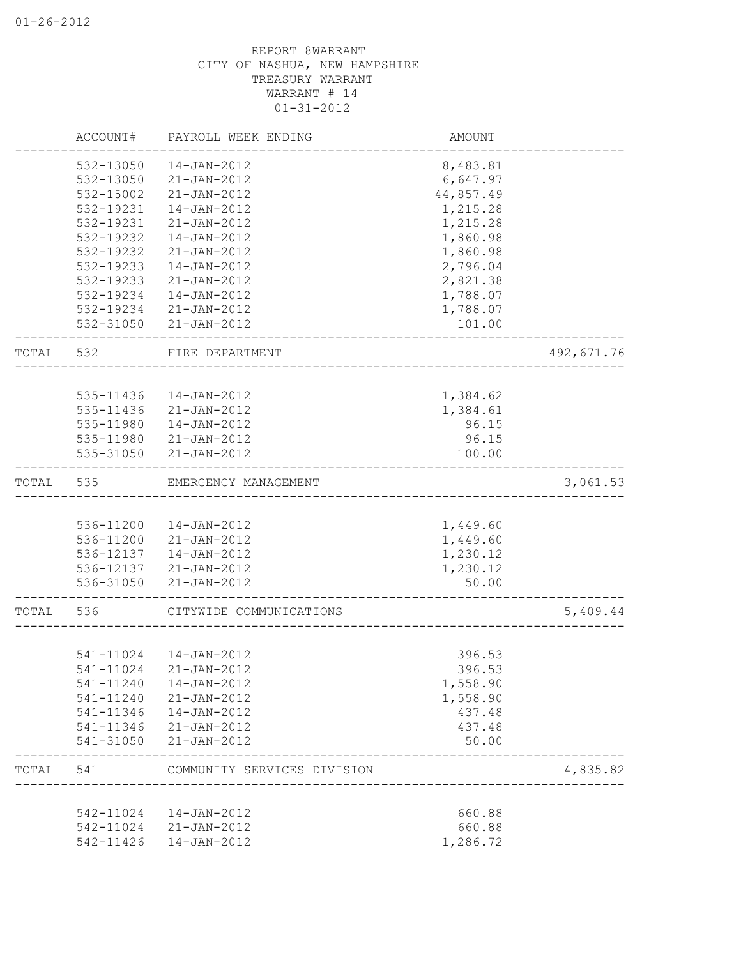|       | ACCOUNT#  | PAYROLL WEEK ENDING                       | AMOUNT    |            |
|-------|-----------|-------------------------------------------|-----------|------------|
|       | 532-13050 | 14-JAN-2012                               | 8,483.81  |            |
|       | 532-13050 | 21-JAN-2012                               | 6,647.97  |            |
|       | 532-15002 | $21 - JAN - 2012$                         | 44,857.49 |            |
|       | 532-19231 | 14-JAN-2012                               | 1,215.28  |            |
|       | 532-19231 | 21-JAN-2012                               | 1,215.28  |            |
|       | 532-19232 | 14-JAN-2012                               | 1,860.98  |            |
|       | 532-19232 | 21-JAN-2012                               | 1,860.98  |            |
|       | 532-19233 | 14-JAN-2012                               | 2,796.04  |            |
|       | 532-19233 | 21-JAN-2012                               | 2,821.38  |            |
|       | 532-19234 | 14-JAN-2012                               | 1,788.07  |            |
|       | 532-19234 | 21-JAN-2012                               | 1,788.07  |            |
|       | 532-31050 | 21-JAN-2012                               | 101.00    |            |
| TOTAL | 532       | FIRE DEPARTMENT<br>______________________ |           | 492,671.76 |
|       |           |                                           |           |            |
|       | 535-11436 | 14-JAN-2012                               | 1,384.62  |            |
|       |           | 535-11436 21-JAN-2012                     | 1,384.61  |            |
|       | 535-11980 | 14-JAN-2012                               | 96.15     |            |
|       |           | 535-11980 21-JAN-2012                     | 96.15     |            |
|       | 535-31050 | 21-JAN-2012                               | 100.00    |            |
| TOTAL | 535       | EMERGENCY MANAGEMENT                      |           | 3,061.53   |
|       |           |                                           |           |            |
|       | 536-11200 | 14-JAN-2012                               | 1,449.60  |            |
|       | 536-11200 | 21-JAN-2012                               | 1,449.60  |            |
|       | 536-12137 | 14-JAN-2012                               | 1,230.12  |            |
|       | 536-12137 | 21-JAN-2012                               | 1,230.12  |            |
|       | 536-31050 | 21-JAN-2012                               | 50.00     |            |
| TOTAL | 536       | CITYWIDE COMMUNICATIONS                   |           | 5,409.44   |
|       |           |                                           |           |            |
|       |           | 541-11024  14-JAN-2012                    | 396.53    |            |
|       | 541-11024 | $21 - JAN - 2012$                         | 396.53    |            |
|       | 541-11240 | 14-JAN-2012                               | 1,558.90  |            |
|       | 541-11240 | $21 - JAN - 2012$                         | 1,558.90  |            |
|       | 541-11346 | 14-JAN-2012                               | 437.48    |            |
|       | 541-11346 | 21-JAN-2012                               | 437.48    |            |
|       | 541-31050 | 21-JAN-2012                               | 50.00     |            |
| TOTAL | 541       | COMMUNITY SERVICES DIVISION               |           | 4,835.82   |
|       | 542-11024 | 14-JAN-2012                               | 660.88    |            |
|       | 542-11024 | 21-JAN-2012                               | 660.88    |            |
|       | 542-11426 | $14 - JAN - 2012$                         | 1,286.72  |            |
|       |           |                                           |           |            |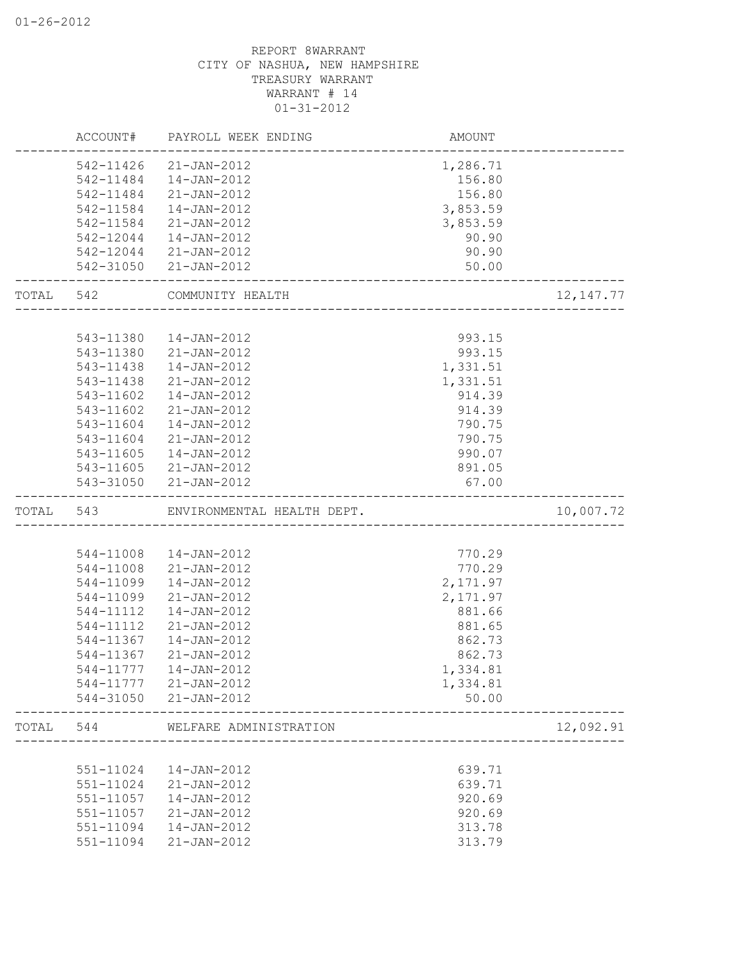|       | ACCOUNT#  | PAYROLL WEEK ENDING                       | AMOUNT                             |             |
|-------|-----------|-------------------------------------------|------------------------------------|-------------|
|       | 542-11426 | 21-JAN-2012                               | 1,286.71                           |             |
|       | 542-11484 | 14-JAN-2012                               | 156.80                             |             |
|       | 542-11484 | $21 - JAN - 2012$                         | 156.80                             |             |
|       | 542-11584 | 14-JAN-2012                               | 3,853.59                           |             |
|       | 542-11584 | $21 - JAN - 2012$                         | 3,853.59                           |             |
|       | 542-12044 | 14-JAN-2012                               | 90.90                              |             |
|       | 542-12044 | 21-JAN-2012                               | 90.90                              |             |
|       | 542-31050 | 21-JAN-2012                               | 50.00                              |             |
| TOTAL | 542       | COMMUNITY HEALTH<br>--------------------- |                                    | 12, 147. 77 |
|       |           |                                           |                                    |             |
|       | 543-11380 | 14-JAN-2012                               | 993.15                             |             |
|       | 543-11380 | 21-JAN-2012                               | 993.15                             |             |
|       | 543-11438 | 14-JAN-2012                               | 1,331.51                           |             |
|       | 543-11438 | $21 - JAN - 2012$                         | 1,331.51                           |             |
|       | 543-11602 | 14-JAN-2012                               | 914.39                             |             |
|       | 543-11602 | 21-JAN-2012                               | 914.39                             |             |
|       | 543-11604 | $14 - JAN - 2012$                         | 790.75                             |             |
|       | 543-11604 | $21 - JAN - 2012$                         | 790.75                             |             |
|       | 543-11605 | 14-JAN-2012                               | 990.07                             |             |
|       |           | 543-11605 21-JAN-2012                     | 891.05                             |             |
|       |           | 543-31050 21-JAN-2012                     | 67.00                              |             |
| TOTAL | 543       | ENVIRONMENTAL HEALTH DEPT.                | ---------------------------------- | 10,007.72   |
|       |           |                                           |                                    |             |
|       | 544-11008 | 14-JAN-2012                               | 770.29                             |             |
|       | 544-11008 | $21 - JAN - 2012$                         | 770.29                             |             |
|       | 544-11099 | 14-JAN-2012                               | 2,171.97                           |             |
|       | 544-11099 | $21 - JAN - 2012$                         | 2,171.97                           |             |
|       | 544-11112 | 14-JAN-2012                               | 881.66                             |             |
|       | 544-11112 | $21 - JAN - 2012$                         | 881.65                             |             |
|       | 544-11367 | $14 - JAN - 2012$                         | 862.73                             |             |
|       | 544-11367 | 21-JAN-2012                               | 862.73                             |             |
|       | 544-11777 | 14-JAN-2012                               | 1,334.81                           |             |
|       | 544-11777 | 21-JAN-2012                               | 1,334.81                           |             |
|       | 544-31050 | $21 - JAN - 2012$                         | 50.00                              |             |
| TOTAL | 544       | WELFARE ADMINISTRATION                    |                                    | 12,092.91   |
|       |           |                                           |                                    |             |
|       | 551-11024 | 14-JAN-2012                               | 639.71                             |             |
|       | 551-11024 | $21 - JAN - 2012$                         | 639.71                             |             |
|       | 551-11057 | 14-JAN-2012                               | 920.69                             |             |
|       | 551-11057 | 21-JAN-2012                               | 920.69                             |             |
|       | 551-11094 | 14-JAN-2012                               | 313.78                             |             |
|       | 551-11094 | 21-JAN-2012                               | 313.79                             |             |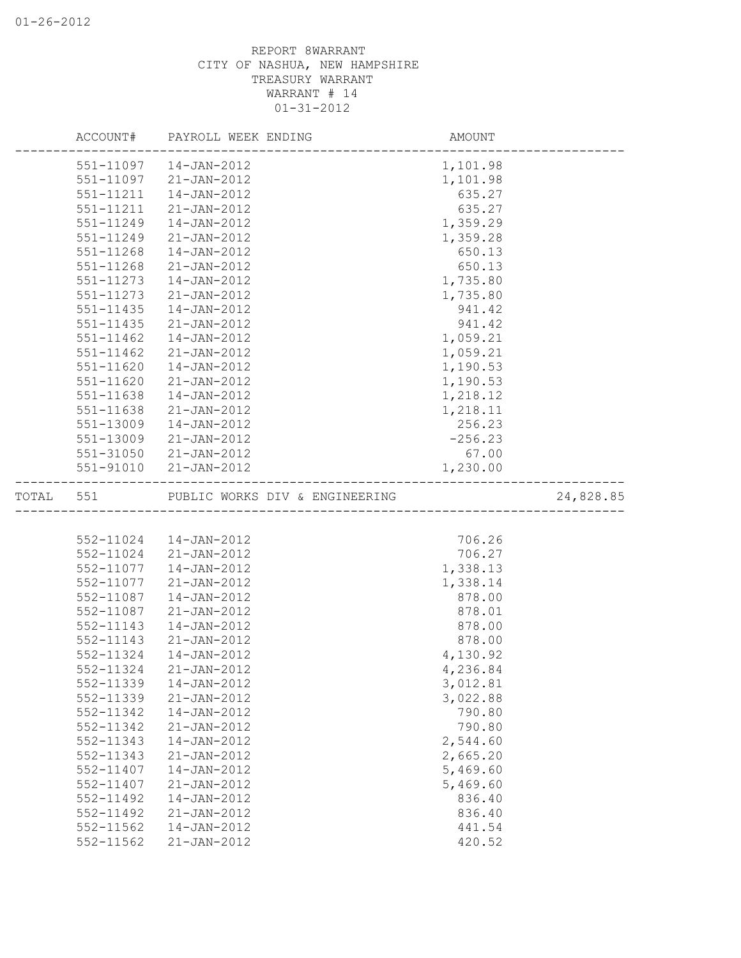|       | ACCOUNT#               | PAYROLL WEEK ENDING                    | AMOUNT           |  |
|-------|------------------------|----------------------------------------|------------------|--|
|       |                        | 551-11097  14-JAN-2012                 | 1,101.98         |  |
|       |                        | 551-11097 21-JAN-2012                  | 1,101.98         |  |
|       | 551-11211              | 14-JAN-2012                            | 635.27           |  |
|       | 551-11211              | $21 - JAN - 2012$                      | 635.27           |  |
|       | 551-11249              | 14-JAN-2012                            | 1,359.29         |  |
|       | 551-11249              | $21 - JAN - 2012$                      | 1,359.28         |  |
|       | 551-11268              | $14 - JAN - 2012$                      | 650.13           |  |
|       | 551-11268              | $21 - JAN - 2012$                      | 650.13           |  |
|       | 551-11273              | 14-JAN-2012                            | 1,735.80         |  |
|       | 551-11273              | $21 - JAN - 2012$                      | 1,735.80         |  |
|       | $551 - 11435$          | $14 - JAN - 2012$                      | 941.42           |  |
|       | 551-11435              | 21-JAN-2012                            | 941.42           |  |
|       | 551-11462              | 14-JAN-2012                            | 1,059.21         |  |
|       | 551-11462              | $21 - JAN - 2012$                      | 1,059.21         |  |
|       | 551-11620              | 14-JAN-2012                            | 1,190.53         |  |
|       | 551-11620              | 21-JAN-2012                            | 1,190.53         |  |
|       | 551-11638              | 14-JAN-2012                            | 1,218.12         |  |
|       | 551-11638              | 21-JAN-2012                            | 1,218.11         |  |
|       | 551-13009              | 14-JAN-2012                            | 256.23           |  |
|       | 551-13009              | 21-JAN-2012                            | $-256.23$        |  |
|       | 551-31050              | $21 - JAN - 2012$                      | 67.00            |  |
|       | 551-91010              | 21-JAN-2012                            | 1,230.00         |  |
| TOTAL | 551                    | PUBLIC WORKS DIV & ENGINEERING         | 24,828.85        |  |
|       |                        |                                        |                  |  |
|       |                        | 552-11024  14-JAN-2012                 | 706.26           |  |
|       | 552-11024              | 21-JAN-2012                            | 706.27           |  |
|       | 552-11077              | 14-JAN-2012                            | 1,338.13         |  |
|       | 552-11077              | 21-JAN-2012                            | 1,338.14         |  |
|       | 552-11087              | 14-JAN-2012                            | 878.00           |  |
|       | 552-11087              | 21-JAN-2012                            | 878.01           |  |
|       | 552-11143              | 14-JAN-2012                            | 878.00           |  |
|       | 552-11143              | $21 - JAN - 2012$                      | 878.00           |  |
|       |                        |                                        |                  |  |
|       | 552-11324              | 14-JAN-2012                            | 4,130.92         |  |
|       | 552-11324              | $21 - JAN - 2012$                      | 4,236.84         |  |
|       | 552-11339              | 14-JAN-2012                            | 3,012.81         |  |
|       | 552-11339              | $21 - JAN - 2012$                      | 3,022.88         |  |
|       | 552-11342              | $14 - JAN - 2012$                      | 790.80           |  |
|       | 552-11342              | $21 - JAN - 2012$                      | 790.80           |  |
|       | 552-11343              | 14-JAN-2012                            | 2,544.60         |  |
|       | 552-11343              | $21 - JAN - 2012$                      | 2,665.20         |  |
|       | 552-11407              | $14 - JAN - 2012$                      | 5,469.60         |  |
|       | 552-11407              | 21-JAN-2012                            | 5,469.60         |  |
|       | 552-11492              | 14-JAN-2012                            | 836.40           |  |
|       | 552-11492              | $21 - JAN - 2012$                      | 836.40           |  |
|       | 552-11562<br>552-11562 | $14 - JAN - 2012$<br>$21 - JAN - 2012$ | 441.54<br>420.52 |  |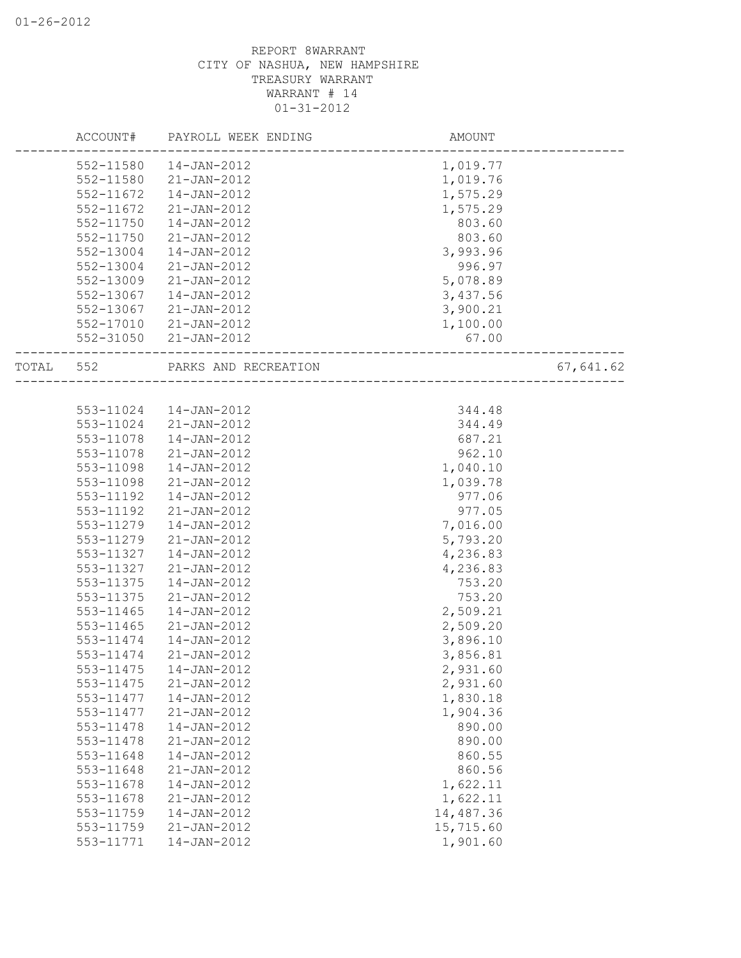| 552-11580<br>14-JAN-2012<br>1,019.77                                      |           |
|---------------------------------------------------------------------------|-----------|
|                                                                           |           |
| 552-11580<br>21-JAN-2012<br>1,019.76                                      |           |
| 1,575.29<br>552-11672<br>14-JAN-2012                                      |           |
| 552-11672<br>1,575.29<br>21-JAN-2012                                      |           |
| 552-11750<br>803.60<br>14-JAN-2012                                        |           |
| 552-11750<br>21-JAN-2012<br>803.60                                        |           |
| 3,993.96<br>552-13004<br>14-JAN-2012                                      |           |
| 996.97<br>552-13004<br>21-JAN-2012                                        |           |
| 5,078.89<br>552-13009<br>21-JAN-2012                                      |           |
| 552-13067<br>14-JAN-2012<br>3,437.56                                      |           |
| 3,900.21<br>552-13067<br>21-JAN-2012                                      |           |
| 1,100.00<br>552-17010<br>21-JAN-2012                                      |           |
| 67.00<br>552-31050<br>$21 - JAN - 2012$                                   |           |
| TOTAL 552<br>PARKS AND RECREATION<br>____________________________________ | 67,641.62 |
|                                                                           |           |
| 553-11024  14-JAN-2012<br>344.48                                          |           |
| 553-11024 21-JAN-2012<br>344.49                                           |           |
| 14-JAN-2012<br>553-11078<br>687.21                                        |           |
| 553-11078<br>21-JAN-2012<br>962.10                                        |           |
| 553-11098<br>14-JAN-2012<br>1,040.10                                      |           |
| 553-11098<br>21-JAN-2012<br>1,039.78                                      |           |
| 553-11192<br>14-JAN-2012<br>977.06                                        |           |
| 553-11192<br>21-JAN-2012<br>977.05                                        |           |
| 7,016.00<br>553-11279<br>14-JAN-2012                                      |           |
| 553-11279<br>5,793.20<br>$21 - JAN - 2012$                                |           |
| 553-11327<br>14-JAN-2012<br>4,236.83                                      |           |
| 553-11327<br>21-JAN-2012<br>4,236.83                                      |           |
| 553-11375<br>14-JAN-2012<br>753.20                                        |           |
| 553-11375<br>753.20<br>$21 - JAN - 2012$                                  |           |
| 2,509.21<br>553-11465<br>14-JAN-2012                                      |           |
| 2,509.20<br>553-11465<br>21-JAN-2012                                      |           |
| 553-11474<br>3,896.10<br>$14 - JAN - 2012$                                |           |
| 553-11474<br>21-JAN-2012<br>3,856.81                                      |           |
| 553-11475<br>$14 - JAN - 2012$<br>2,931.60                                |           |
| 553-11475<br>$21 - JAN - 2012$<br>2,931.60                                |           |
| 553-11477<br>14-JAN-2012<br>1,830.18                                      |           |
| 553-11477<br>$21 - JAN - 2012$<br>1,904.36                                |           |
| 890.00<br>553-11478<br>$14 - JAN - 2012$                                  |           |
| 553-11478<br>$21 - JAN - 2012$<br>890.00                                  |           |
| 553-11648<br>14-JAN-2012<br>860.55                                        |           |
| 553-11648<br>$21 - JAN - 2012$<br>860.56                                  |           |
| 1,622.11<br>553-11678<br>14-JAN-2012                                      |           |
| 553-11678<br>$21 - JAN - 2012$<br>1,622.11                                |           |
| 553-11759<br>14-JAN-2012<br>14,487.36                                     |           |
| 15,715.60<br>553-11759<br>$21 - JAN - 2012$                               |           |
| 553-11771<br>1,901.60<br>$14 - JAN - 2012$                                |           |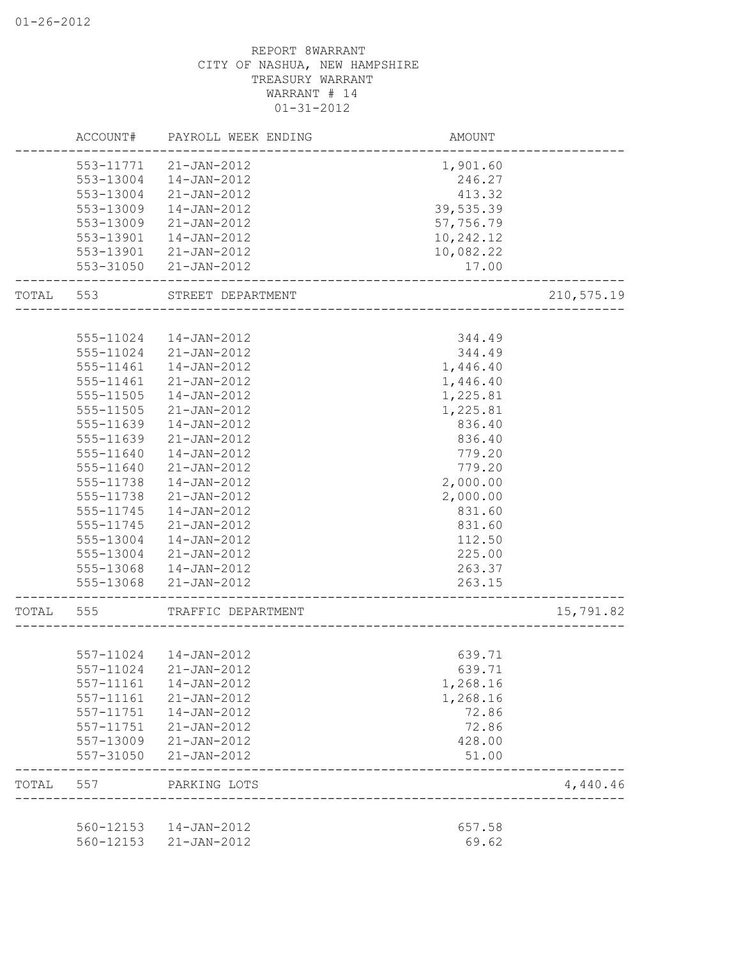|       | ACCOUNT#  | PAYROLL WEEK ENDING    | AMOUNT                             |            |
|-------|-----------|------------------------|------------------------------------|------------|
|       | 553-11771 | 21-JAN-2012            | 1,901.60                           |            |
|       | 553-13004 | $14 - JAN - 2012$      | 246.27                             |            |
|       | 553-13004 | 21-JAN-2012            | 413.32                             |            |
|       | 553-13009 | 14-JAN-2012            | 39,535.39                          |            |
|       | 553-13009 | 21-JAN-2012            | 57,756.79                          |            |
|       | 553-13901 | 14-JAN-2012            | 10,242.12                          |            |
|       | 553-13901 | 21-JAN-2012            | 10,082.22                          |            |
|       | 553-31050 | 21-JAN-2012            | 17.00                              |            |
| TOTAL | 553       | STREET DEPARTMENT      | ____________________               | 210,575.19 |
|       |           |                        |                                    |            |
|       | 555-11024 | 14-JAN-2012            | 344.49                             |            |
|       | 555-11024 | 21-JAN-2012            | 344.49                             |            |
|       | 555-11461 | 14-JAN-2012            | 1,446.40                           |            |
|       | 555-11461 | 21-JAN-2012            | 1,446.40                           |            |
|       | 555-11505 | 14-JAN-2012            | 1,225.81                           |            |
|       | 555-11505 | 21-JAN-2012            | 1,225.81                           |            |
|       | 555-11639 | 14-JAN-2012            | 836.40                             |            |
|       | 555-11639 | 21-JAN-2012            | 836.40                             |            |
|       | 555-11640 | 14-JAN-2012            | 779.20                             |            |
|       | 555-11640 | $21 - JAN - 2012$      | 779.20                             |            |
|       | 555-11738 | 14-JAN-2012            | 2,000.00                           |            |
|       | 555-11738 | 21-JAN-2012            | 2,000.00                           |            |
|       | 555-11745 | 14-JAN-2012            | 831.60                             |            |
|       | 555-11745 | 21-JAN-2012            | 831.60                             |            |
|       | 555-13004 | 14-JAN-2012            | 112.50                             |            |
|       | 555-13004 | 21-JAN-2012            | 225.00                             |            |
|       | 555-13068 | 14-JAN-2012            | 263.37                             |            |
|       | 555-13068 | 21-JAN-2012            | 263.15                             |            |
| TOTAL | 555       | TRAFFIC DEPARTMENT     |                                    | 15,791.82  |
|       |           |                        | ---------------------------------- |            |
|       |           | 557-11024  14-JAN-2012 | 639.71                             |            |
|       | 557-11024 | 21-JAN-2012            | 639.71                             |            |
|       | 557-11161 | 14-JAN-2012            | 1,268.16                           |            |
|       | 557-11161 | $21 - JAN - 2012$      | 1,268.16                           |            |
|       | 557-11751 | 14-JAN-2012            | 72.86                              |            |
|       | 557-11751 | $21 - JAN - 2012$      | 72.86                              |            |
|       | 557-13009 | $21 - JAN - 2012$      | 428.00                             |            |
|       | 557-31050 | $21 - JAN - 2012$      | 51.00                              |            |
| TOTAL | 557       | PARKING LOTS           |                                    | 4,440.46   |
|       |           |                        |                                    |            |
|       | 560-12153 | 14-JAN-2012            | 657.58                             |            |
|       | 560-12153 | $21 - JAN - 2012$      | 69.62                              |            |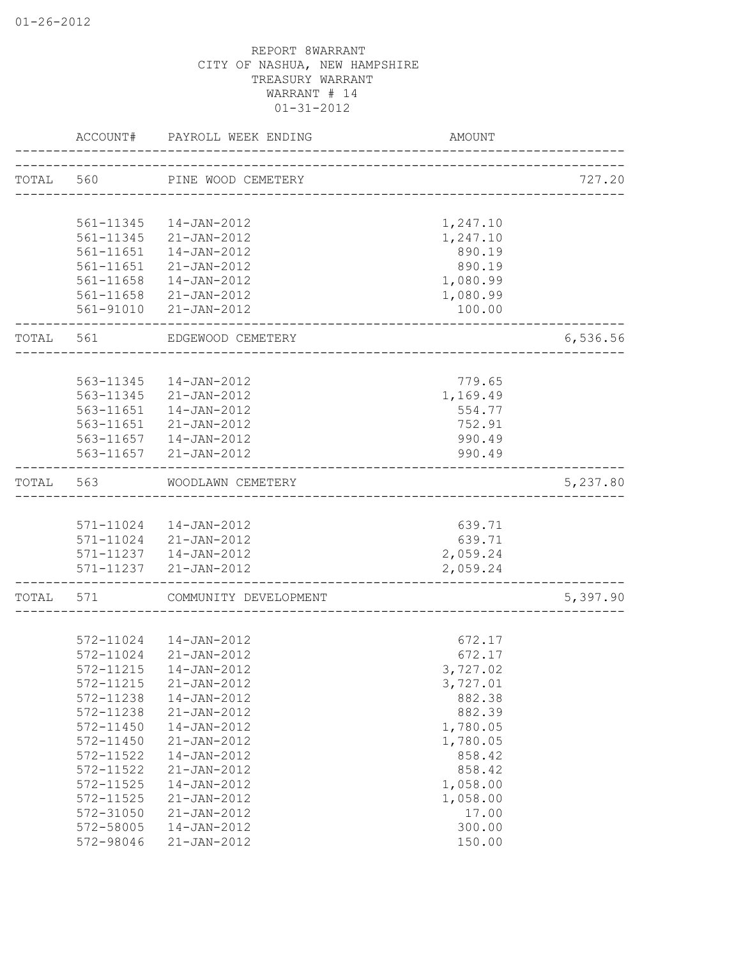|       | ACCOUNT#  | PAYROLL WEEK ENDING                             | AMOUNT                        |          |
|-------|-----------|-------------------------------------------------|-------------------------------|----------|
|       |           | TOTAL 560 PINE WOOD CEMETERY                    |                               | 727.20   |
|       | 561-11345 | 14-JAN-2012                                     | 1,247.10                      |          |
|       | 561-11345 | 21-JAN-2012                                     | 1,247.10                      |          |
|       | 561-11651 | 14-JAN-2012                                     | 890.19                        |          |
|       | 561-11651 | 21-JAN-2012                                     | 890.19                        |          |
|       | 561-11658 | 14-JAN-2012                                     | 1,080.99                      |          |
|       | 561-11658 | 21-JAN-2012                                     | 1,080.99                      |          |
|       |           | 561-91010 21-JAN-2012                           | 100.00                        |          |
| TOTAL | 561       | EDGEWOOD CEMETERY                               |                               | 6,536.56 |
|       |           |                                                 |                               |          |
|       |           | 563-11345  14-JAN-2012                          | 779.65                        |          |
|       |           | 563-11345 21-JAN-2012                           | 1,169.49                      |          |
|       |           | 563-11651  14-JAN-2012                          | 554.77                        |          |
|       |           | 563-11651 21-JAN-2012                           | 752.91                        |          |
|       |           | 563-11657  14-JAN-2012<br>563-11657 21-JAN-2012 | 990.49<br>990.49              |          |
| TOTAL | 563       | WOODLAWN CEMETERY                               |                               | 5,237.80 |
|       |           |                                                 | _____________________________ |          |
|       |           | 571-11024  14-JAN-2012                          | 639.71                        |          |
|       |           | 571-11024 21-JAN-2012                           | 639.71                        |          |
|       |           | 571-11237  14-JAN-2012                          | 2,059.24                      |          |
|       |           | 571-11237 21-JAN-2012                           | 2,059.24                      |          |
| TOTAL | 571       | COMMUNITY DEVELOPMENT<br>___________________    |                               | 5,397.90 |
|       |           |                                                 |                               |          |
|       |           | 572-11024  14-JAN-2012                          | 672.17                        |          |
|       | 572-11024 | $21 - JAN - 2012$                               | 672.17                        |          |
|       | 572-11215 | $14 - JAN - 2012$                               | 3,727.02                      |          |
|       | 572-11215 | $21 - JAN - 2012$                               | 3,727.01                      |          |
|       | 572-11238 | $14 - JAN - 2012$                               | 882.38                        |          |
|       | 572-11238 | $21 - JAN - 2012$                               | 882.39                        |          |
|       | 572-11450 | $14 - JAN - 2012$                               | 1,780.05                      |          |
|       | 572-11450 | $21 - JAN - 2012$                               | 1,780.05                      |          |
|       | 572-11522 | $14 - JAN - 2012$                               | 858.42                        |          |
|       | 572-11522 | $21 - JAN - 2012$                               | 858.42                        |          |
|       | 572-11525 | 14-JAN-2012                                     | 1,058.00                      |          |
|       | 572-11525 | $21 - JAN - 2012$                               | 1,058.00                      |          |
|       | 572-31050 | 21-JAN-2012                                     | 17.00                         |          |
|       | 572-58005 | 14-JAN-2012                                     | 300.00                        |          |
|       | 572-98046 | 21-JAN-2012                                     | 150.00                        |          |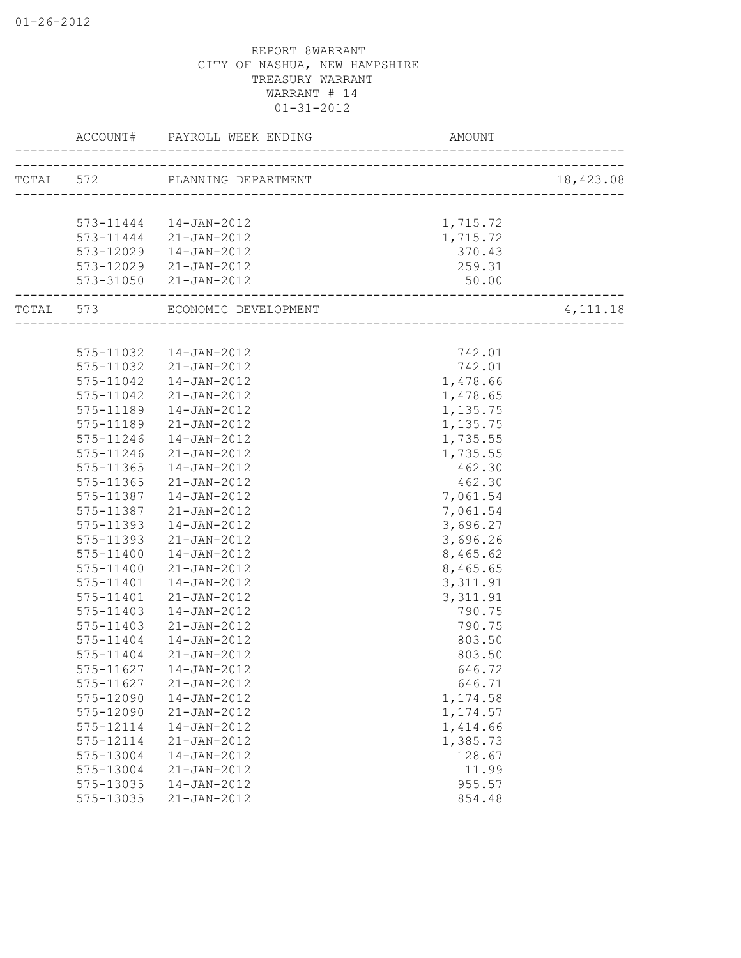|           | ACCOUNT#      | PAYROLL WEEK ENDING           | <b>AMOUNT</b>          |           |
|-----------|---------------|-------------------------------|------------------------|-----------|
|           |               | TOTAL 572 PLANNING DEPARTMENT |                        | 18,423.08 |
|           |               |                               |                        |           |
|           |               | 573-11444   14-JAN-2012       | 1,715.72               |           |
|           | 573-11444     | 21-JAN-2012                   | 1,715.72               |           |
|           | 573-12029     | 14-JAN-2012                   | 370.43                 |           |
|           | 573-12029     | 21-JAN-2012                   | 259.31                 |           |
|           |               | 573-31050 21-JAN-2012         | 50.00                  |           |
| TOTAL 573 |               | ECONOMIC DEVELOPMENT          | ---------------------- | 4, 111.18 |
|           |               | 575-11032  14-JAN-2012        | 742.01                 |           |
|           |               | 575-11032 21-JAN-2012         | 742.01                 |           |
|           | $575 - 11042$ | 14-JAN-2012                   | 1,478.66               |           |
|           | 575-11042     | 21-JAN-2012                   | 1,478.65               |           |
|           | 575-11189     | 14-JAN-2012                   | 1,135.75               |           |
|           | 575-11189     | 21-JAN-2012                   | 1,135.75               |           |
|           | 575-11246     | $14 - JAN - 2012$             | 1,735.55               |           |
|           | 575-11246     | 21-JAN-2012                   | 1,735.55               |           |
|           | 575-11365     | 14-JAN-2012                   | 462.30                 |           |
|           | 575-11365     | 21-JAN-2012                   | 462.30                 |           |
|           | 575-11387     | 14-JAN-2012                   | 7,061.54               |           |
|           | 575-11387     | 21-JAN-2012                   | 7,061.54               |           |
|           | 575-11393     | $14 - JAN - 2012$             | 3,696.27               |           |
|           | 575-11393     | 21-JAN-2012                   | 3,696.26               |           |
|           | 575-11400     | 14-JAN-2012                   | 8,465.62               |           |
|           | 575-11400     | 21-JAN-2012                   | 8,465.65               |           |
|           | 575-11401     | 14-JAN-2012                   | 3, 311.91              |           |
|           | 575-11401     | 21-JAN-2012                   | 3, 311.91              |           |
|           | 575-11403     | 14-JAN-2012                   | 790.75                 |           |
|           | 575-11403     | 21-JAN-2012                   | 790.75                 |           |
|           | 575-11404     | $14 - JAN - 2012$             | 803.50                 |           |
|           | 575-11404     | 21-JAN-2012                   | 803.50                 |           |
|           | 575-11627     | $14 - JAN - 2012$             | 646.72                 |           |
|           | 575-11627     | $21 - JAN - 2012$             | 646.71                 |           |
|           | 575-12090     | 14-JAN-2012                   | 1,174.58               |           |
|           | 575-12090     | $21 - JAN - 2012$             | 1,174.57               |           |
|           | 575-12114     | 14-JAN-2012                   | 1,414.66               |           |
|           | 575-12114     | $21 - JAN - 2012$             | 1,385.73               |           |
|           | 575-13004     | $14 - JAN - 2012$             | 128.67                 |           |
|           | 575-13004     | $21 - JAN - 2012$             | 11.99                  |           |
|           | 575-13035     | $14 - JAN - 2012$             | 955.57                 |           |
|           | 575-13035     | $21 - JAN - 2012$             | 854.48                 |           |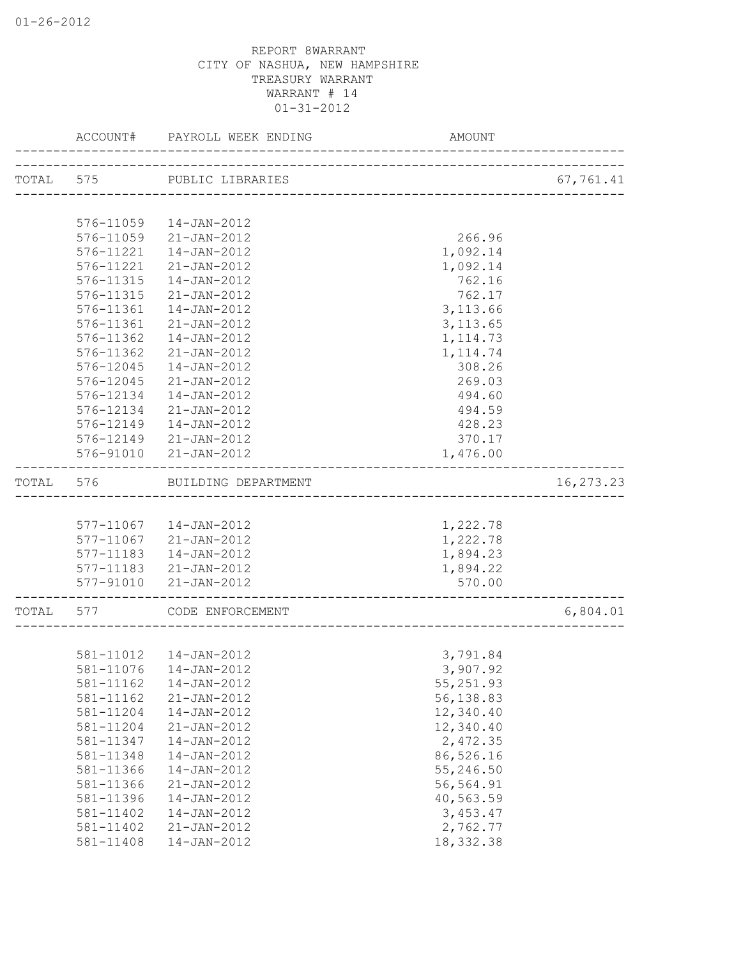|       | ACCOUNT#  | PAYROLL WEEK ENDING        | <b>AMOUNT</b>                |             |
|-------|-----------|----------------------------|------------------------------|-------------|
|       |           | TOTAL 575 PUBLIC LIBRARIES | ____________________________ | 67,761.41   |
|       |           |                            |                              |             |
|       | 576-11059 | 14-JAN-2012                |                              |             |
|       | 576-11059 | 21-JAN-2012                | 266.96                       |             |
|       | 576-11221 | 14-JAN-2012                | 1,092.14                     |             |
|       | 576-11221 | 21-JAN-2012                | 1,092.14                     |             |
|       | 576-11315 | 14-JAN-2012                | 762.16                       |             |
|       | 576-11315 | $21 - JAN - 2012$          | 762.17                       |             |
|       | 576-11361 | 14-JAN-2012                | 3, 113.66                    |             |
|       | 576-11361 | $21 - JAN - 2012$          | 3, 113.65                    |             |
|       | 576-11362 | $14 - JAN - 2012$          | 1, 114.73                    |             |
|       | 576-11362 | 21-JAN-2012                | 1, 114.74                    |             |
|       | 576-12045 | 14-JAN-2012                | 308.26                       |             |
|       | 576-12045 | 21-JAN-2012                | 269.03                       |             |
|       | 576-12134 | 14-JAN-2012                | 494.60                       |             |
|       |           | 576-12134 21-JAN-2012      | 494.59                       |             |
|       | 576-12149 | $14 - JAN - 2012$          | 428.23                       |             |
|       |           | 576-12149 21-JAN-2012      | 370.17                       |             |
|       |           | 576-91010 21-JAN-2012      | 1,476.00                     |             |
| TOTAL | 576       | BUILDING DEPARTMENT        | __________________________   | 16, 273. 23 |
|       |           |                            |                              |             |
|       |           | 577-11067  14-JAN-2012     | 1,222.78                     |             |
|       |           | 577-11067 21-JAN-2012      | 1,222.78                     |             |
|       | 577-11183 | 14-JAN-2012                | 1,894.23                     |             |
|       |           | 577-11183 21-JAN-2012      | 1,894.22                     |             |
|       | 577-91010 | $21 - JAN - 2012$          | 570.00                       |             |
| TOTAL | 577       | CODE ENFORCEMENT           |                              | 6,804.01    |
|       |           |                            |                              |             |
|       |           | 581-11012  14-JAN-2012     | 3,791.84                     |             |
|       | 581-11076 | $14 - JAN - 2012$          | 3,907.92                     |             |
|       | 581-11162 | $14 - JAN - 2012$          | 55,251.93                    |             |
|       | 581-11162 | $21 - JAN - 2012$          | 56,138.83                    |             |
|       | 581-11204 | 14-JAN-2012                | 12,340.40                    |             |
|       | 581-11204 | $21 - JAN - 2012$          | 12,340.40                    |             |
|       | 581-11347 | $14 - JAN - 2012$          | 2,472.35                     |             |
|       | 581-11348 | $14 - JAN - 2012$          | 86,526.16                    |             |
|       | 581-11366 | $14 - JAN - 2012$          | 55,246.50                    |             |
|       | 581-11366 | 21-JAN-2012                | 56,564.91                    |             |
|       | 581-11396 | 14-JAN-2012                | 40,563.59                    |             |
|       | 581-11402 | $14 - JAN - 2012$          | 3,453.47                     |             |
|       | 581-11402 | $21 - JAN - 2012$          | 2,762.77                     |             |
|       | 581-11408 | $14 - JAN - 2012$          | 18, 332.38                   |             |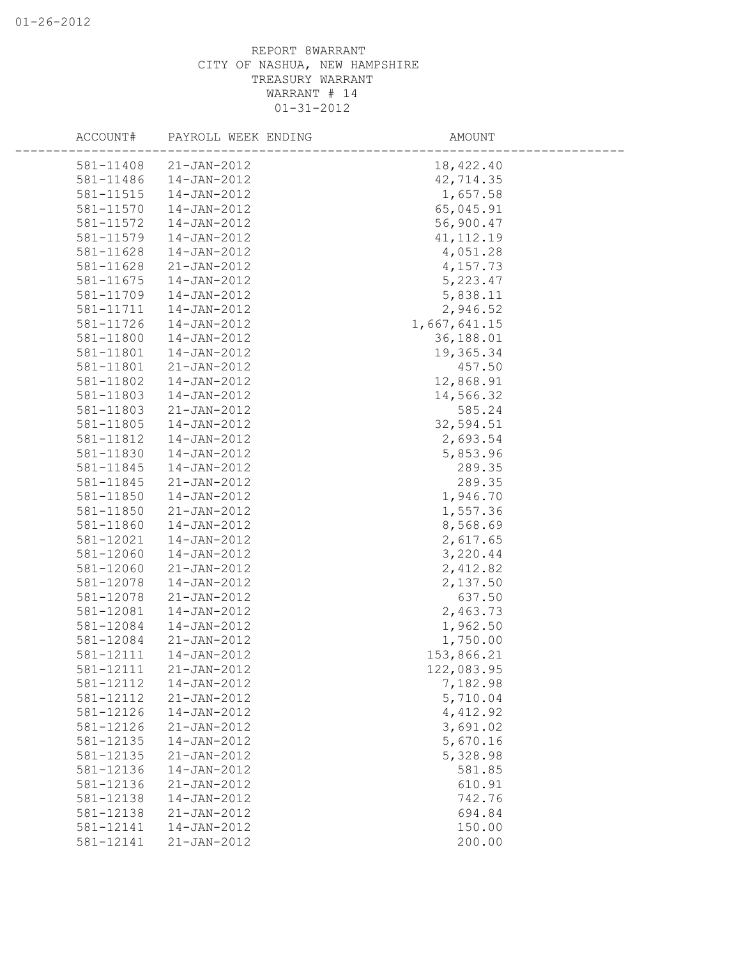| ACCOUNT#  | PAYROLL WEEK ENDING | AMOUNT       |  |
|-----------|---------------------|--------------|--|
| 581-11408 | 21-JAN-2012         | 18,422.40    |  |
| 581-11486 | 14-JAN-2012         | 42,714.35    |  |
| 581-11515 | 14-JAN-2012         | 1,657.58     |  |
| 581-11570 | 14-JAN-2012         | 65,045.91    |  |
| 581-11572 | 14-JAN-2012         | 56,900.47    |  |
| 581-11579 | 14-JAN-2012         | 41, 112.19   |  |
| 581-11628 | 14-JAN-2012         | 4,051.28     |  |
| 581-11628 | $21 - JAN - 2012$   | 4,157.73     |  |
| 581-11675 | 14-JAN-2012         | 5,223.47     |  |
| 581-11709 | 14-JAN-2012         | 5,838.11     |  |
| 581-11711 | 14-JAN-2012         | 2,946.52     |  |
| 581-11726 | 14-JAN-2012         | 1,667,641.15 |  |
| 581-11800 | 14-JAN-2012         | 36,188.01    |  |
| 581-11801 | 14-JAN-2012         | 19,365.34    |  |
| 581-11801 | 21-JAN-2012         | 457.50       |  |
| 581-11802 | 14-JAN-2012         | 12,868.91    |  |
| 581-11803 | 14-JAN-2012         | 14,566.32    |  |
| 581-11803 | 21-JAN-2012         | 585.24       |  |
| 581-11805 | 14-JAN-2012         | 32,594.51    |  |
| 581-11812 | 14-JAN-2012         | 2,693.54     |  |
| 581-11830 | 14-JAN-2012         | 5,853.96     |  |
| 581-11845 | 14-JAN-2012         | 289.35       |  |
| 581-11845 | 21-JAN-2012         | 289.35       |  |
| 581-11850 | $14 - JAN - 2012$   | 1,946.70     |  |
| 581-11850 | 21-JAN-2012         | 1,557.36     |  |
| 581-11860 | 14-JAN-2012         | 8,568.69     |  |
| 581-12021 | $14 - JAN - 2012$   | 2,617.65     |  |
| 581-12060 | $14 - JAN - 2012$   | 3,220.44     |  |
| 581-12060 | 21-JAN-2012         | 2,412.82     |  |
| 581-12078 | 14-JAN-2012         | 2,137.50     |  |
| 581-12078 | $21 - JAN - 2012$   | 637.50       |  |
| 581-12081 | 14-JAN-2012         | 2,463.73     |  |
| 581-12084 | 14-JAN-2012         | 1,962.50     |  |
| 581-12084 | $21 - JAN - 2012$   | 1,750.00     |  |
| 581-12111 | 14-JAN-2012         | 153,866.21   |  |
| 581-12111 | 21-JAN-2012         | 122,083.95   |  |
| 581-12112 | $14 - JAN - 2012$   | 7,182.98     |  |
| 581-12112 | 21-JAN-2012         | 5,710.04     |  |
| 581-12126 | 14-JAN-2012         | 4,412.92     |  |
| 581-12126 | $21 - JAN - 2012$   | 3,691.02     |  |
| 581-12135 | $14 - JAN - 2012$   | 5,670.16     |  |
| 581-12135 | $21 - JAN - 2012$   | 5,328.98     |  |
| 581-12136 | 14-JAN-2012         | 581.85       |  |
| 581-12136 | 21-JAN-2012         | 610.91       |  |
| 581-12138 | 14-JAN-2012         | 742.76       |  |
| 581-12138 | $21 - JAN - 2012$   | 694.84       |  |
| 581-12141 | 14-JAN-2012         | 150.00       |  |
| 581-12141 | 21-JAN-2012         | 200.00       |  |
|           |                     |              |  |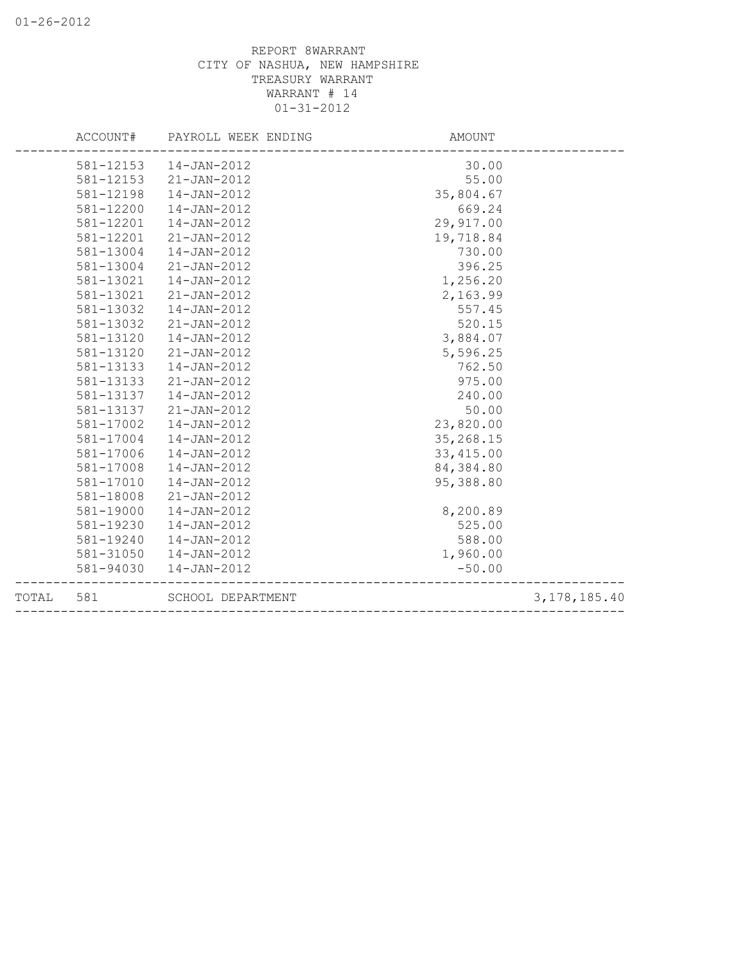|       | ACCOUNT#  | PAYROLL WEEK ENDING | AMOUNT     |                 |
|-------|-----------|---------------------|------------|-----------------|
|       | 581-12153 | 14-JAN-2012         | 30.00      |                 |
|       | 581-12153 | $21 - JAN - 2012$   | 55.00      |                 |
|       | 581-12198 | 14-JAN-2012         | 35,804.67  |                 |
|       | 581-12200 | 14-JAN-2012         | 669.24     |                 |
|       | 581-12201 | 14-JAN-2012         | 29,917.00  |                 |
|       | 581-12201 | 21-JAN-2012         | 19,718.84  |                 |
|       | 581-13004 | 14-JAN-2012         | 730.00     |                 |
|       | 581-13004 | $21 - JAN - 2012$   | 396.25     |                 |
|       | 581-13021 | 14-JAN-2012         | 1,256.20   |                 |
|       | 581-13021 | $21 - JAN - 2012$   | 2,163.99   |                 |
|       | 581-13032 | 14-JAN-2012         | 557.45     |                 |
|       | 581-13032 | $21 - JAN - 2012$   | 520.15     |                 |
|       | 581-13120 | 14-JAN-2012         | 3,884.07   |                 |
|       | 581-13120 | 21-JAN-2012         | 5,596.25   |                 |
|       | 581-13133 | 14-JAN-2012         | 762.50     |                 |
|       | 581-13133 | 21-JAN-2012         | 975.00     |                 |
|       | 581-13137 | 14-JAN-2012         | 240.00     |                 |
|       | 581-13137 | 21-JAN-2012         | 50.00      |                 |
|       | 581-17002 | 14-JAN-2012         | 23,820.00  |                 |
|       | 581-17004 | 14-JAN-2012         | 35,268.15  |                 |
|       | 581-17006 | 14-JAN-2012         | 33, 415.00 |                 |
|       | 581-17008 | $14 - JAN - 2012$   | 84,384.80  |                 |
|       | 581-17010 | 14-JAN-2012         | 95,388.80  |                 |
|       | 581-18008 | $21 - JAN - 2012$   |            |                 |
|       | 581-19000 | 14-JAN-2012         | 8,200.89   |                 |
|       | 581-19230 | 14-JAN-2012         | 525.00     |                 |
|       | 581-19240 | 14-JAN-2012         | 588.00     |                 |
|       | 581-31050 | 14-JAN-2012         | 1,960.00   |                 |
|       | 581-94030 | 14-JAN-2012         | $-50.00$   |                 |
| TOTAL | 581       | SCHOOL DEPARTMENT   |            | 3, 178, 185. 40 |
|       |           |                     |            |                 |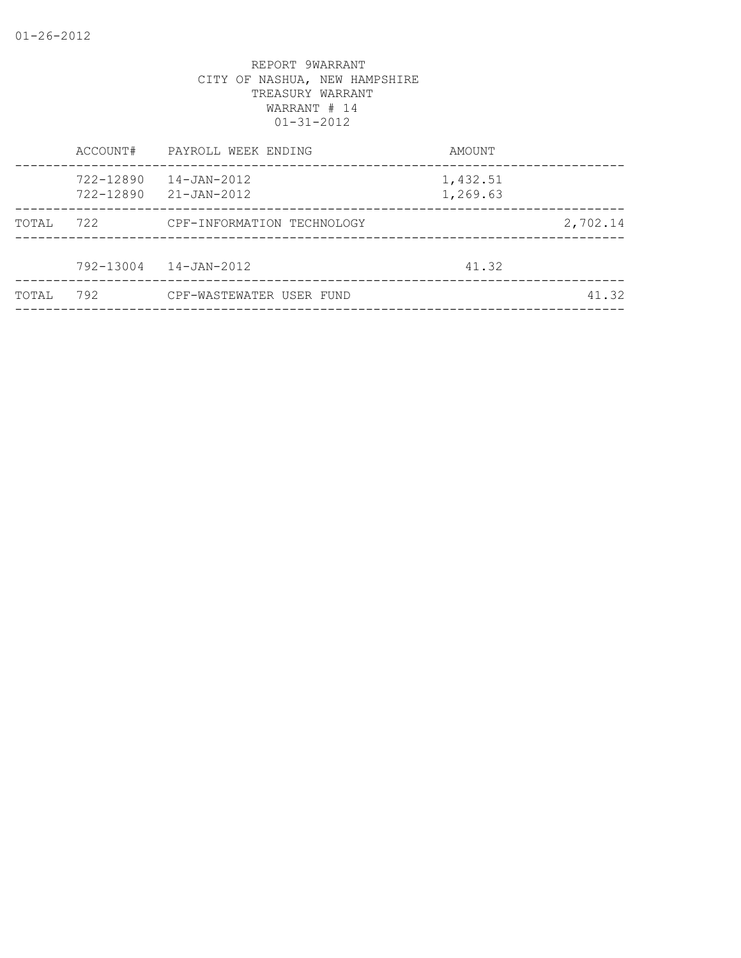|        | ACCOUNT#               | PAYROLL WEEK ENDING        | AMOUNT               |          |
|--------|------------------------|----------------------------|----------------------|----------|
|        | 722-12890<br>722-12890 | 14-JAN-2012<br>21-JAN-2012 | 1,432.51<br>1,269.63 |          |
| TOTAL  | 722                    | CPF-INFORMATION TECHNOLOGY |                      | 2,702.14 |
|        | 792-13004              | 14-JAN-2012                | 41.32                |          |
| TOTAI, | 792                    | CPF-WASTEWATER USER FUND   |                      | 41.32    |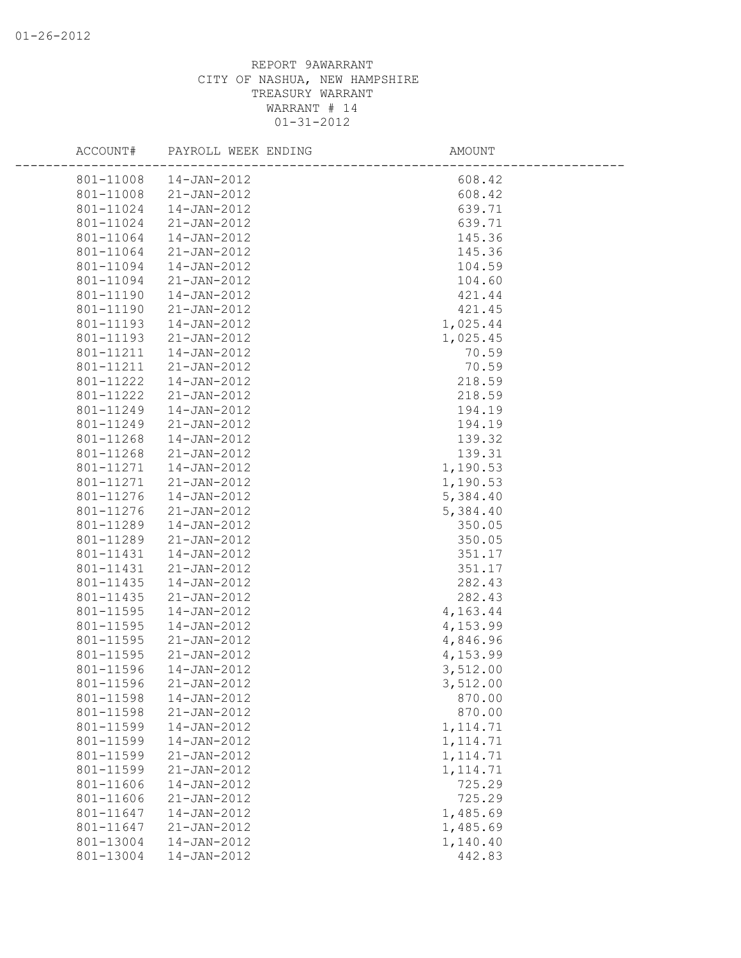| ACCOUNT#  | PAYROLL WEEK ENDING | AMOUNT    |  |
|-----------|---------------------|-----------|--|
| 801-11008 | 14-JAN-2012         | 608.42    |  |
| 801-11008 | 21-JAN-2012         | 608.42    |  |
| 801-11024 | 14-JAN-2012         | 639.71    |  |
| 801-11024 | 21-JAN-2012         | 639.71    |  |
| 801-11064 | 14-JAN-2012         | 145.36    |  |
| 801-11064 | 21-JAN-2012         | 145.36    |  |
| 801-11094 | 14-JAN-2012         | 104.59    |  |
| 801-11094 | $21 - JAN - 2012$   | 104.60    |  |
| 801-11190 | 14-JAN-2012         | 421.44    |  |
| 801-11190 | $21 - JAN - 2012$   | 421.45    |  |
| 801-11193 | 14-JAN-2012         | 1,025.44  |  |
| 801-11193 | 21-JAN-2012         | 1,025.45  |  |
| 801-11211 | 14-JAN-2012         | 70.59     |  |
| 801-11211 | 21-JAN-2012         | 70.59     |  |
| 801-11222 | 14-JAN-2012         | 218.59    |  |
| 801-11222 | 21-JAN-2012         | 218.59    |  |
| 801-11249 | 14-JAN-2012         | 194.19    |  |
| 801-11249 | 21-JAN-2012         | 194.19    |  |
| 801-11268 | 14-JAN-2012         | 139.32    |  |
| 801-11268 | 21-JAN-2012         | 139.31    |  |
| 801-11271 | 14-JAN-2012         | 1,190.53  |  |
| 801-11271 | $21 - JAN - 2012$   | 1,190.53  |  |
| 801-11276 | 14-JAN-2012         | 5,384.40  |  |
| 801-11276 | 21-JAN-2012         | 5,384.40  |  |
| 801-11289 | 14-JAN-2012         | 350.05    |  |
| 801-11289 | 21-JAN-2012         | 350.05    |  |
| 801-11431 | 14-JAN-2012         | 351.17    |  |
| 801-11431 | 21-JAN-2012         | 351.17    |  |
| 801-11435 | 14-JAN-2012         | 282.43    |  |
| 801-11435 | 21-JAN-2012         | 282.43    |  |
| 801-11595 | 14-JAN-2012         | 4,163.44  |  |
| 801-11595 | 14-JAN-2012         | 4,153.99  |  |
| 801-11595 | 21-JAN-2012         | 4,846.96  |  |
| 801-11595 | 21-JAN-2012         | 4,153.99  |  |
| 801-11596 | 14-JAN-2012         | 3,512.00  |  |
| 801-11596 | $21 - JAN - 2012$   | 3,512.00  |  |
| 801-11598 | $14 - JAN - 2012$   | 870.00    |  |
| 801-11598 | $21 - JAN - 2012$   | 870.00    |  |
| 801-11599 | $14 - JAN - 2012$   | 1, 114.71 |  |
| 801-11599 | $14 - JAN - 2012$   | 1, 114.71 |  |
| 801-11599 | $21 - JAN - 2012$   | 1, 114.71 |  |
| 801-11599 | $21 - JAN - 2012$   | 1, 114.71 |  |
| 801-11606 | 14-JAN-2012         | 725.29    |  |
| 801-11606 | $21 - JAN - 2012$   | 725.29    |  |
| 801-11647 | $14 - JAN - 2012$   | 1,485.69  |  |
| 801-11647 | 21-JAN-2012         | 1,485.69  |  |
| 801-13004 | 14-JAN-2012         | 1,140.40  |  |
| 801-13004 | $14 - JAN - 2012$   | 442.83    |  |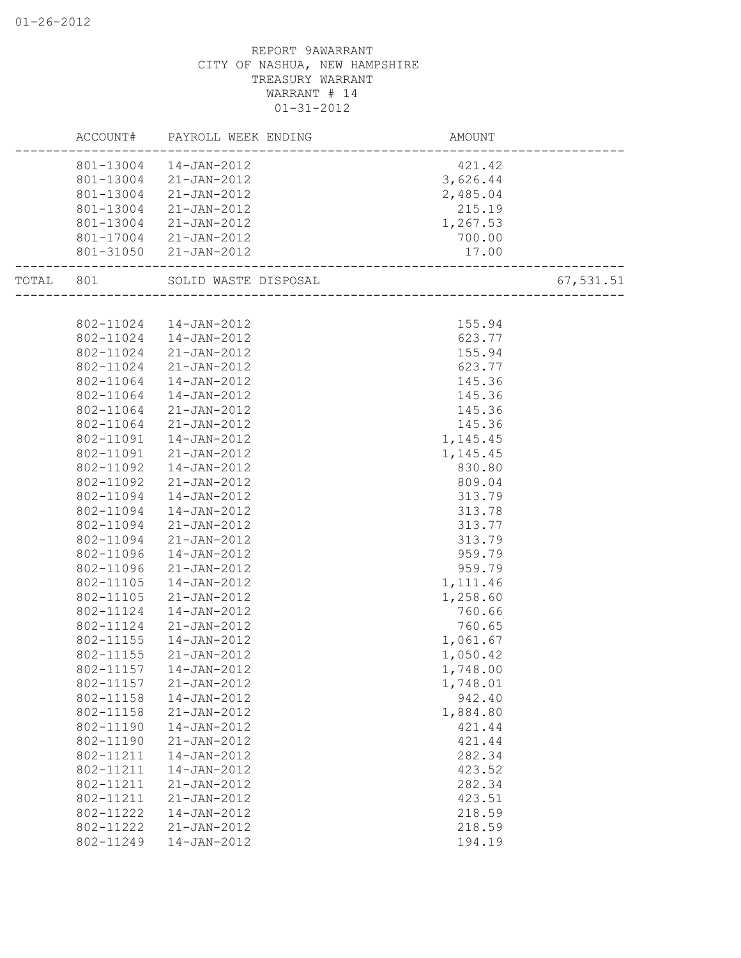|           | ACCOUNT#  | PAYROLL WEEK ENDING  | AMOUNT   |           |
|-----------|-----------|----------------------|----------|-----------|
|           | 801-13004 | 14-JAN-2012          | 421.42   |           |
|           | 801-13004 | 21-JAN-2012          | 3,626.44 |           |
|           | 801-13004 | 21-JAN-2012          | 2,485.04 |           |
|           | 801-13004 | 21-JAN-2012          | 215.19   |           |
|           | 801-13004 | 21-JAN-2012          | 1,267.53 |           |
|           | 801-17004 | 21-JAN-2012          | 700.00   |           |
|           | 801-31050 | 21-JAN-2012          | 17.00    |           |
| TOTAL 801 |           | SOLID WASTE DISPOSAL |          | 67,531.51 |
|           |           |                      |          |           |
|           | 802-11024 | 14-JAN-2012          | 155.94   |           |
|           | 802-11024 | 14-JAN-2012          | 623.77   |           |
|           | 802-11024 | 21-JAN-2012          | 155.94   |           |
|           | 802-11024 | 21-JAN-2012          | 623.77   |           |
|           | 802-11064 | 14-JAN-2012          | 145.36   |           |
|           | 802-11064 | 14-JAN-2012          | 145.36   |           |
|           | 802-11064 | 21-JAN-2012          | 145.36   |           |
|           | 802-11064 | $21 - JAN - 2012$    | 145.36   |           |
|           | 802-11091 | $14 - JAN - 2012$    | 1,145.45 |           |
|           | 802-11091 | $21 - JAN - 2012$    | 1,145.45 |           |
|           | 802-11092 | 14-JAN-2012          | 830.80   |           |
|           | 802-11092 | $21 - JAN - 2012$    | 809.04   |           |
|           | 802-11094 | 14-JAN-2012          | 313.79   |           |
|           | 802-11094 | 14-JAN-2012          | 313.78   |           |
|           | 802-11094 | 21-JAN-2012          | 313.77   |           |
|           | 802-11094 | $21 - JAN - 2012$    | 313.79   |           |
|           | 802-11096 | $14 - JAN - 2012$    | 959.79   |           |
|           | 802-11096 | 21-JAN-2012          | 959.79   |           |
|           | 802-11105 | 14-JAN-2012          | 1,111.46 |           |
|           | 802-11105 | $21 - JAN - 2012$    | 1,258.60 |           |
|           | 802-11124 | 14-JAN-2012          | 760.66   |           |
|           | 802-11124 | 21-JAN-2012          | 760.65   |           |
|           | 802-11155 | $14 - JAN - 2012$    | 1,061.67 |           |
|           | 802-11155 | 21-JAN-2012          | 1,050.42 |           |
|           | 802-11157 | $14 - JAN - 2012$    | 1,748.00 |           |
|           | 802-11157 | 21-JAN-2012          | 1,748.01 |           |
|           | 802-11158 | 14-JAN-2012          | 942.40   |           |
|           | 802-11158 | 21-JAN-2012          | 1,884.80 |           |
|           | 802-11190 | 14-JAN-2012          | 421.44   |           |
|           | 802-11190 | $21 - JAN - 2012$    | 421.44   |           |
|           | 802-11211 | 14-JAN-2012          | 282.34   |           |
|           | 802-11211 | 14-JAN-2012          | 423.52   |           |
|           | 802-11211 | $21 - JAN - 2012$    | 282.34   |           |
|           | 802-11211 | $21 - JAN - 2012$    | 423.51   |           |
|           | 802-11222 | $14 - JAN - 2012$    | 218.59   |           |
|           | 802-11222 | $21 - JAN - 2012$    | 218.59   |           |
|           | 802-11249 | $14 - JAN - 2012$    | 194.19   |           |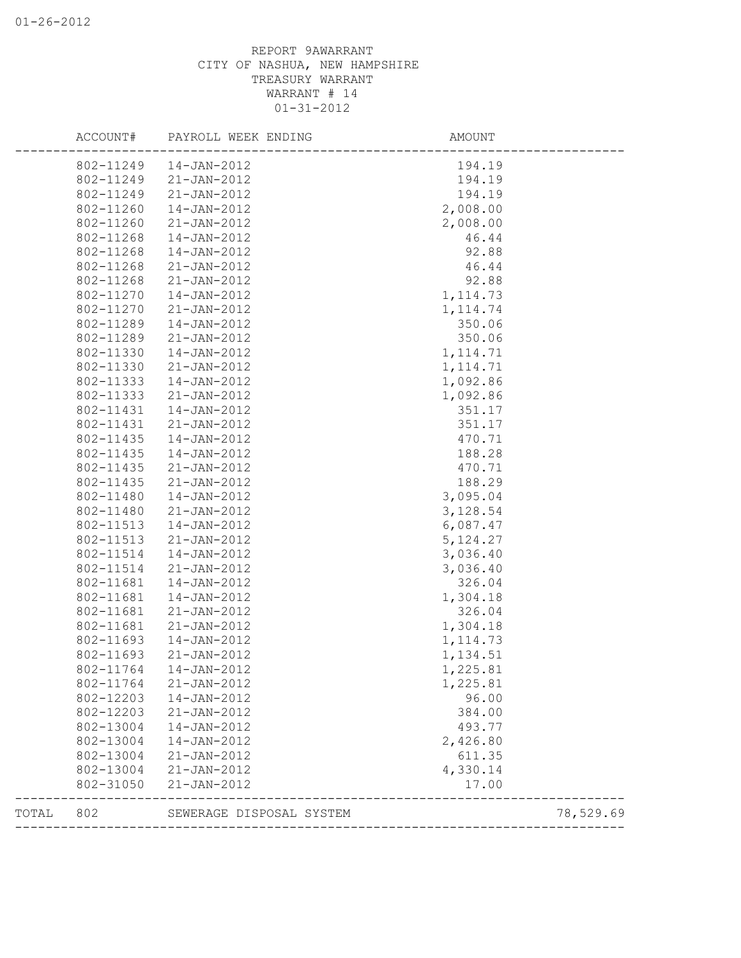|       | ACCOUNT#  | PAYROLL WEEK ENDING      | AMOUNT            |           |
|-------|-----------|--------------------------|-------------------|-----------|
|       | 802-11249 | 14-JAN-2012              | 194.19            |           |
|       | 802-11249 | $21 - JAN - 2012$        | 194.19            |           |
|       | 802-11249 | 21-JAN-2012              | 194.19            |           |
|       | 802-11260 | 14-JAN-2012              | 2,008.00          |           |
|       | 802-11260 | 21-JAN-2012              | 2,008.00          |           |
|       | 802-11268 | 14-JAN-2012              | 46.44             |           |
|       | 802-11268 | 14-JAN-2012              | 92.88             |           |
|       | 802-11268 | 21-JAN-2012              | 46.44             |           |
|       | 802-11268 | 21-JAN-2012              | 92.88             |           |
|       | 802-11270 | 14-JAN-2012              | 1, 114.73         |           |
|       | 802-11270 | 21-JAN-2012              | 1, 114.74         |           |
|       | 802-11289 | 14-JAN-2012              | 350.06            |           |
|       | 802-11289 | 21-JAN-2012              | 350.06            |           |
|       | 802-11330 | 14-JAN-2012              | 1, 114.71         |           |
|       | 802-11330 | 21-JAN-2012              | 1, 114.71         |           |
|       | 802-11333 | 14-JAN-2012              | 1,092.86          |           |
|       | 802-11333 | $21 - JAN - 2012$        | 1,092.86          |           |
|       | 802-11431 | 14-JAN-2012              | 351.17            |           |
|       | 802-11431 | 21-JAN-2012              | 351.17            |           |
|       | 802-11435 | 14-JAN-2012              | 470.71            |           |
|       | 802-11435 | 14-JAN-2012              | 188.28            |           |
|       | 802-11435 | 21-JAN-2012              | 470.71            |           |
|       | 802-11435 | $21 - JAN - 2012$        | 188.29            |           |
|       | 802-11480 | 14-JAN-2012              | 3,095.04          |           |
|       | 802-11480 | 21-JAN-2012              | 3,128.54          |           |
|       | 802-11513 | 14-JAN-2012              | 6,087.47          |           |
|       | 802-11513 | 21-JAN-2012              | 5, 124.27         |           |
|       | 802-11514 | 14-JAN-2012              | 3,036.40          |           |
|       | 802-11514 | 21-JAN-2012              | 3,036.40          |           |
|       | 802-11681 | 14-JAN-2012              | 326.04            |           |
|       | 802-11681 | 14-JAN-2012              | 1,304.18          |           |
|       | 802-11681 | 21-JAN-2012              | 326.04            |           |
|       | 802-11681 | 21-JAN-2012              | 1,304.18          |           |
|       | 802-11693 | $14 - JAN - 2012$        | 1, 114.73         |           |
|       | 802-11693 | 21-JAN-2012              | 1,134.51          |           |
|       | 802-11764 | $14 - JAN - 2012$        | 1,225.81          |           |
|       | 802-11764 | $21 - JAN - 2012$        | 1,225.81          |           |
|       | 802-12203 | 14-JAN-2012              | 96.00             |           |
|       | 802-12203 | $21 - JAN - 2012$        | 384.00            |           |
|       | 802-13004 | $14 - JAN - 2012$        | 493.77            |           |
|       | 802-13004 | $14 - JAN - 2012$        | 2,426.80          |           |
|       | 802-13004 | $21 - JAN - 2012$        | 611.35            |           |
|       | 802-13004 | $21 - JAN - 2012$        | 4,330.14          |           |
|       | 802-31050 | $21 - JAN - 2012$        | 17.00             |           |
| TOTAL | 802       | SEWERAGE DISPOSAL SYSTEM |                   | 78,529.69 |
|       |           |                          | ----------------- |           |